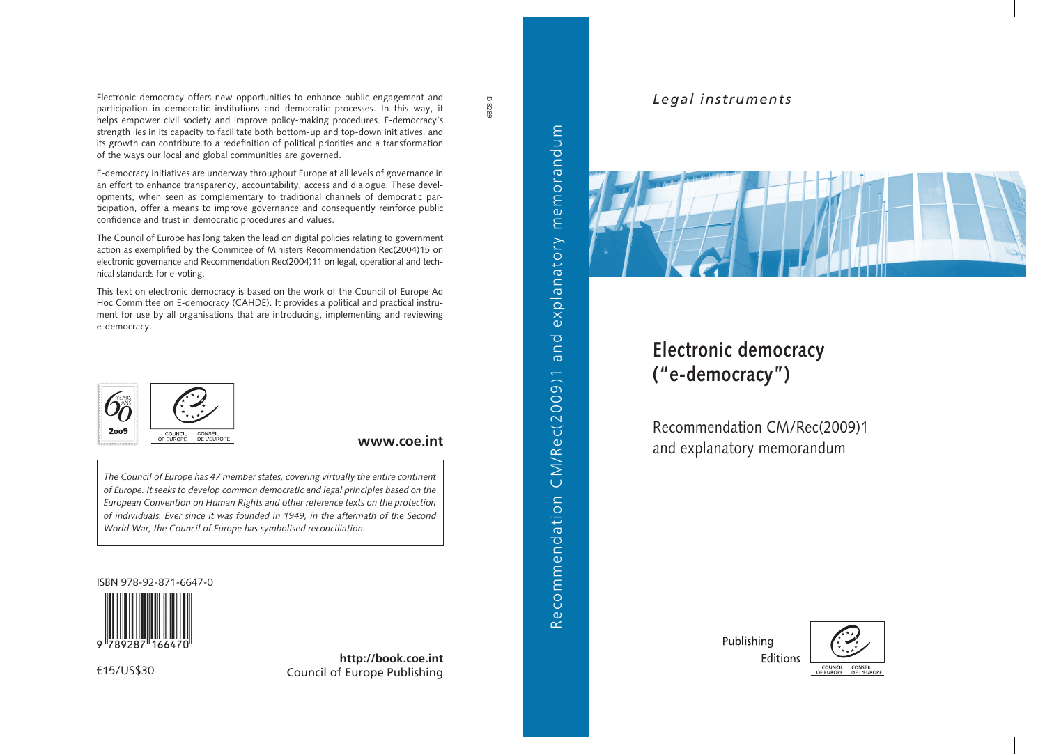Electronic democracy offers new opportunities to enhance public engagement and participation in democratic institutions and democratic processes. In this way, it helps empower civil society and improve policy-making procedures. E-democracy's strength lies in its capacity to facilitate both bottom-up and top-down initiatives, and its growth can contribute to a redefinition of political priorities and a transformation of the ways our local and global communities are governed.

E-democracy initiatives are underway throughout Europe at all levels of governance in an effort to enhance transparency, accountability, access and dialogue. These developments, when seen as complementary to traditional channels of democratic participation, offer a means to improve governance and consequently reinforce public confidence and trust in democratic procedures and values.

The Council of Europe has long taken the lead on digital policies relating to government action as exemplified by the Commitee of Ministers Recommendation Rec(2004)15 on electronic governance and Recommendation Rec(2004)11 on legal, operational and technical standards for e-voting.

This text on electronic democracy is based on the work of the Council of Europe Ad Hoc Committee on E-democracy (CAHDE). It provides a political and practical instrument for use by all organisations that are introducing, implementing and reviewing e-democracy.



#### **www.coe.int**

*The Council of Europe has 47 member states, covering virtually the entire continent of Europe. It seeks to develop common democratic and legal principles based on the European Convention on Human Rights and other reference texts on the protection of individuals. Ever since it was founded in 1949, in the aftermath of the Second World War, the Council of Europe has symbolised reconciliation.*

ISBN 978-92-871-6647-0



€15/US\$30

**http://book.coe.int** Council of Europe Publishing



and

ecommendation CM/Rec(2009)1

 $\overline{\alpha}$ 

ID 8289

# *Legal instruments*



# **Electronic democracy ("e-democracy")**

Recommendation CM/Rec(2009)1 and explanatory memorandum

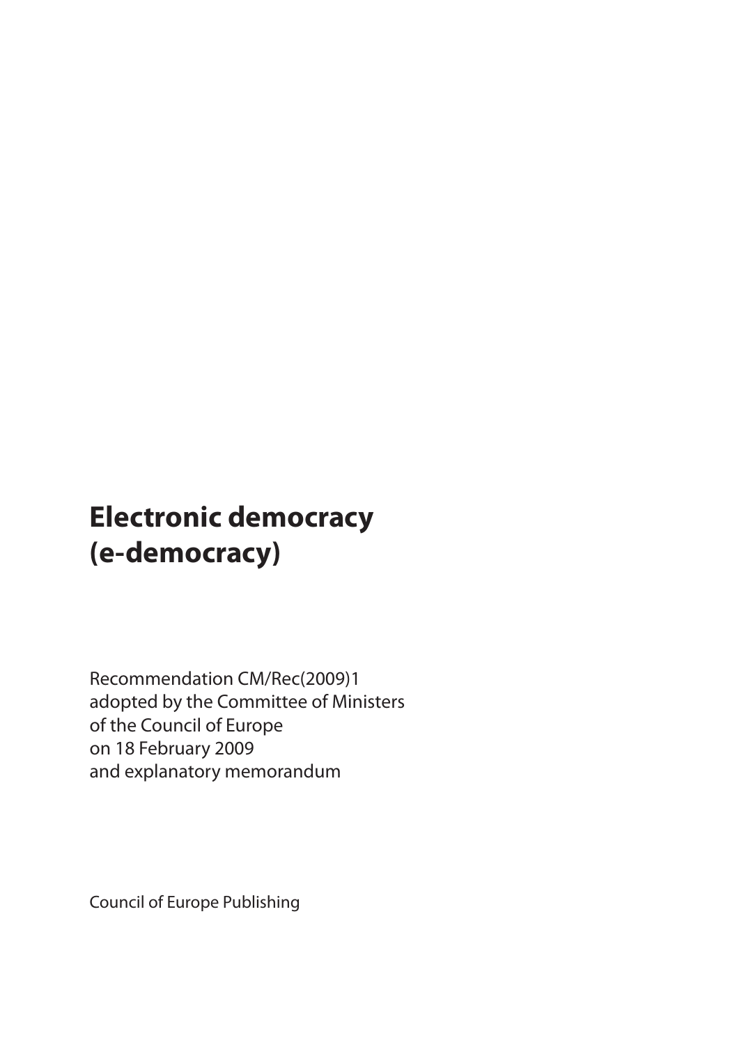# **Electronic democracy (e-democracy)**

Recommendation CM/Rec(2009)1 adopted by the Committee of Ministers of the Council of Europe on 18 February 2009 and explanatory memorandum

Council of Europe Publishing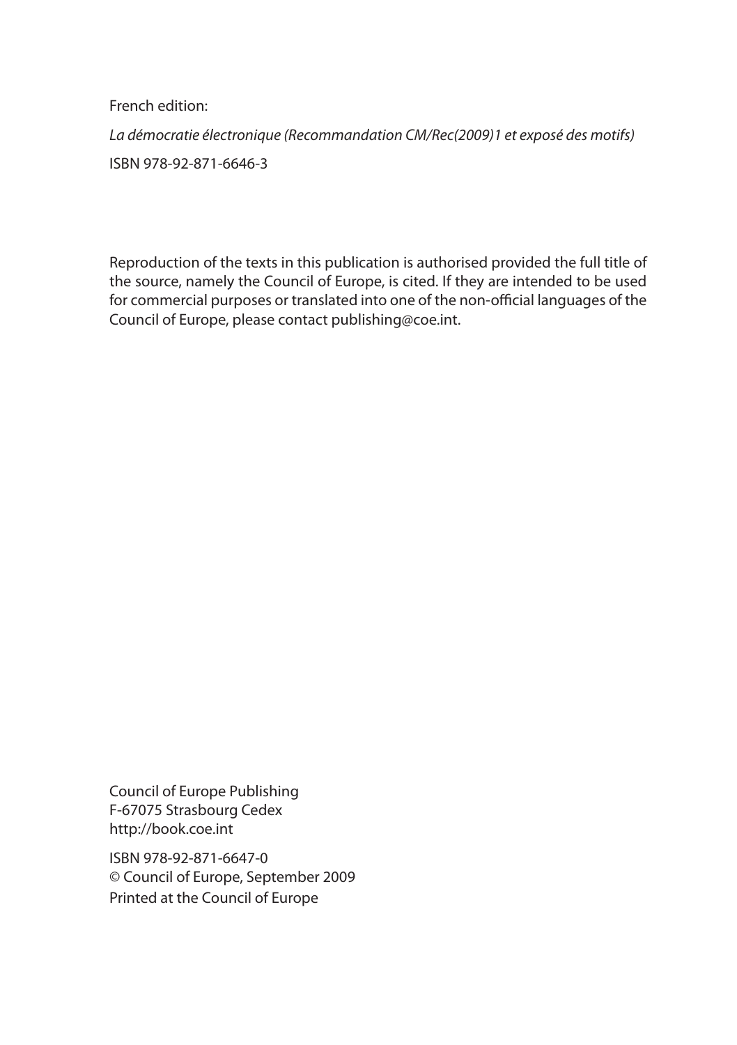French edition:

*La démocratie électronique (Recommandation CM/Rec(2009)1 et exposé des motifs)* ISBN 978-92-871-6646-3

Reproduction of the texts in this publication is authorised provided the full title of the source, namely the Council of Europe, is cited. If they are intended to be used for commercial purposes or translated into one of the non-official languages of the Council of Europe, please contact publishing@coe.int.

Council of Europe Publishing F-67075 Strasbourg Cedex http://book.coe.int

ISBN 978-92-871-6647-0 © Council of Europe, September 2009 Printed at the Council of Europe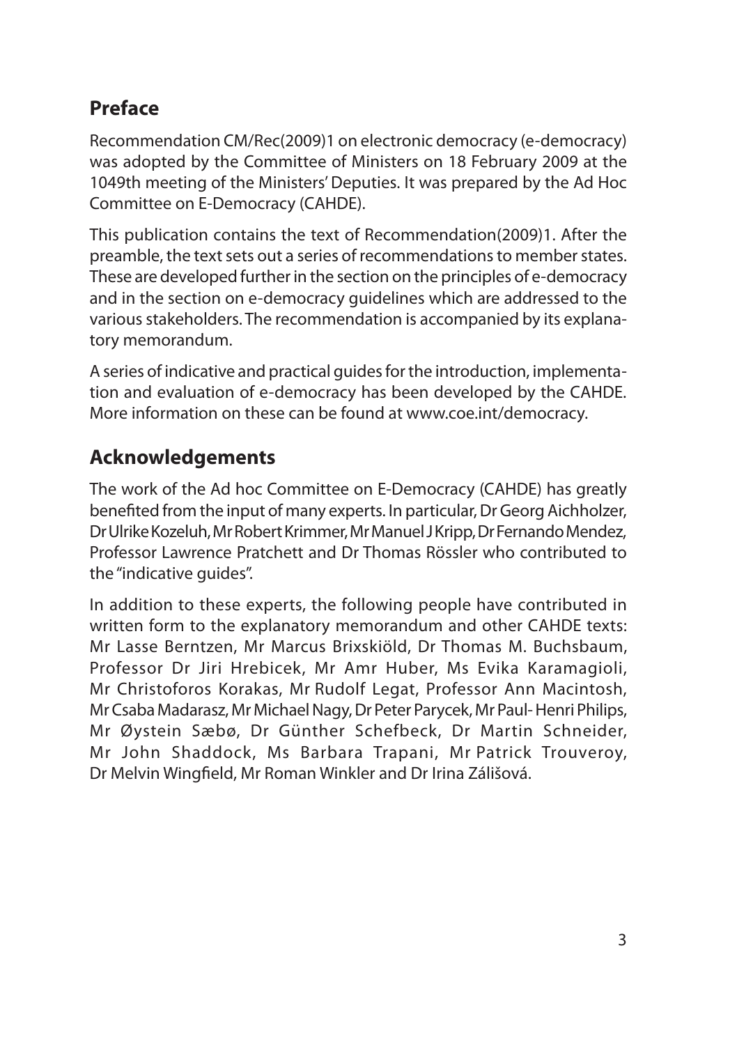# **Preface**

Recommendation CM/Rec(2009)1 on electronic democracy (e-democracy) was adopted by the Committee of Ministers on 18 February 2009 at the 1049th meeting of the Ministers' Deputies. It was prepared by the Ad Hoc Committee on E-Democracy (CAHDE).

This publication contains the text of Recommendation(2009)1. After the preamble, the text sets out a series of recommendations to member states. These are developed further in the section on the principles of e-democracy and in the section on e-democracy guidelines which are addressed to the various stakeholders. The recommendation is accompanied by its explanatory memorandum.

A series of indicative and practical guides for the introduction, implementation and evaluation of e-democracy has been developed by the CAHDE. More information on these can be found at www.coe.int/democracy.

# **Acknowledgements**

The work of the Ad hoc Committee on E-Democracy (CAHDE) has greatly benefited from the input of many experts. In particular, Dr Georg Aichholzer, Dr Ulrike Kozeluh, Mr Robert Krimmer, Mr Manuel J Kripp, Dr Fernando Mendez, Professor Lawrence Pratchett and Dr Thomas Rössler who contributed to the "indicative guides".

In addition to these experts, the following people have contributed in written form to the explanatory memorandum and other CAHDE texts: Mr Lasse Berntzen, Mr Marcus Brixskiöld, Dr Thomas M. Buchsbaum, Professor Dr Jiri Hrebicek, Mr Amr Huber, Ms Evika Karamagioli, Mr Christoforos Korakas, Mr Rudolf Legat, Professor Ann Macintosh, Mr Csaba Madarasz, Mr Michael Nagy, Dr Peter Parycek, Mr Paul- Henri Philips, Mr Øystein Sæbø, Dr Günther Schefbeck, Dr Martin Schneider, Mr John Shaddock, Ms Barbara Trapani, Mr Patrick Trouveroy, Dr Melvin Wingfield, Mr Roman Winkler and Dr Irina Zálišová.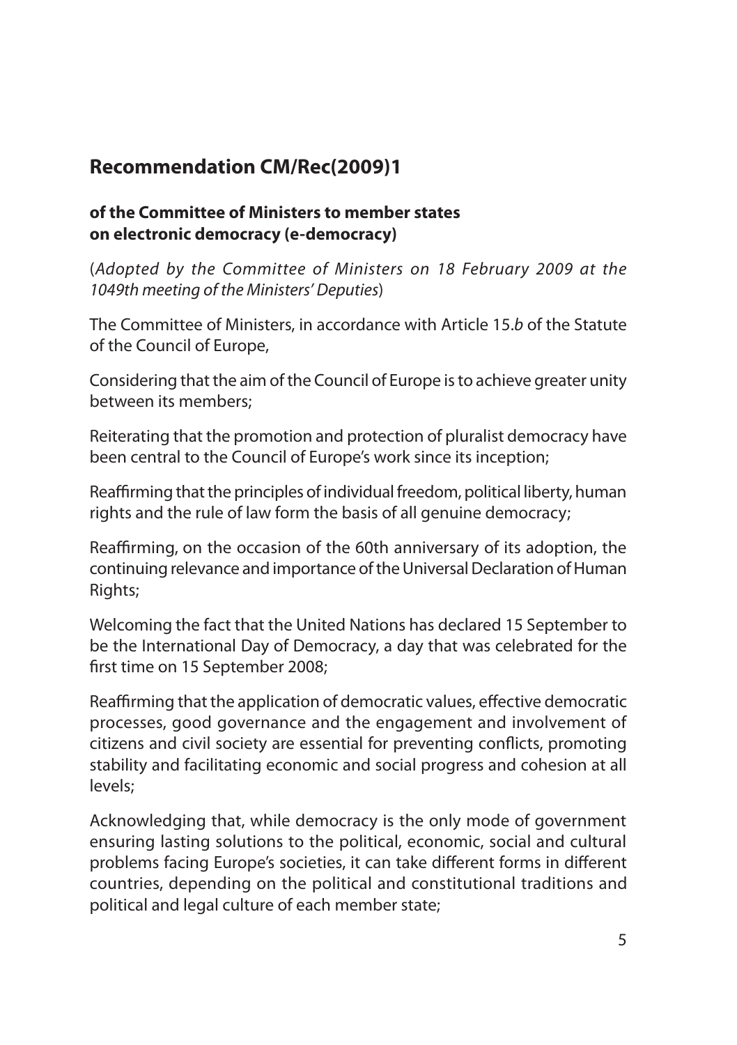# **Recommendation CM/Rec(2009)1**

#### **of the Committee of Ministers to member states on electronic democracy (e-democracy)**

(*Adopted by the Committee of Ministers on 18 February 2009 at the 1049th meeting of the Ministers' Deputies*)

The Committee of Ministers, in accordance with Article 15.*b* of the Statute of the Council of Europe,

Considering that the aim of the Council of Europe is to achieve greater unity between its members;

Reiterating that the promotion and protection of pluralist democracy have been central to the Council of Europe's work since its inception;

Reaffirming that the principles of individual freedom, political liberty, human rights and the rule of law form the basis of all genuine democracy;

Reaffirming, on the occasion of the 60th anniversary of its adoption, the continuing relevance and importance of the Universal Declaration of Human Rights;

Welcoming the fact that the United Nations has declared 15 September to be the International Day of Democracy, a day that was celebrated for the first time on 15 September 2008;

Reaffirming that the application of democratic values, effective democratic processes, good governance and the engagement and involvement of citizens and civil society are essential for preventing conflicts, promoting stability and facilitating economic and social progress and cohesion at all levels;

Acknowledging that, while democracy is the only mode of government ensuring lasting solutions to the political, economic, social and cultural problems facing Europe's societies, it can take different forms in different countries, depending on the political and constitutional traditions and political and legal culture of each member state;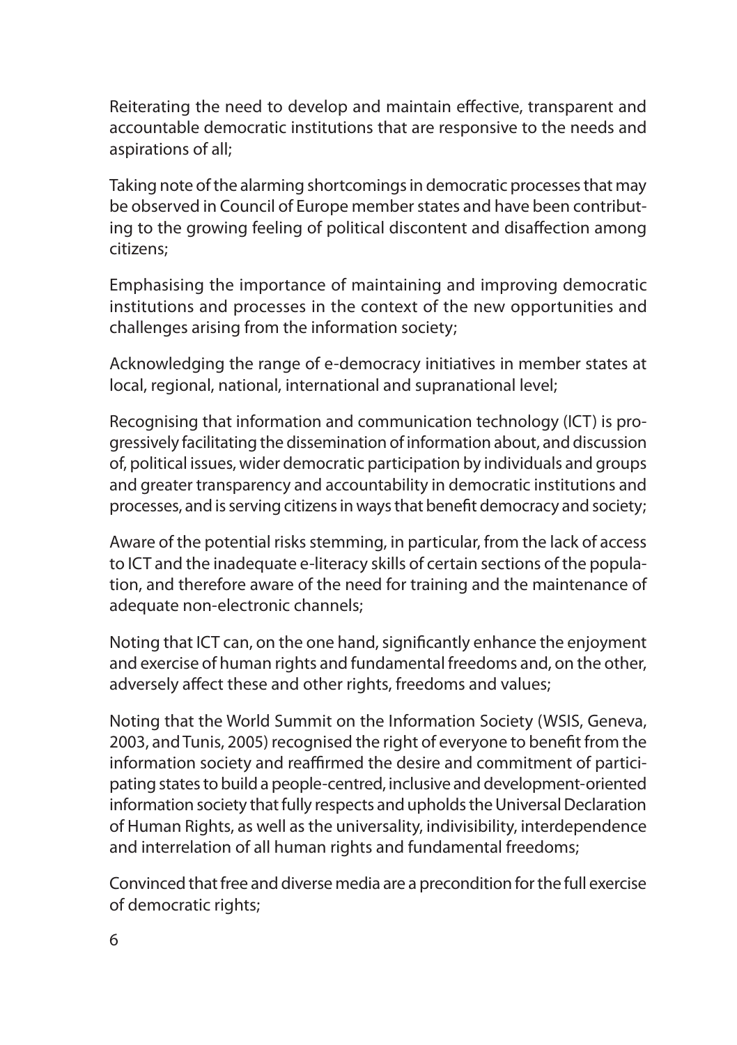Reiterating the need to develop and maintain effective, transparent and accountable democratic institutions that are responsive to the needs and aspirations of all;

Taking note of the alarming shortcomings in democratic processes that may be observed in Council of Europe member states and have been contributing to the growing feeling of political discontent and disaffection among citizens;

Emphasising the importance of maintaining and improving democratic institutions and processes in the context of the new opportunities and challenges arising from the information society;

Acknowledging the range of e-democracy initiatives in member states at local, regional, national, international and supranational level;

Recognising that information and communication technology (ICT) is progressively facilitating the dissemination of information about, and discussion of, political issues, wider democratic participation by individuals and groups and greater transparency and accountability in democratic institutions and processes, and is serving citizens in ways that benefit democracy and society;

Aware of the potential risks stemming, in particular, from the lack of access to ICT and the inadequate e-literacy skills of certain sections of the population, and therefore aware of the need for training and the maintenance of adequate non-electronic channels;

Noting that ICT can, on the one hand, significantly enhance the enjoyment and exercise of human rights and fundamental freedoms and, on the other, adversely affect these and other rights, freedoms and values;

Noting that the World Summit on the Information Society (WSIS, Geneva, 2003, and Tunis, 2005) recognised the right of everyone to benefit from the information society and reaffirmed the desire and commitment of participating states to build a people-centred, inclusive and development-oriented information society that fully respects and upholds the Universal Declaration of Human Rights, as well as the universality, indivisibility, interdependence and interrelation of all human rights and fundamental freedoms;

Convinced that free and diverse media are a precondition for the full exercise of democratic rights;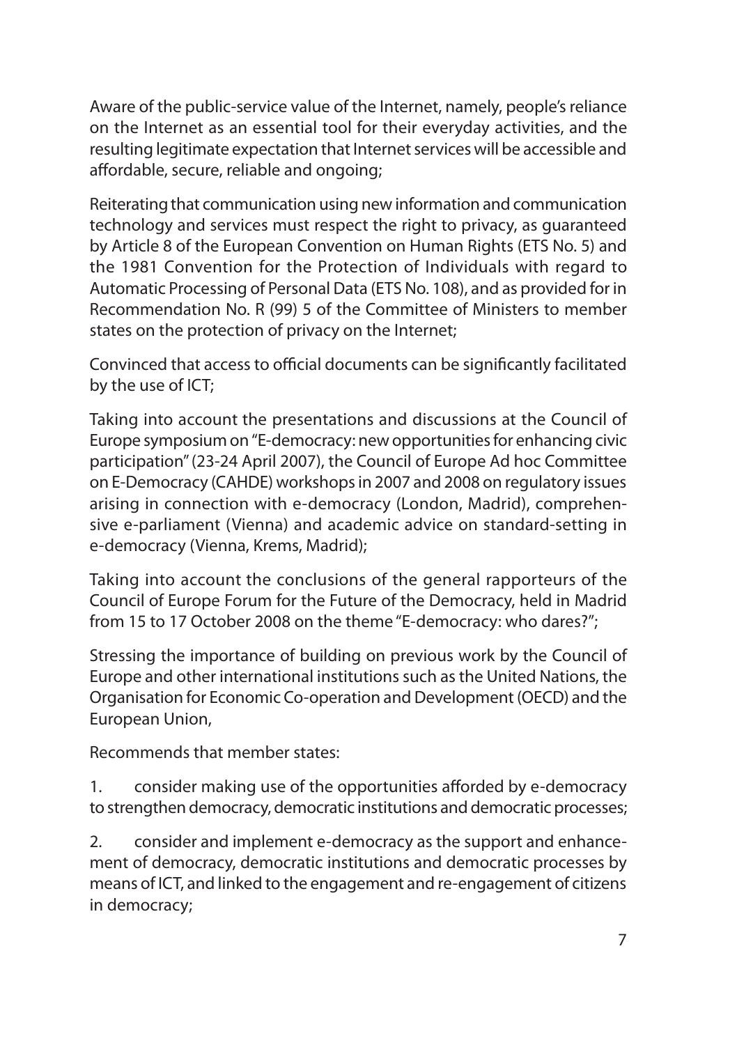Aware of the public-service value of the Internet, namely, people's reliance on the Internet as an essential tool for their everyday activities, and the resulting legitimate expectation that Internet services will be accessible and affordable, secure, reliable and ongoing;

Reiterating that communication using new information and communication technology and services must respect the right to privacy, as guaranteed by Article 8 of the European Convention on Human Rights (ETS No. 5) and the 1981 Convention for the Protection of Individuals with regard to Automatic Processing of Personal Data (ETS No. 108), and as provided for in Recommendation No. R (99) 5 of the Committee of Ministers to member states on the protection of privacy on the Internet;

Convinced that access to official documents can be significantly facilitated by the use of ICT;

Taking into account the presentations and discussions at the Council of Europe symposium on "E-democracy: new opportunities for enhancing civic participation" (23-24 April 2007), the Council of Europe Ad hoc Committee on E-Democracy (CAHDE) workshops in 2007 and 2008 on regulatory issues arising in connection with e-democracy (London, Madrid), comprehensive e-parliament (Vienna) and academic advice on standard-setting in e-democracy (Vienna, Krems, Madrid);

Taking into account the conclusions of the general rapporteurs of the Council of Europe Forum for the Future of the Democracy, held in Madrid from 15 to 17 October 2008 on the theme "E-democracy: who dares?";

Stressing the importance of building on previous work by the Council of Europe and other international institutions such as the United Nations, the Organisation for Economic Co-operation and Development (OECD) and the European Union,

Recommends that member states:

1. consider making use of the opportunities afforded by e-democracy to strengthen democracy, democratic institutions and democratic processes;

2. consider and implement e-democracy as the support and enhancement of democracy, democratic institutions and democratic processes by means of ICT, and linked to the engagement and re-engagement of citizens in democracy;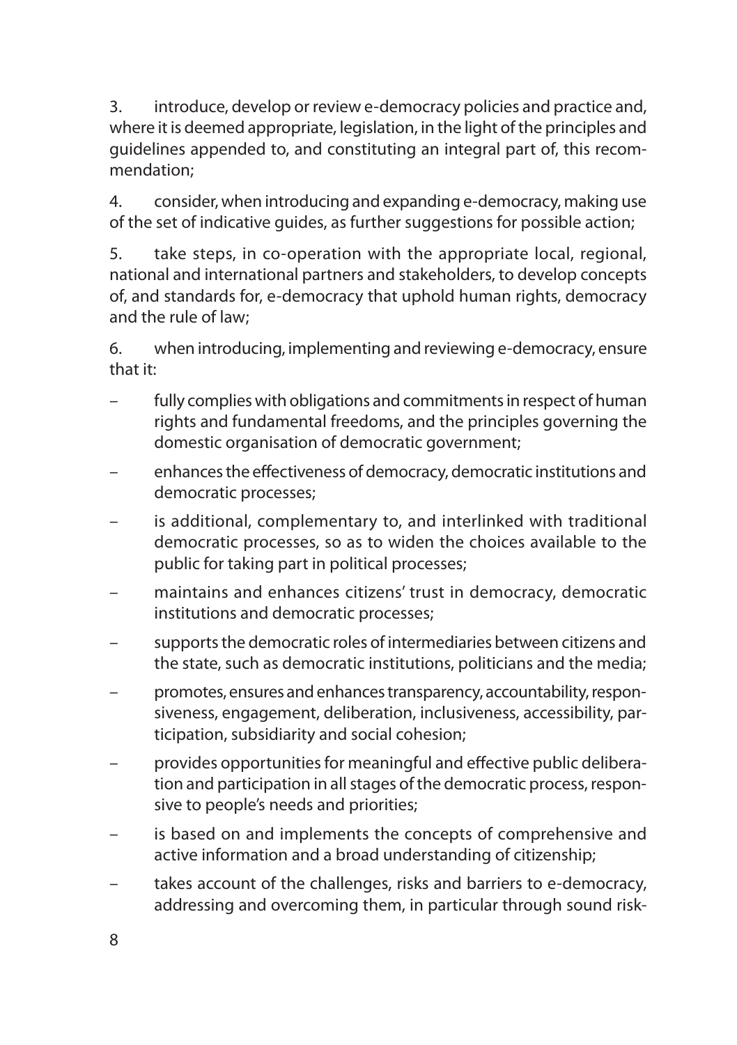3. introduce, develop or review e-democracy policies and practice and, where it is deemed appropriate, legislation, in the light of the principles and guidelines appended to, and constituting an integral part of, this recommendation;

4. consider, when introducing and expanding e-democracy, making use of the set of indicative guides, as further suggestions for possible action;

5. take steps, in co-operation with the appropriate local, regional, national and international partners and stakeholders, to develop concepts of, and standards for, e-democracy that uphold human rights, democracy and the rule of law;

6. when introducing, implementing and reviewing e-democracy, ensure that it:

- fully complies with obligations and commitments in respect of human rights and fundamental freedoms, and the principles governing the domestic organisation of democratic government;
- enhances the effectiveness of democracy, democratic institutions and democratic processes;
- is additional, complementary to, and interlinked with traditional democratic processes, so as to widen the choices available to the public for taking part in political processes;
- maintains and enhances citizens' trust in democracy, democratic institutions and democratic processes;
- supports the democratic roles of intermediaries between citizens and the state, such as democratic institutions, politicians and the media;
- promotes, ensures and enhances transparency, accountability, responsiveness, engagement, deliberation, inclusiveness, accessibility, participation, subsidiarity and social cohesion;
- provides opportunities for meaningful and effective public deliberation and participation in all stages of the democratic process, responsive to people's needs and priorities;
- is based on and implements the concepts of comprehensive and active information and a broad understanding of citizenship;
- takes account of the challenges, risks and barriers to e-democracy, addressing and overcoming them, in particular through sound risk-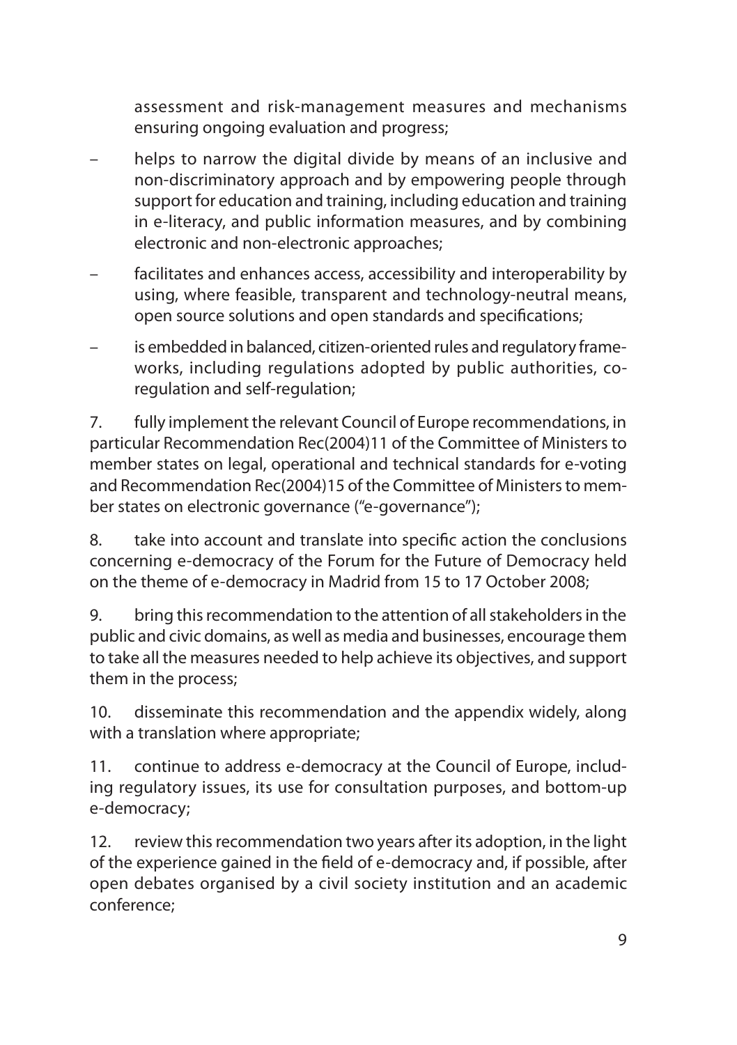assessment and risk-management measures and mechanisms ensuring ongoing evaluation and progress;

- helps to narrow the digital divide by means of an inclusive and non-discriminatory approach and by empowering people through support for education and training, including education and training in e-literacy, and public information measures, and by combining electronic and non-electronic approaches;
- facilitates and enhances access, accessibility and interoperability by using, where feasible, transparent and technology-neutral means, open source solutions and open standards and specifications;
- is embedded in balanced, citizen-oriented rules and regulatory frameworks, including regulations adopted by public authorities, coregulation and self-regulation;

7. fully implement the relevant Council of Europe recommendations, in particular Recommendation Rec(2004)11 of the Committee of Ministers to member states on legal, operational and technical standards for e-voting and Recommendation Rec(2004)15 of the Committee of Ministers to member states on electronic governance ("e-governance");

8. take into account and translate into specific action the conclusions concerning e-democracy of the Forum for the Future of Democracy held on the theme of e-democracy in Madrid from 15 to 17 October 2008;

9. bring this recommendation to the attention of all stakeholders in the public and civic domains, as well as media and businesses, encourage them to take all the measures needed to help achieve its objectives, and support them in the process;

10. disseminate this recommendation and the appendix widely, along with a translation where appropriate;

11. continue to address e-democracy at the Council of Europe, including regulatory issues, its use for consultation purposes, and bottom-up e-democracy;

12. review this recommendation two years after its adoption, in the light of the experience gained in the field of e-democracy and, if possible, after open debates organised by a civil society institution and an academic conference;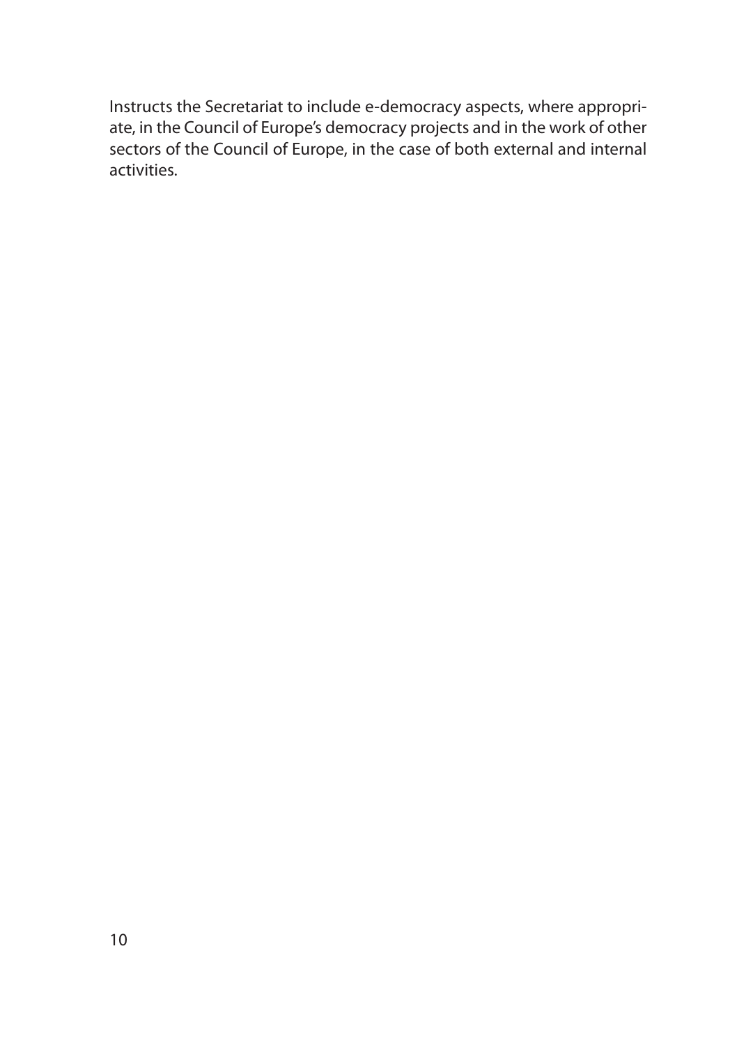Instructs the Secretariat to include e-democracy aspects, where appropriate, in the Council of Europe's democracy projects and in the work of other sectors of the Council of Europe, in the case of both external and internal activities.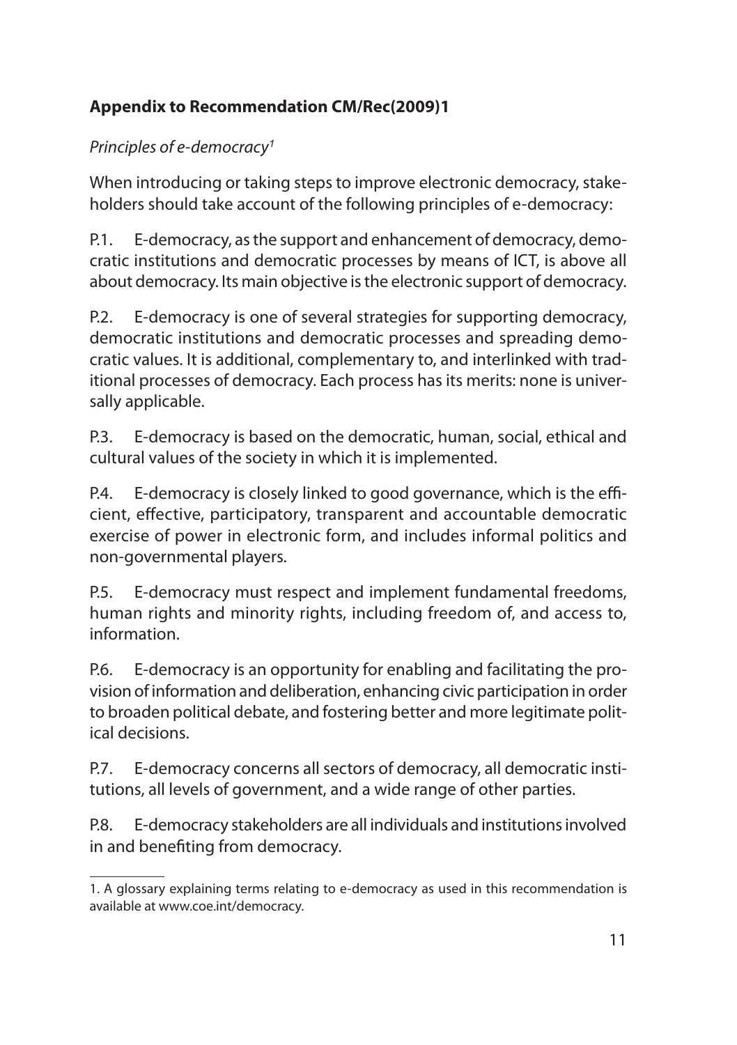# **Appendix to Recommendation CM/Rec(2009)1**

### *Principles of e-democracy<sup>1</sup>*

When introducing or taking steps to improve electronic democracy, stakeholders should take account of the following principles of e-democracy:

P.1. E-democracy, as the support and enhancement of democracy, democratic institutions and democratic processes by means of ICT, is above all about democracy. Its main objective is the electronic support of democracy.

P.2. E-democracy is one of several strategies for supporting democracy, democratic institutions and democratic processes and spreading democratic values. It is additional, complementary to, and interlinked with traditional processes of democracy. Each process has its merits: none is universally applicable.

P.3. E-democracy is based on the democratic, human, social, ethical and cultural values of the society in which it is implemented.

P.4. E-democracy is closely linked to good governance, which is the efficient, effective, participatory, transparent and accountable democratic exercise of power in electronic form, and includes informal politics and non-governmental players.

P.5. E-democracy must respect and implement fundamental freedoms, human rights and minority rights, including freedom of, and access to, information.

P.6. E-democracy is an opportunity for enabling and facilitating the provision of information and deliberation, enhancing civic participation in order to broaden political debate, and fostering better and more legitimate political decisions.

P.7. E-democracy concerns all sectors of democracy, all democratic institutions, all levels of government, and a wide range of other parties.

P.8. E-democracy stakeholders are all individuals and institutions involved in and benefiting from democracy.

<sup>1.</sup> A glossary explaining terms relating to e-democracy as used in this recommendation is available at www.coe.int/democracy.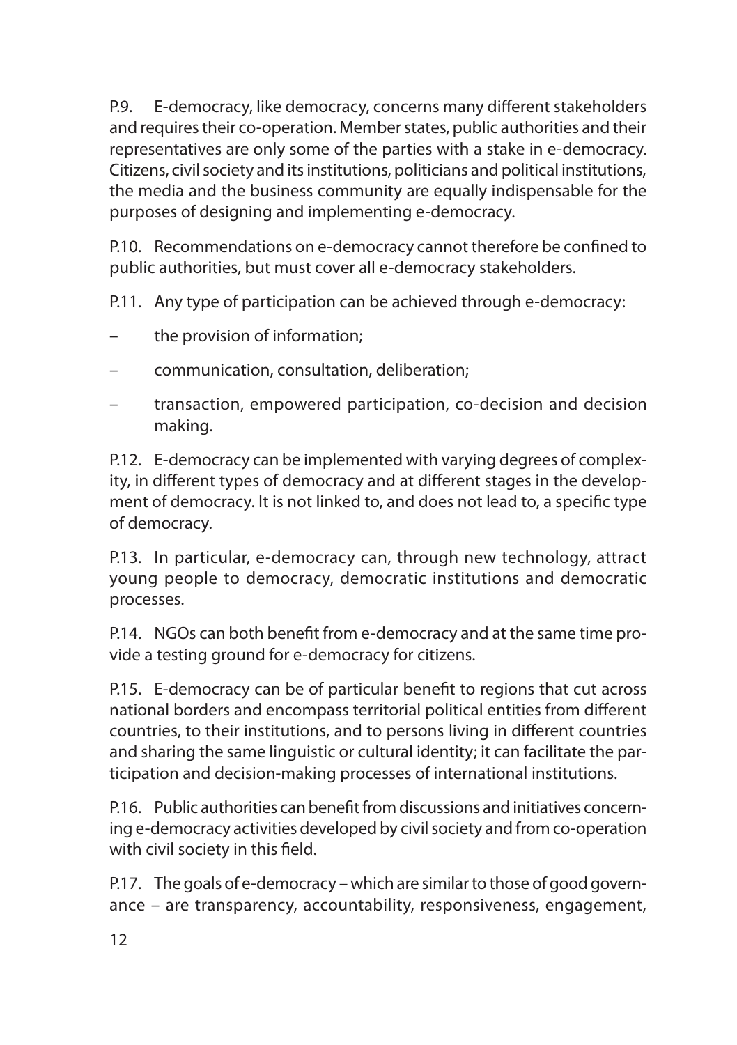P.9. E-democracy, like democracy, concerns many different stakeholders and requires their co-operation. Member states, public authorities and their representatives are only some of the parties with a stake in e-democracy. Citizens, civil society and its institutions, politicians and political institutions, the media and the business community are equally indispensable for the purposes of designing and implementing e-democracy.

P.10. Recommendations on e-democracy cannot therefore be confined to public authorities, but must cover all e-democracy stakeholders.

P.11. Any type of participation can be achieved through e-democracy:

- the provision of information;
- communication, consultation, deliberation;
- transaction, empowered participation, co-decision and decision making.

P.12. E-democracy can be implemented with varying degrees of complexity, in different types of democracy and at different stages in the development of democracy. It is not linked to, and does not lead to, a specific type of democracy.

P.13. In particular, e-democracy can, through new technology, attract young people to democracy, democratic institutions and democratic processes.

P.14. NGOs can both benefit from e-democracy and at the same time provide a testing ground for e-democracy for citizens.

P.15. E-democracy can be of particular benefit to regions that cut across national borders and encompass territorial political entities from different countries, to their institutions, and to persons living in different countries and sharing the same linguistic or cultural identity; it can facilitate the participation and decision-making processes of international institutions.

P.16. Public authorities can benefit from discussions and initiatives concerning e-democracy activities developed by civil society and from co-operation with civil society in this field.

P.17. The goals of e-democracy – which are similar to those of good governance – are transparency, accountability, responsiveness, engagement,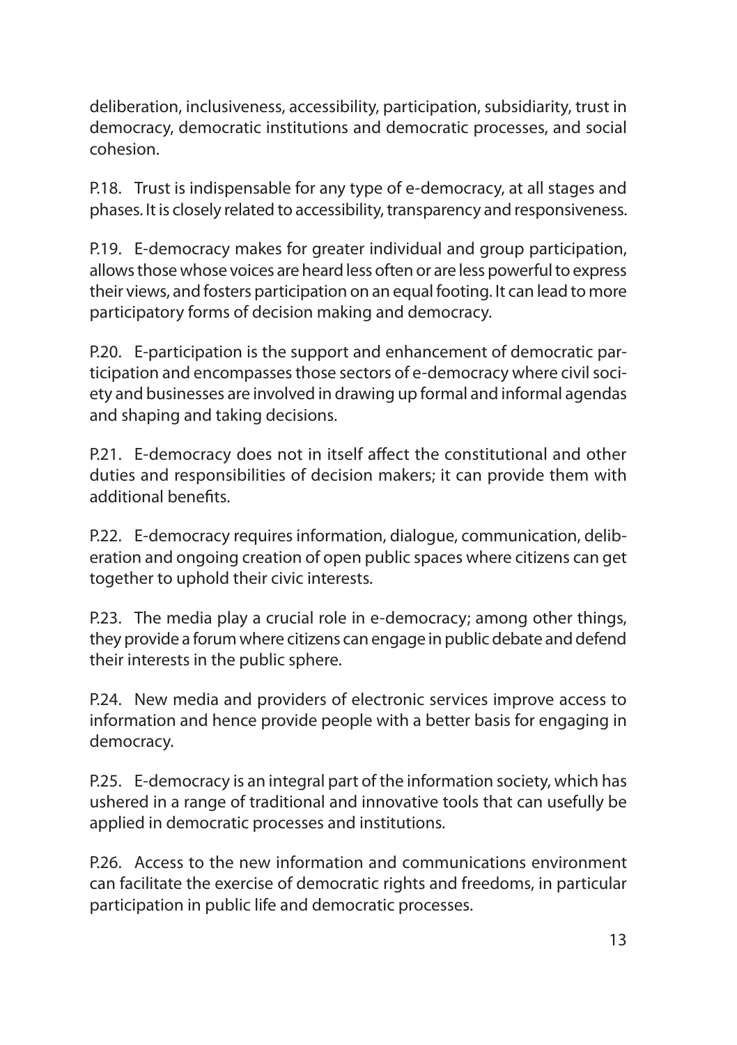deliberation, inclusiveness, accessibility, participation, subsidiarity, trust in democracy, democratic institutions and democratic processes, and social cohesion.

P.18. Trust is indispensable for any type of e-democracy, at all stages and phases. It is closely related to accessibility, transparency and responsiveness.

P.19. E-democracy makes for greater individual and group participation, allows those whose voices are heard less often or are less powerful to express their views, and fosters participation on an equal footing. It can lead to more participatory forms of decision making and democracy.

P.20. E-participation is the support and enhancement of democratic participation and encompasses those sectors of e-democracy where civil society and businesses are involved in drawing up formal and informal agendas and shaping and taking decisions.

P.21. E-democracy does not in itself affect the constitutional and other duties and responsibilities of decision makers; it can provide them with additional benefits.

P.22. E-democracy requires information, dialogue, communication, deliberation and ongoing creation of open public spaces where citizens can get together to uphold their civic interests.

P.23. The media play a crucial role in e-democracy; among other things, they provide a forum where citizens can engage in public debate and defend their interests in the public sphere.

P.24. New media and providers of electronic services improve access to information and hence provide people with a better basis for engaging in democracy.

P.25. E-democracy is an integral part of the information society, which has ushered in a range of traditional and innovative tools that can usefully be applied in democratic processes and institutions.

P.26. Access to the new information and communications environment can facilitate the exercise of democratic rights and freedoms, in particular participation in public life and democratic processes.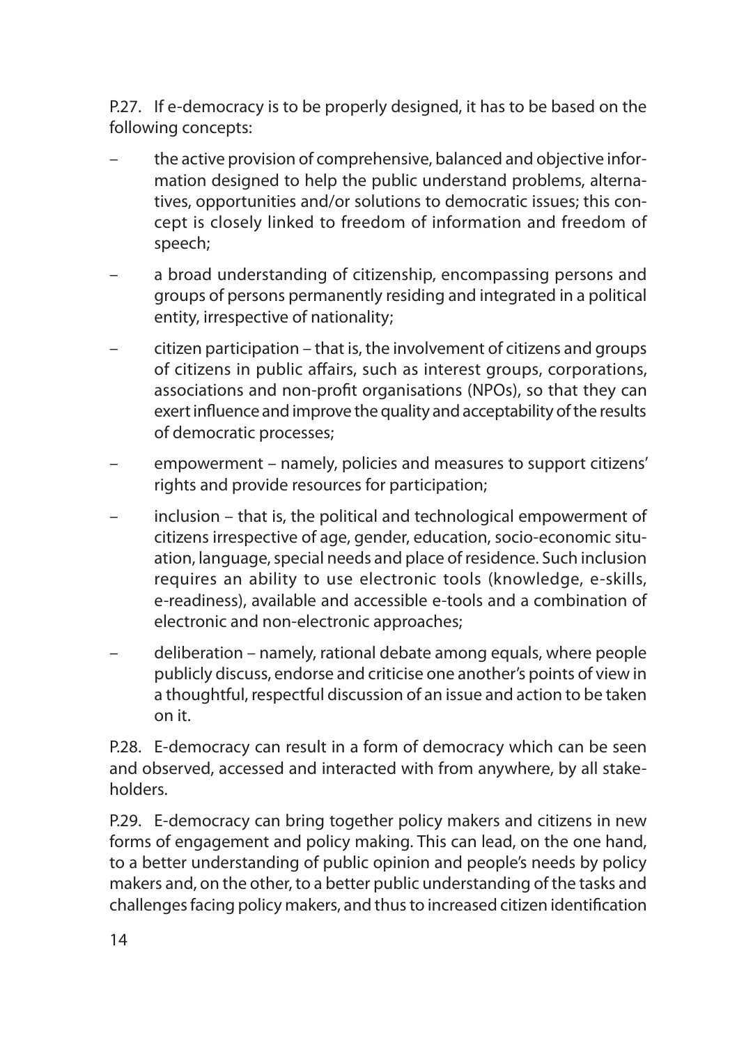P.27. If e-democracy is to be properly designed, it has to be based on the following concepts:

- the active provision of comprehensive, balanced and objective information designed to help the public understand problems, alternatives, opportunities and/or solutions to democratic issues; this concept is closely linked to freedom of information and freedom of speech;
- a broad understanding of citizenship, encompassing persons and groups of persons permanently residing and integrated in a political entity, irrespective of nationality;
- citizen participation that is, the involvement of citizens and groups of citizens in public affairs, such as interest groups, corporations, associations and non-profit organisations (NPOs), so that they can exert influence and improve the quality and acceptability of the results of democratic processes;
- empowerment namely, policies and measures to support citizens' rights and provide resources for participation;
- inclusion that is, the political and technological empowerment of citizens irrespective of age, gender, education, socio-economic situation, language, special needs and place of residence. Such inclusion requires an ability to use electronic tools (knowledge, e-skills, e-readiness), available and accessible e-tools and a combination of electronic and non-electronic approaches;
- deliberation namely, rational debate among equals, where people publicly discuss, endorse and criticise one another's points of view in a thoughtful, respectful discussion of an issue and action to be taken on it.

P.28. E-democracy can result in a form of democracy which can be seen and observed, accessed and interacted with from anywhere, by all stakeholders.

P.29. E-democracy can bring together policy makers and citizens in new forms of engagement and policy making. This can lead, on the one hand, to a better understanding of public opinion and people's needs by policy makers and, on the other, to a better public understanding of the tasks and challenges facing policy makers, and thus to increased citizen identification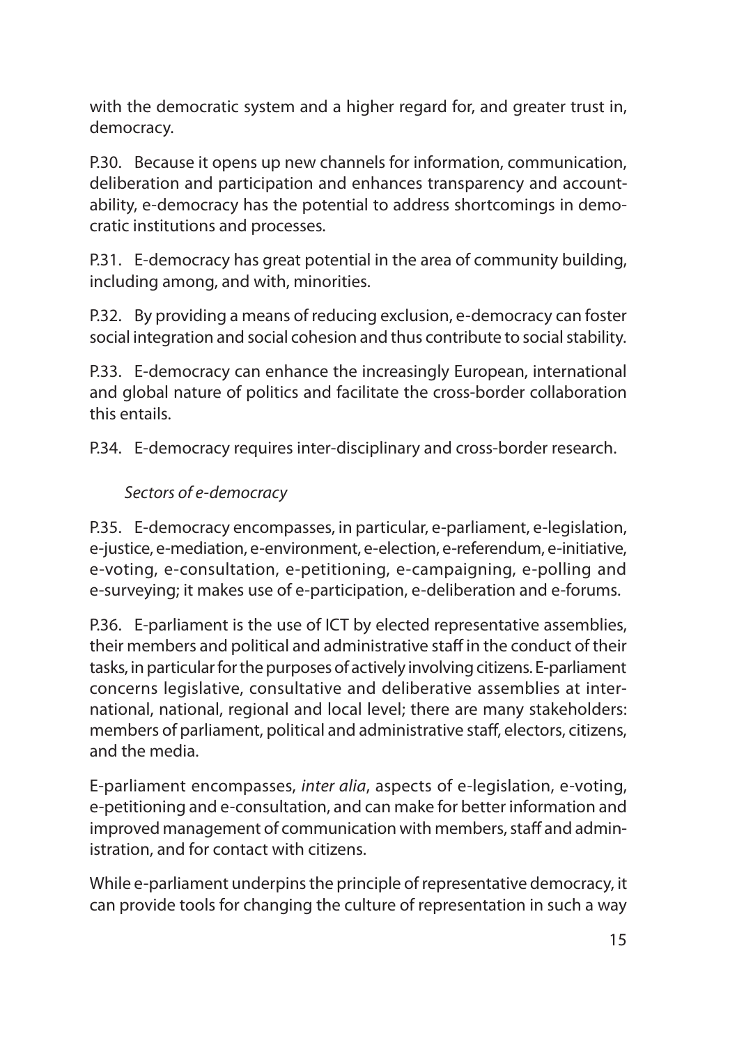with the democratic system and a higher regard for, and greater trust in, democracy.

P.30. Because it opens up new channels for information, communication, deliberation and participation and enhances transparency and accountability, e-democracy has the potential to address shortcomings in democratic institutions and processes.

P.31. E-democracy has great potential in the area of community building, including among, and with, minorities.

P.32. By providing a means of reducing exclusion, e-democracy can foster social integration and social cohesion and thus contribute to social stability.

P.33. E-democracy can enhance the increasingly European, international and global nature of politics and facilitate the cross-border collaboration this entails.

P.34. E-democracy requires inter-disciplinary and cross-border research.

## *Sectors of e-democracy*

P.35. E-democracy encompasses, in particular, e-parliament, e-legislation, e-justice, e-mediation, e-environment, e-election, e-referendum, e-initiative, e-voting, e-consultation, e-petitioning, e-campaigning, e-polling and e-surveying; it makes use of e-participation, e-deliberation and e-forums.

P.36. E-parliament is the use of ICT by elected representative assemblies, their members and political and administrative staff in the conduct of their tasks, in particular for the purposes of actively involving citizens. E-parliament concerns legislative, consultative and deliberative assemblies at international, national, regional and local level; there are many stakeholders: members of parliament, political and administrative staff, electors, citizens, and the media.

E-parliament encompasses, *inter alia*, aspects of e-legislation, e-voting, e-petitioning and e-consultation, and can make for better information and improved management of communication with members, staff and administration, and for contact with citizens.

While e-parliament underpins the principle of representative democracy, it can provide tools for changing the culture of representation in such a way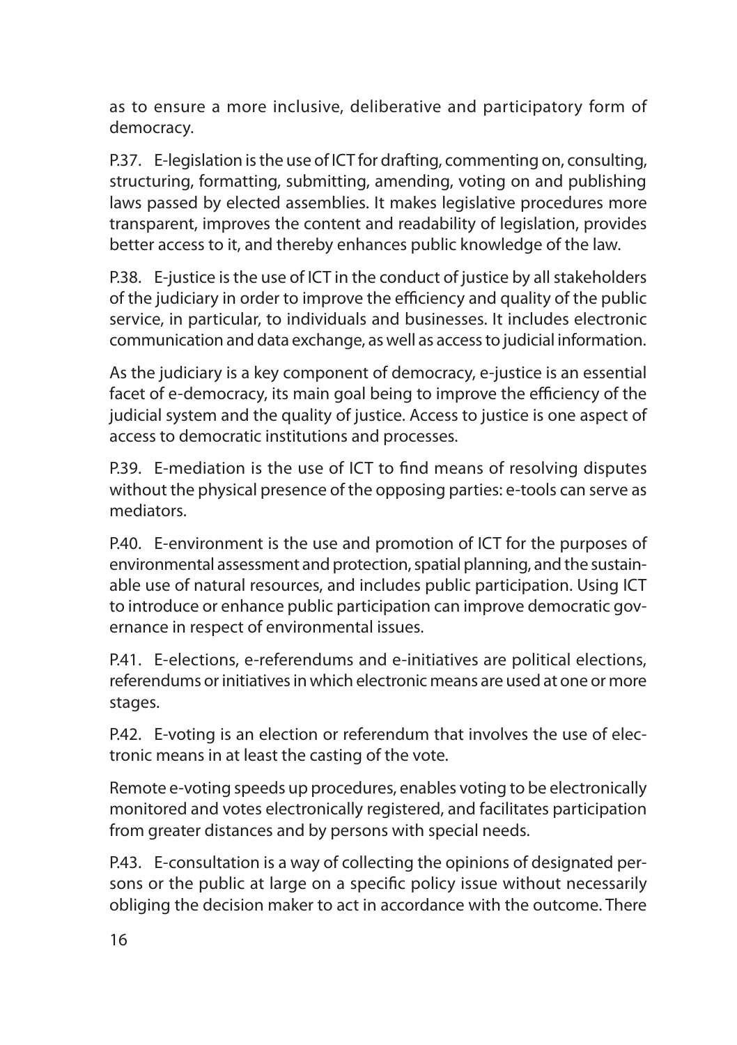as to ensure a more inclusive, deliberative and participatory form of democracy.

P.37. E-legislation is the use of ICT for drafting, commenting on, consulting, structuring, formatting, submitting, amending, voting on and publishing laws passed by elected assemblies. It makes legislative procedures more transparent, improves the content and readability of legislation, provides better access to it, and thereby enhances public knowledge of the law.

P.38. E-justice is the use of ICT in the conduct of justice by all stakeholders of the judiciary in order to improve the efficiency and quality of the public service, in particular, to individuals and businesses. It includes electronic communication and data exchange, as well as access to judicial information.

As the judiciary is a key component of democracy, e-justice is an essential facet of e-democracy, its main goal being to improve the efficiency of the judicial system and the quality of justice. Access to justice is one aspect of access to democratic institutions and processes.

P.39. E-mediation is the use of ICT to find means of resolving disputes without the physical presence of the opposing parties: e-tools can serve as mediators.

P.40. E-environment is the use and promotion of ICT for the purposes of environmental assessment and protection, spatial planning, and the sustainable use of natural resources, and includes public participation. Using ICT to introduce or enhance public participation can improve democratic governance in respect of environmental issues.

P.41. E-elections, e-referendums and e-initiatives are political elections, referendums or initiatives in which electronic means are used at one or more stages.

P.42. E-voting is an election or referendum that involves the use of electronic means in at least the casting of the vote.

Remote e-voting speeds up procedures, enables voting to be electronically monitored and votes electronically registered, and facilitates participation from greater distances and by persons with special needs.

P.43. E-consultation is a way of collecting the opinions of designated persons or the public at large on a specific policy issue without necessarily obliging the decision maker to act in accordance with the outcome. There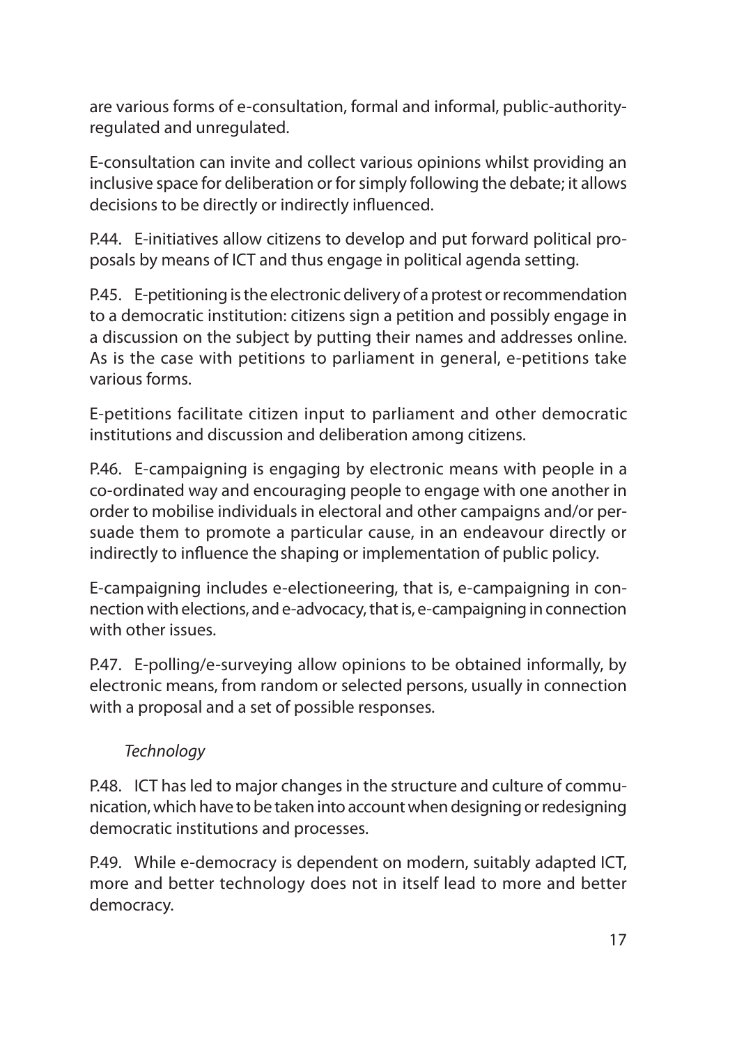are various forms of e-consultation, formal and informal, public-authorityregulated and unregulated.

E-consultation can invite and collect various opinions whilst providing an inclusive space for deliberation or for simply following the debate; it allows decisions to be directly or indirectly influenced.

P.44. E-initiatives allow citizens to develop and put forward political proposals by means of ICT and thus engage in political agenda setting.

P.45. E-petitioning is the electronic delivery of a protest or recommendation to a democratic institution: citizens sign a petition and possibly engage in a discussion on the subject by putting their names and addresses online. As is the case with petitions to parliament in general, e-petitions take various forms.

E-petitions facilitate citizen input to parliament and other democratic institutions and discussion and deliberation among citizens.

P.46. E-campaigning is engaging by electronic means with people in a co-ordinated way and encouraging people to engage with one another in order to mobilise individuals in electoral and other campaigns and/or persuade them to promote a particular cause, in an endeavour directly or indirectly to influence the shaping or implementation of public policy.

E-campaigning includes e-electioneering, that is, e-campaigning in connection with elections, and e-advocacy, that is, e-campaigning in connection with other issues.

P.47. E-polling/e-surveying allow opinions to be obtained informally, by electronic means, from random or selected persons, usually in connection with a proposal and a set of possible responses.

#### *Technology*

P.48. ICT has led to major changes in the structure and culture of communication, which have to be taken into account when designing or redesigning democratic institutions and processes.

P.49. While e-democracy is dependent on modern, suitably adapted ICT, more and better technology does not in itself lead to more and better democracy.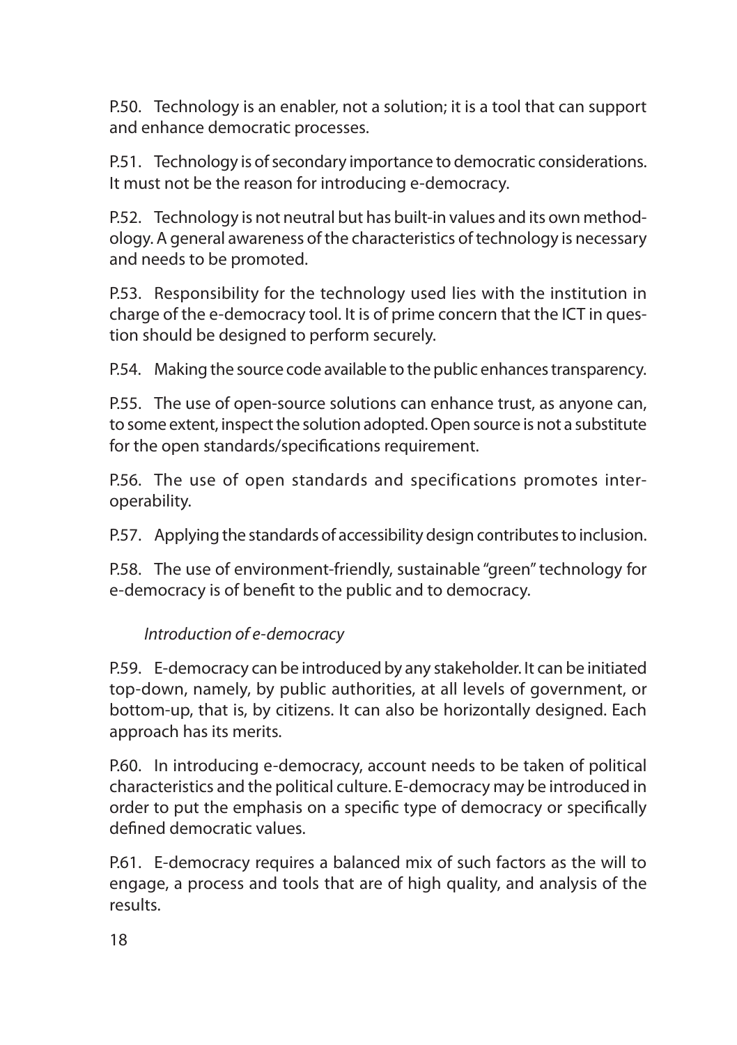P.50. Technology is an enabler, not a solution; it is a tool that can support and enhance democratic processes.

P.51. Technology is of secondary importance to democratic considerations. It must not be the reason for introducing e-democracy.

P.52. Technology is not neutral but has built-in values and its own methodology. A general awareness of the characteristics of technology is necessary and needs to be promoted.

P.53. Responsibility for the technology used lies with the institution in charge of the e-democracy tool. It is of prime concern that the ICT in question should be designed to perform securely.

P.54. Making the source code available to the public enhances transparency.

P.55. The use of open-source solutions can enhance trust, as anyone can, to some extent, inspect the solution adopted. Open source is not a substitute for the open standards/specifications requirement.

P.56. The use of open standards and specifications promotes interoperability.

P.57. Applying the standards of accessibility design contributes to inclusion.

P.58. The use of environment-friendly, sustainable "green" technology for e-democracy is of benefit to the public and to democracy.

#### *Introduction of e-democracy*

P.59. E-democracy can be introduced by any stakeholder. It can be initiated top-down, namely, by public authorities, at all levels of government, or bottom-up, that is, by citizens. It can also be horizontally designed. Each approach has its merits.

P.60. In introducing e-democracy, account needs to be taken of political characteristics and the political culture. E-democracy may be introduced in order to put the emphasis on a specific type of democracy or specifically defined democratic values.

P.61. E-democracy requires a balanced mix of such factors as the will to engage, a process and tools that are of high quality, and analysis of the results.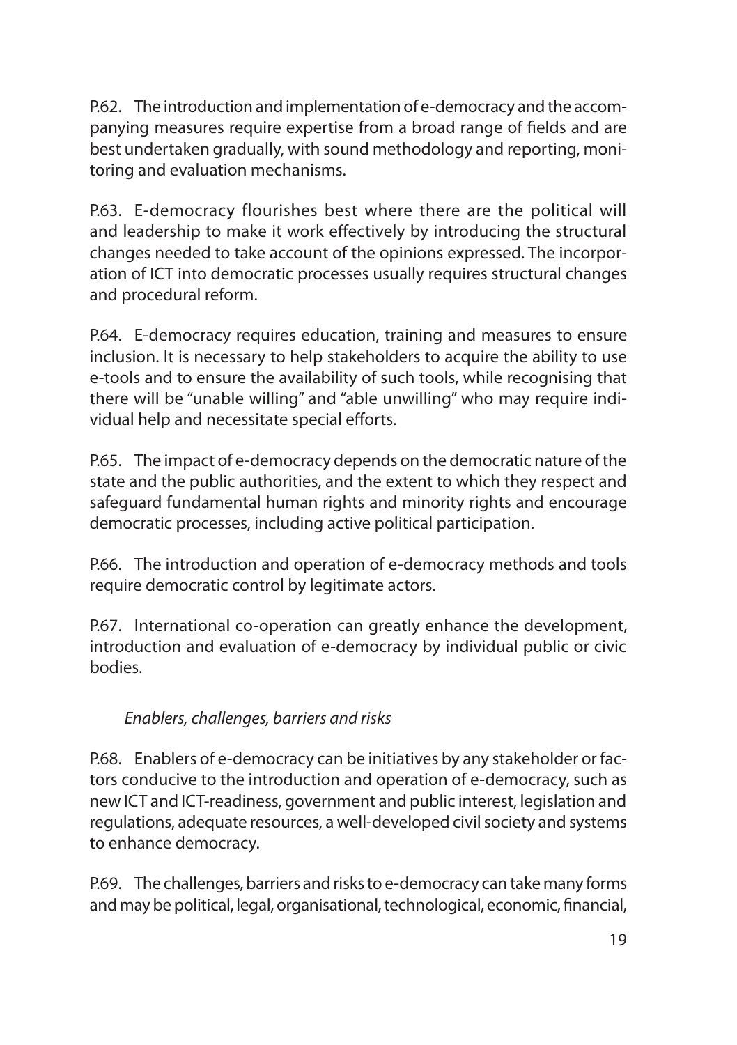P.62. The introduction and implementation of e-democracy and the accompanying measures require expertise from a broad range of fields and are best undertaken gradually, with sound methodology and reporting, monitoring and evaluation mechanisms.

P.63. E-democracy flourishes best where there are the political will and leadership to make it work effectively by introducing the structural changes needed to take account of the opinions expressed. The incorporation of ICT into democratic processes usually requires structural changes and procedural reform.

P.64. E-democracy requires education, training and measures to ensure inclusion. It is necessary to help stakeholders to acquire the ability to use e-tools and to ensure the availability of such tools, while recognising that there will be "unable willing" and "able unwilling" who may require individual help and necessitate special efforts.

P.65. The impact of e-democracy depends on the democratic nature of the state and the public authorities, and the extent to which they respect and safeguard fundamental human rights and minority rights and encourage democratic processes, including active political participation.

P.66. The introduction and operation of e-democracy methods and tools require democratic control by legitimate actors.

P.67. International co-operation can greatly enhance the development, introduction and evaluation of e-democracy by individual public or civic bodies.

## *Enablers, challenges, barriers and risks*

P.68. Enablers of e-democracy can be initiatives by any stakeholder or factors conducive to the introduction and operation of e-democracy, such as new ICT and ICT-readiness, government and public interest, legislation and regulations, adequate resources, a well-developed civil society and systems to enhance democracy.

P.69. The challenges, barriers and risks to e-democracy can take many forms and may be political, legal, organisational, technological, economic, financial,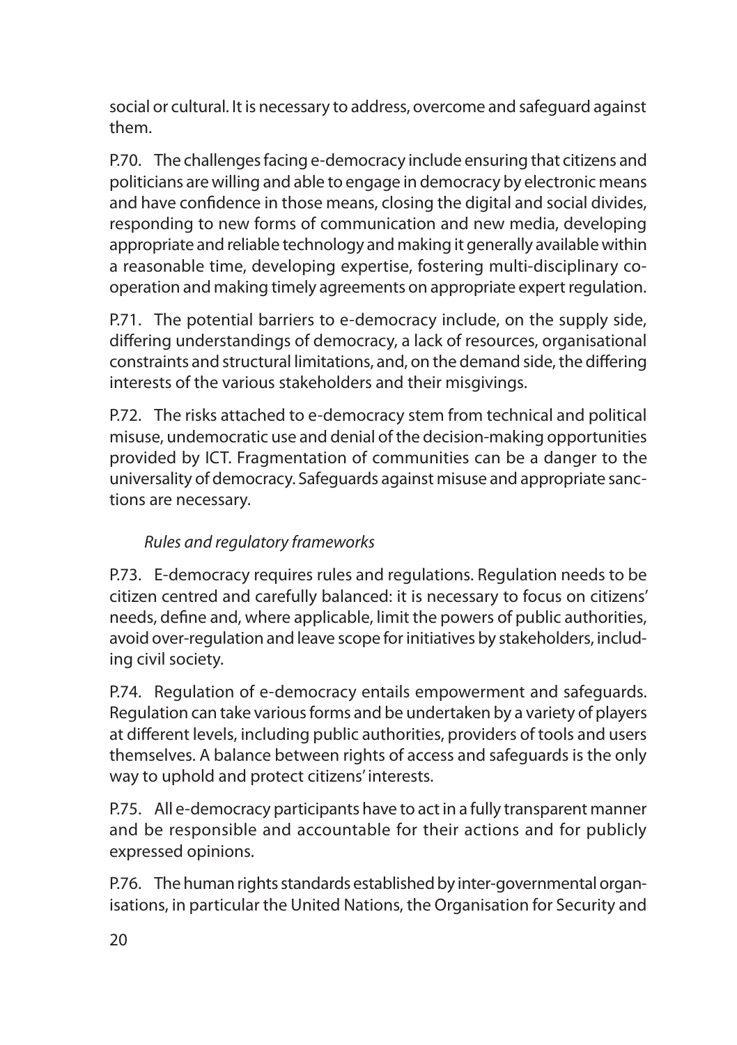social or cultural. It is necessary to address, overcome and safeguard against them.

P.70. The challenges facing e-democracy include ensuring that citizens and politicians are willing and able to engage in democracy by electronic means and have confidence in those means, closing the digital and social divides, responding to new forms of communication and new media, developing appropriate and reliable technology and making it generally available within a reasonable time, developing expertise, fostering multi-disciplinary cooperation and making timely agreements on appropriate expert regulation.

P.71. The potential barriers to e-democracy include, on the supply side, differing understandings of democracy, a lack of resources, organisational constraints and structural limitations, and, on the demand side, the differing interests of the various stakeholders and their misgivings.

P.72. The risks attached to e-democracy stem from technical and political misuse, undemocratic use and denial of the decision-making opportunities provided by ICT. Fragmentation of communities can be a danger to the universality of democracy. Safeguards against misuse and appropriate sanctions are necessary.

# *Rules and regulatory frameworks*

P.73. E-democracy requires rules and regulations. Regulation needs to be citizen centred and carefully balanced: it is necessary to focus on citizens' needs, define and, where applicable, limit the powers of public authorities, avoid over-regulation and leave scope for initiatives by stakeholders, including civil society.

P.74. Regulation of e-democracy entails empowerment and safeguards. Regulation can take various forms and be undertaken by a variety of players at different levels, including public authorities, providers of tools and users themselves. A balance between rights of access and safeguards is the only way to uphold and protect citizens' interests.

P.75. All e-democracy participants have to act in a fully transparent manner and be responsible and accountable for their actions and for publicly expressed opinions.

P.76. The human rights standards established by inter-governmental organisations, in particular the United Nations, the Organisation for Security and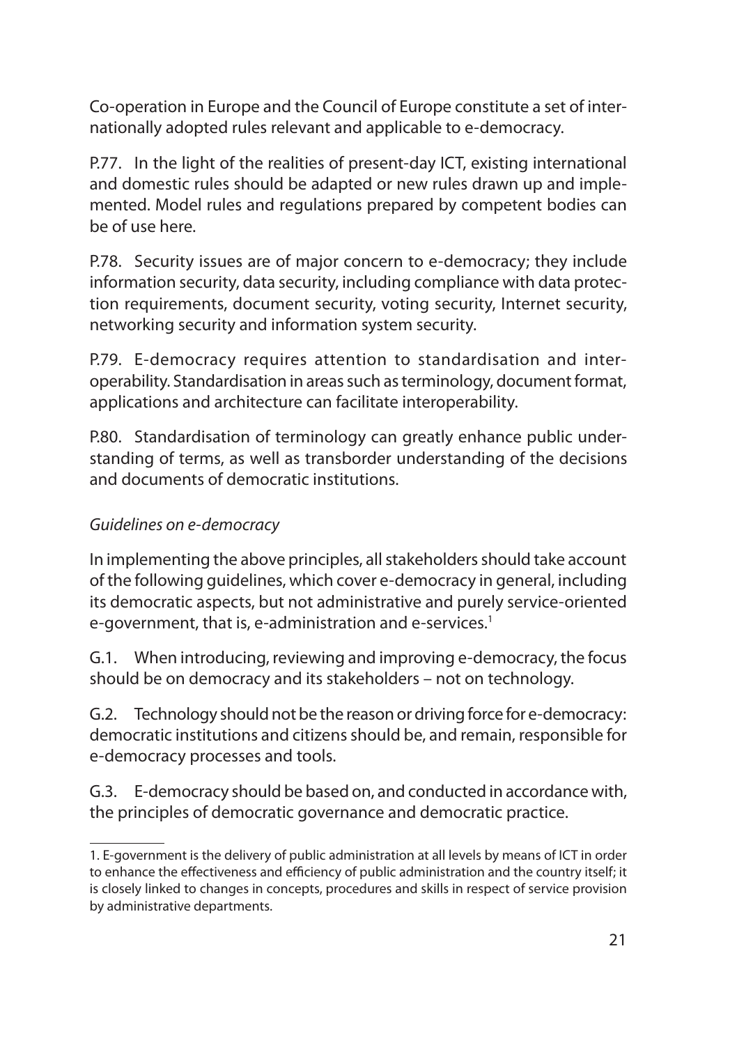Co-operation in Europe and the Council of Europe constitute a set of internationally adopted rules relevant and applicable to e-democracy.

P.77. In the light of the realities of present-day ICT, existing international and domestic rules should be adapted or new rules drawn up and implemented. Model rules and regulations prepared by competent bodies can be of use here.

P.78. Security issues are of major concern to e-democracy; they include information security, data security, including compliance with data protection requirements, document security, voting security, Internet security, networking security and information system security.

P.79. E-democracy requires attention to standardisation and interoperability. Standardisation in areas such as terminology, document format, applications and architecture can facilitate interoperability.

P.80. Standardisation of terminology can greatly enhance public understanding of terms, as well as transborder understanding of the decisions and documents of democratic institutions.

#### *Guidelines on e-democracy*

In implementing the above principles, all stakeholders should take account of the following guidelines, which cover e-democracy in general, including its democratic aspects, but not administrative and purely service-oriented e-government, that is, e-administration and e-services.<sup>1</sup>

G.1. When introducing, reviewing and improving e-democracy, the focus should be on democracy and its stakeholders – not on technology.

G.2. Technology should not be the reason or driving force for e-democracy: democratic institutions and citizens should be, and remain, responsible for e-democracy processes and tools.

G.3. E-democracy should be based on, and conducted in accordance with, the principles of democratic governance and democratic practice.

<sup>1.</sup> E-government is the delivery of public administration at all levels by means of ICT in order to enhance the effectiveness and efficiency of public administration and the country itself; it is closely linked to changes in concepts, procedures and skills in respect of service provision by administrative departments.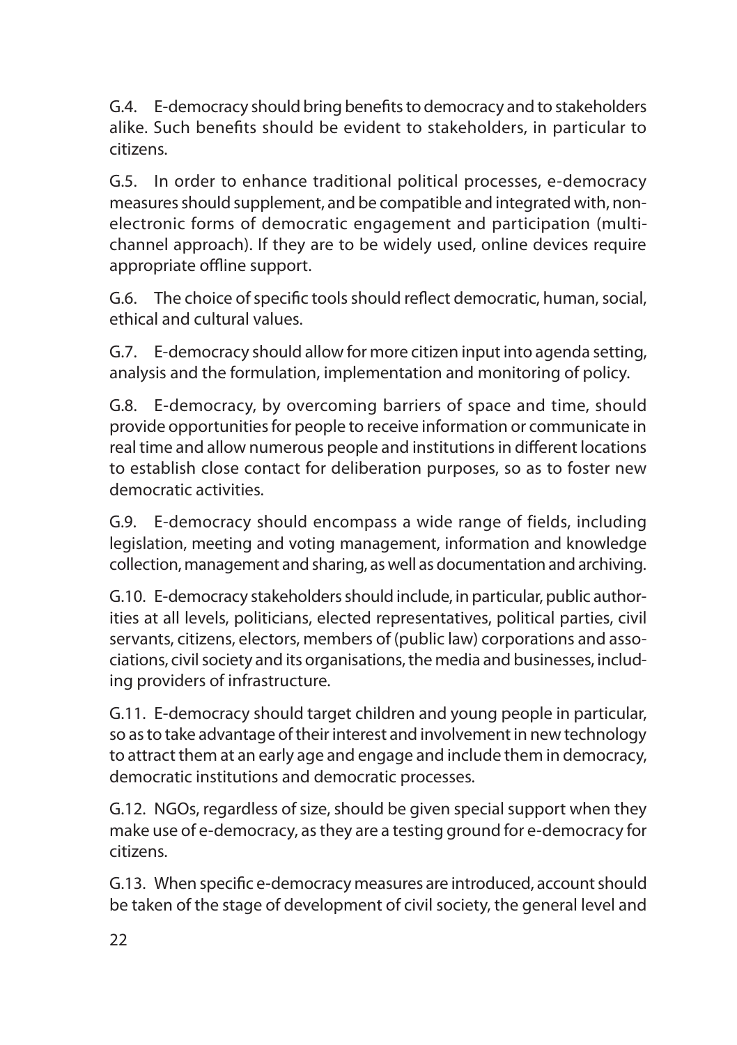G.4. E-democracy should bring benefits to democracy and to stakeholders alike. Such benefits should be evident to stakeholders, in particular to citizens.

G.5. In order to enhance traditional political processes, e-democracy measures should supplement, and be compatible and integrated with, nonelectronic forms of democratic engagement and participation (multichannel approach). If they are to be widely used, online devices require appropriate offline support.

G.6. The choice of specific tools should reflect democratic, human, social, ethical and cultural values.

G.7. E-democracy should allow for more citizen input into agenda setting, analysis and the formulation, implementation and monitoring of policy.

G.8. E-democracy, by overcoming barriers of space and time, should provide opportunities for people to receive information or communicate in real time and allow numerous people and institutions in different locations to establish close contact for deliberation purposes, so as to foster new democratic activities.

G.9. E-democracy should encompass a wide range of fields, including legislation, meeting and voting management, information and knowledge collection, management and sharing, as well as documentation and archiving.

G.10. E-democracy stakeholders should include, in particular, public authorities at all levels, politicians, elected representatives, political parties, civil servants, citizens, electors, members of (public law) corporations and associations, civil society and its organisations, the media and businesses, including providers of infrastructure.

G.11. E-democracy should target children and young people in particular, so as to take advantage of their interest and involvement in new technology to attract them at an early age and engage and include them in democracy, democratic institutions and democratic processes.

G.12. NGOs, regardless of size, should be given special support when they make use of e-democracy, as they are a testing ground for e-democracy for citizens.

G.13. When specific e-democracy measures are introduced, account should be taken of the stage of development of civil society, the general level and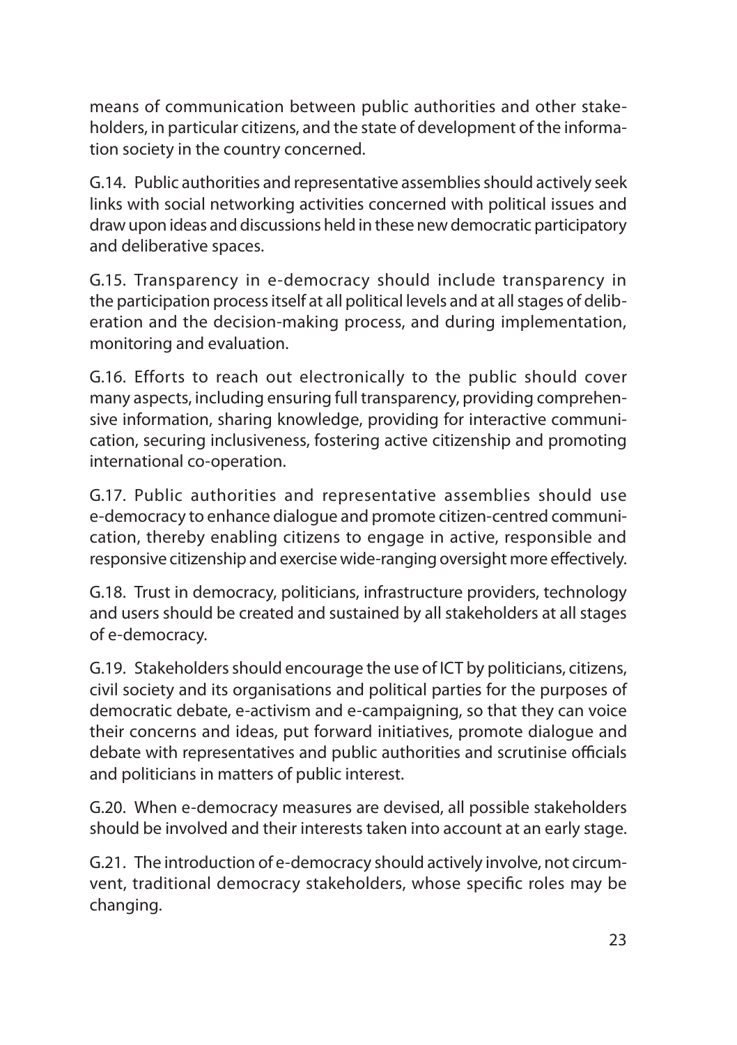means of communication between public authorities and other stakeholders, in particular citizens, and the state of development of the information society in the country concerned.

G.14. Public authorities and representative assemblies should actively seek links with social networking activities concerned with political issues and draw upon ideas and discussions held in these new democratic participatory and deliberative spaces.

G.15. Transparency in e-democracy should include transparency in the participation process itself at all political levels and at all stages of deliberation and the decision-making process, and during implementation, monitoring and evaluation.

G.16. Efforts to reach out electronically to the public should cover many aspects, including ensuring full transparency, providing comprehensive information, sharing knowledge, providing for interactive communication, securing inclusiveness, fostering active citizenship and promoting international co-operation.

G.17. Public authorities and representative assemblies should use e-democracy to enhance dialogue and promote citizen-centred communication, thereby enabling citizens to engage in active, responsible and responsive citizenship and exercise wide-ranging oversight more effectively.

G.18. Trust in democracy, politicians, infrastructure providers, technology and users should be created and sustained by all stakeholders at all stages of e-democracy.

G.19. Stakeholders should encourage the use of ICT by politicians, citizens, civil society and its organisations and political parties for the purposes of democratic debate, e-activism and e-campaigning, so that they can voice their concerns and ideas, put forward initiatives, promote dialogue and debate with representatives and public authorities and scrutinise officials and politicians in matters of public interest.

G.20. When e-democracy measures are devised, all possible stakeholders should be involved and their interests taken into account at an early stage.

G.21. The introduction of e-democracy should actively involve, not circumvent, traditional democracy stakeholders, whose specific roles may be changing.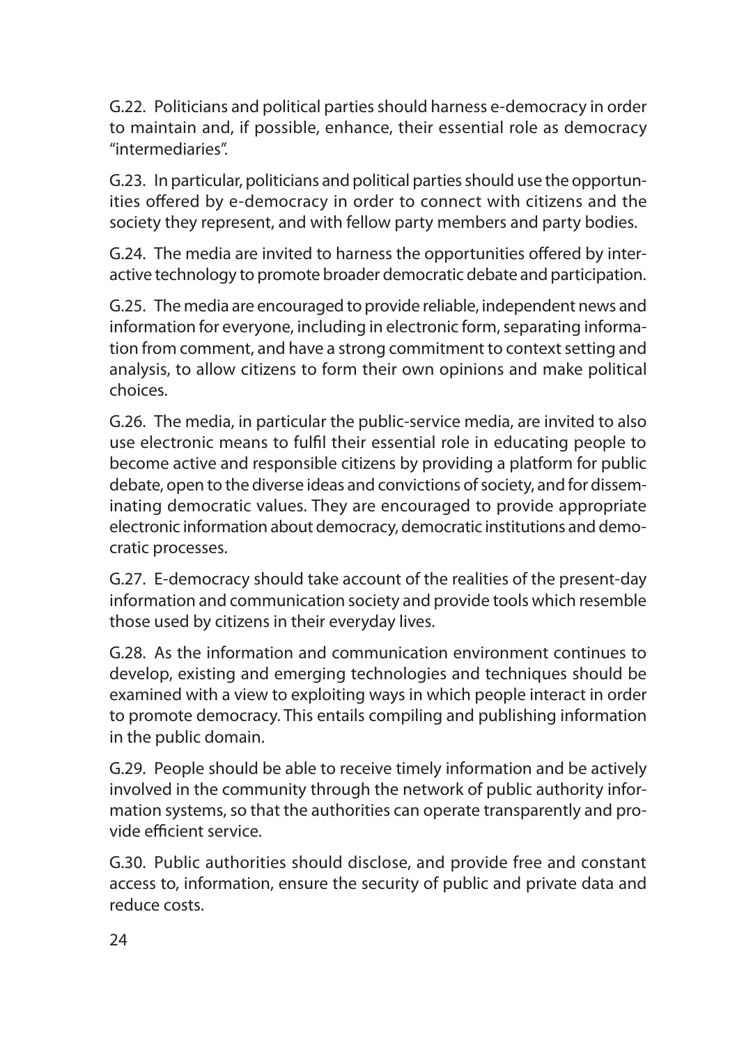G.22. Politicians and political parties should harness e-democracy in order to maintain and, if possible, enhance, their essential role as democracy "intermediaries".

G.23. In particular, politicians and political parties should use the opportunities offered by e-democracy in order to connect with citizens and the society they represent, and with fellow party members and party bodies.

G.24. The media are invited to harness the opportunities offered by interactive technology to promote broader democratic debate and participation.

G.25. The media are encouraged to provide reliable, independent news and information for everyone, including in electronic form, separating information from comment, and have a strong commitment to context setting and analysis, to allow citizens to form their own opinions and make political choices.

G.26. The media, in particular the public-service media, are invited to also use electronic means to fulfil their essential role in educating people to become active and responsible citizens by providing a platform for public debate, open to the diverse ideas and convictions of society, and for disseminating democratic values. They are encouraged to provide appropriate electronic information about democracy, democratic institutions and democratic processes.

G.27. E-democracy should take account of the realities of the present-day information and communication society and provide tools which resemble those used by citizens in their everyday lives.

G.28. As the information and communication environment continues to develop, existing and emerging technologies and techniques should be examined with a view to exploiting ways in which people interact in order to promote democracy. This entails compiling and publishing information in the public domain.

G.29. People should be able to receive timely information and be actively involved in the community through the network of public authority information systems, so that the authorities can operate transparently and provide efficient service.

G.30. Public authorities should disclose, and provide free and constant access to, information, ensure the security of public and private data and reduce costs.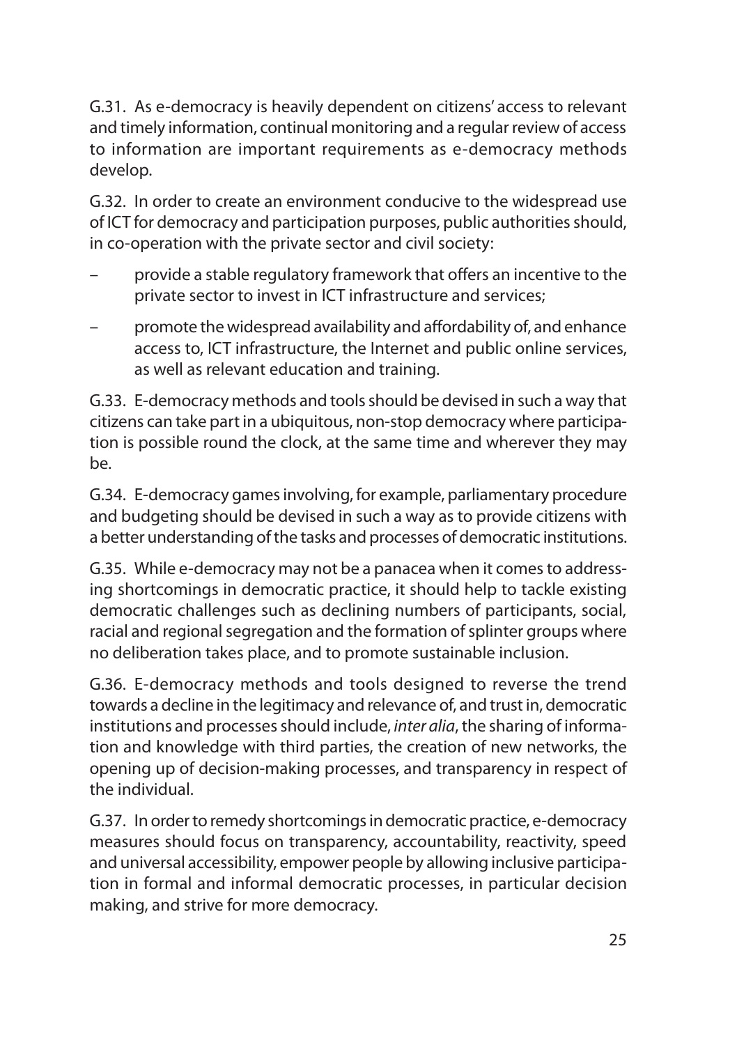G.31. As e-democracy is heavily dependent on citizens' access to relevant and timely information, continual monitoring and a regular review of access to information are important requirements as e-democracy methods develop.

G.32. In order to create an environment conducive to the widespread use of ICT for democracy and participation purposes, public authorities should, in co-operation with the private sector and civil society:

- provide a stable regulatory framework that offers an incentive to the private sector to invest in ICT infrastructure and services;
- promote the widespread availability and affordability of, and enhance access to, ICT infrastructure, the Internet and public online services, as well as relevant education and training.

G.33. E-democracy methods and tools should be devised in such a way that citizens can take part in a ubiquitous, non-stop democracy where participation is possible round the clock, at the same time and wherever they may be.

G.34. E-democracy games involving, for example, parliamentary procedure and budgeting should be devised in such a way as to provide citizens with a better understanding of the tasks and processes of democratic institutions.

G.35. While e-democracy may not be a panacea when it comes to addressing shortcomings in democratic practice, it should help to tackle existing democratic challenges such as declining numbers of participants, social, racial and regional segregation and the formation of splinter groups where no deliberation takes place, and to promote sustainable inclusion.

G.36. E-democracy methods and tools designed to reverse the trend towards a decline in the legitimacy and relevance of, and trust in, democratic institutions and processes should include, *inter alia*, the sharing of information and knowledge with third parties, the creation of new networks, the opening up of decision-making processes, and transparency in respect of the individual.

G.37. In order to remedy shortcomings in democratic practice, e-democracy measures should focus on transparency, accountability, reactivity, speed and universal accessibility, empower people by allowing inclusive participation in formal and informal democratic processes, in particular decision making, and strive for more democracy.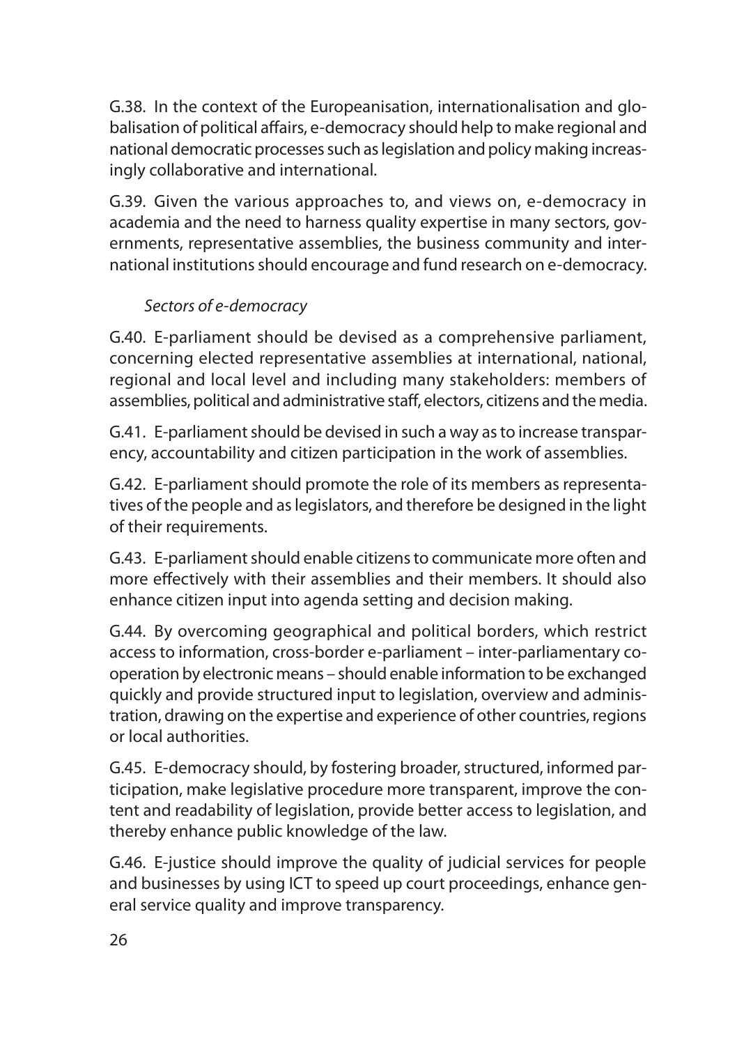G.38. In the context of the Europeanisation, internationalisation and globalisation of political affairs, e-democracy should help to make regional and national democratic processes such as legislation and policy making increasingly collaborative and international.

G.39. Given the various approaches to, and views on, e-democracy in academia and the need to harness quality expertise in many sectors, governments, representative assemblies, the business community and international institutions should encourage and fund research on e-democracy.

## *Sectors of e-democracy*

G.40. E-parliament should be devised as a comprehensive parliament, concerning elected representative assemblies at international, national, regional and local level and including many stakeholders: members of assemblies, political and administrative staff, electors, citizens and the media.

G.41. E-parliament should be devised in such a way as to increase transparency, accountability and citizen participation in the work of assemblies.

G.42. E-parliament should promote the role of its members as representatives of the people and as legislators, and therefore be designed in the light of their requirements.

G.43. E-parliament should enable citizens to communicate more often and more effectively with their assemblies and their members. It should also enhance citizen input into agenda setting and decision making.

G.44. By overcoming geographical and political borders, which restrict access to information, cross-border e-parliament – inter-parliamentary cooperation by electronic means – should enable information to be exchanged quickly and provide structured input to legislation, overview and administration, drawing on the expertise and experience of other countries, regions or local authorities.

G.45. E-democracy should, by fostering broader, structured, informed participation, make legislative procedure more transparent, improve the content and readability of legislation, provide better access to legislation, and thereby enhance public knowledge of the law.

G.46. E-justice should improve the quality of judicial services for people and businesses by using ICT to speed up court proceedings, enhance general service quality and improve transparency.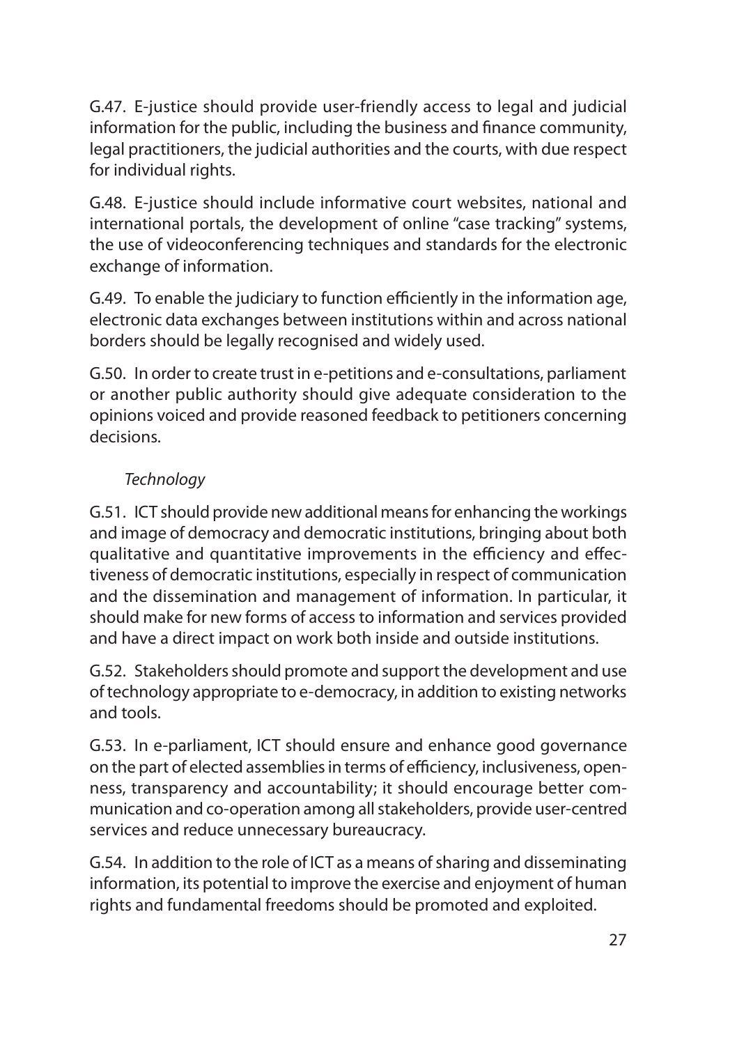G.47. E-justice should provide user-friendly access to legal and judicial information for the public, including the business and finance community, legal practitioners, the judicial authorities and the courts, with due respect for individual rights.

G.48. E-justice should include informative court websites, national and international portals, the development of online "case tracking" systems, the use of videoconferencing techniques and standards for the electronic exchange of information.

G.49. To enable the judiciary to function efficiently in the information age, electronic data exchanges between institutions within and across national borders should be legally recognised and widely used.

G.50. In order to create trust in e-petitions and e-consultations, parliament or another public authority should give adequate consideration to the opinions voiced and provide reasoned feedback to petitioners concerning decisions.

# *Technology*

G.51. ICT should provide new additional means for enhancing the workings and image of democracy and democratic institutions, bringing about both qualitative and quantitative improvements in the efficiency and effectiveness of democratic institutions, especially in respect of communication and the dissemination and management of information. In particular, it should make for new forms of access to information and services provided and have a direct impact on work both inside and outside institutions.

G.52. Stakeholders should promote and support the development and use of technology appropriate to e-democracy, in addition to existing networks and tools.

G.53. In e-parliament, ICT should ensure and enhance good governance on the part of elected assemblies in terms of efficiency, inclusiveness, openness, transparency and accountability; it should encourage better communication and co-operation among all stakeholders, provide user-centred services and reduce unnecessary bureaucracy.

G.54. In addition to the role of ICT as a means of sharing and disseminating information, its potential to improve the exercise and enjoyment of human rights and fundamental freedoms should be promoted and exploited.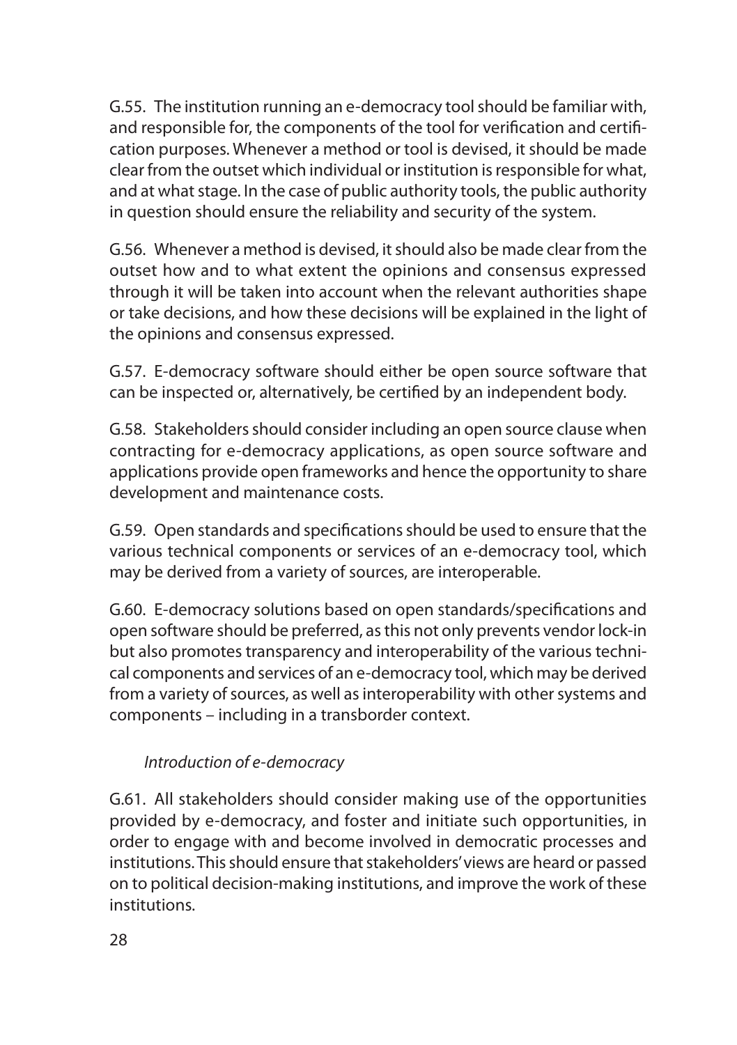G.55. The institution running an e-democracy tool should be familiar with, and responsible for, the components of the tool for verification and certification purposes. Whenever a method or tool is devised, it should be made clear from the outset which individual or institution is responsible for what, and at what stage. In the case of public authority tools, the public authority in question should ensure the reliability and security of the system.

G.56. Whenever a method is devised, it should also be made clear from the outset how and to what extent the opinions and consensus expressed through it will be taken into account when the relevant authorities shape or take decisions, and how these decisions will be explained in the light of the opinions and consensus expressed.

G.57. E-democracy software should either be open source software that can be inspected or, alternatively, be certified by an independent body.

G.58. Stakeholders should consider including an open source clause when contracting for e-democracy applications, as open source software and applications provide open frameworks and hence the opportunity to share development and maintenance costs.

G.59. Open standards and specifications should be used to ensure that the various technical components or services of an e-democracy tool, which may be derived from a variety of sources, are interoperable.

G.60. E-democracy solutions based on open standards/specifications and open software should be preferred, as this not only prevents vendor lock-in but also promotes transparency and interoperability of the various technical components and services of an e-democracy tool, which may be derived from a variety of sources, as well as interoperability with other systems and components – including in a transborder context.

#### *Introduction of e-democracy*

G.61. All stakeholders should consider making use of the opportunities provided by e-democracy, and foster and initiate such opportunities, in order to engage with and become involved in democratic processes and institutions. This should ensure that stakeholders' views are heard or passed on to political decision-making institutions, and improve the work of these institutions.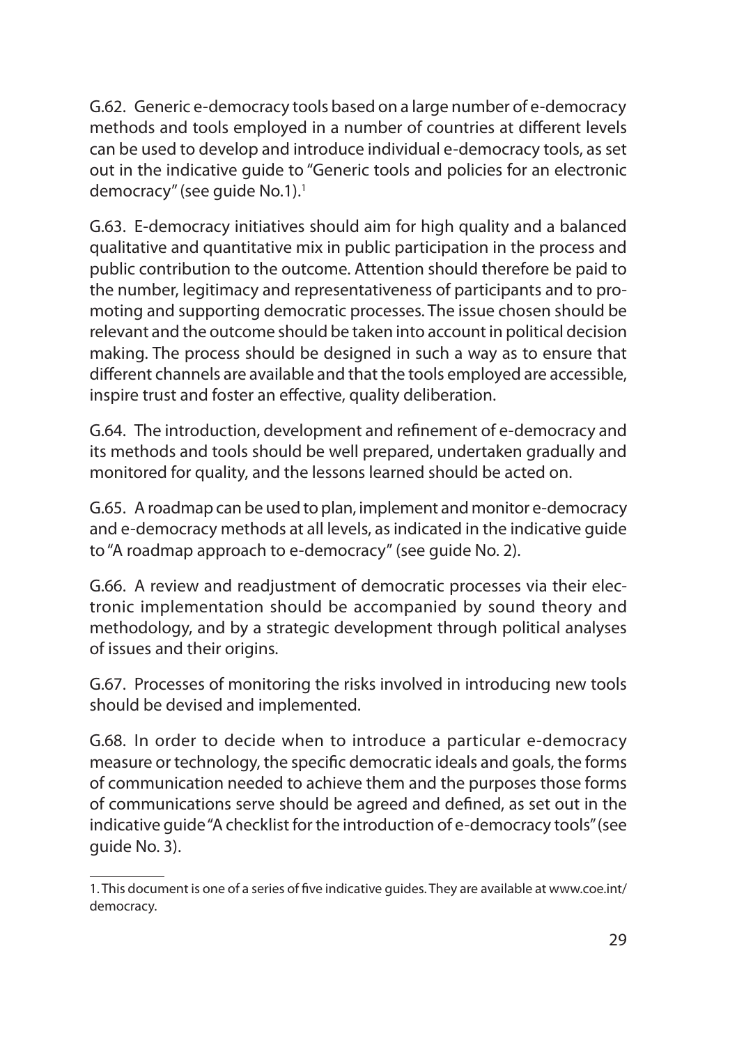G.62. Generic e-democracy tools based on a large number of e-democracy methods and tools employed in a number of countries at different levels can be used to develop and introduce individual e-democracy tools, as set out in the indicative guide to "Generic tools and policies for an electronic democracy" (see quide No.1).<sup>1</sup>

G.63. E-democracy initiatives should aim for high quality and a balanced qualitative and quantitative mix in public participation in the process and public contribution to the outcome. Attention should therefore be paid to the number, legitimacy and representativeness of participants and to promoting and supporting democratic processes. The issue chosen should be relevant and the outcome should be taken into account in political decision making. The process should be designed in such a way as to ensure that different channels are available and that the tools employed are accessible, inspire trust and foster an effective, quality deliberation.

G.64. The introduction, development and refinement of e-democracy and its methods and tools should be well prepared, undertaken gradually and monitored for quality, and the lessons learned should be acted on.

G.65. A roadmap can be used to plan, implement and monitor e-democracy and e-democracy methods at all levels, as indicated in the indicative guide to "A roadmap approach to e-democracy" (see guide No. 2).

G.66. A review and readjustment of democratic processes via their electronic implementation should be accompanied by sound theory and methodology, and by a strategic development through political analyses of issues and their origins.

G.67. Processes of monitoring the risks involved in introducing new tools should be devised and implemented.

G.68. In order to decide when to introduce a particular e-democracy measure or technology, the specific democratic ideals and goals, the forms of communication needed to achieve them and the purposes those forms of communications serve should be agreed and defined, as set out in the indicative guide "A checklist for the introduction of e-democracy tools" (see guide No. 3).

<sup>1.</sup> This document is one of a series of five indicative guides. They are available at www.coe.int/ democracy.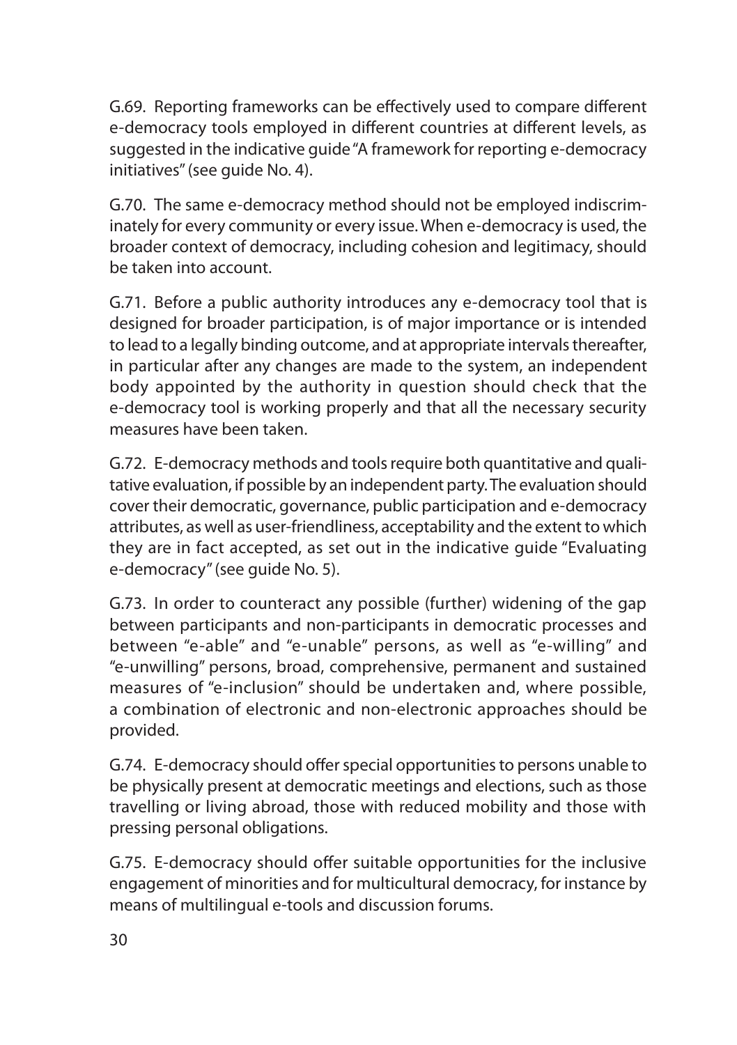G.69. Reporting frameworks can be effectively used to compare different e-democracy tools employed in different countries at different levels, as suggested in the indicative guide "A framework for reporting e-democracy initiatives" (see guide No. 4).

G.70. The same e-democracy method should not be employed indiscriminately for every community or every issue. When e-democracy is used, the broader context of democracy, including cohesion and legitimacy, should be taken into account.

G.71. Before a public authority introduces any e-democracy tool that is designed for broader participation, is of major importance or is intended to lead to a legally binding outcome, and at appropriate intervals thereafter, in particular after any changes are made to the system, an independent body appointed by the authority in question should check that the e-democracy tool is working properly and that all the necessary security measures have been taken.

G.72. E-democracy methods and tools require both quantitative and qualitative evaluation, if possible by an independent party. The evaluation should cover their democratic, governance, public participation and e-democracy attributes, as well as user-friendliness, acceptability and the extent to which they are in fact accepted, as set out in the indicative guide "Evaluating e-democracy" (see guide No. 5).

G.73. In order to counteract any possible (further) widening of the gap between participants and non-participants in democratic processes and between "e-able" and "e-unable" persons, as well as "e-willing" and "e-unwilling" persons, broad, comprehensive, permanent and sustained measures of "e-inclusion" should be undertaken and, where possible, a combination of electronic and non-electronic approaches should be provided.

G.74. E-democracy should offer special opportunities to persons unable to be physically present at democratic meetings and elections, such as those travelling or living abroad, those with reduced mobility and those with pressing personal obligations.

G.75. E-democracy should offer suitable opportunities for the inclusive engagement of minorities and for multicultural democracy, for instance by means of multilingual e-tools and discussion forums.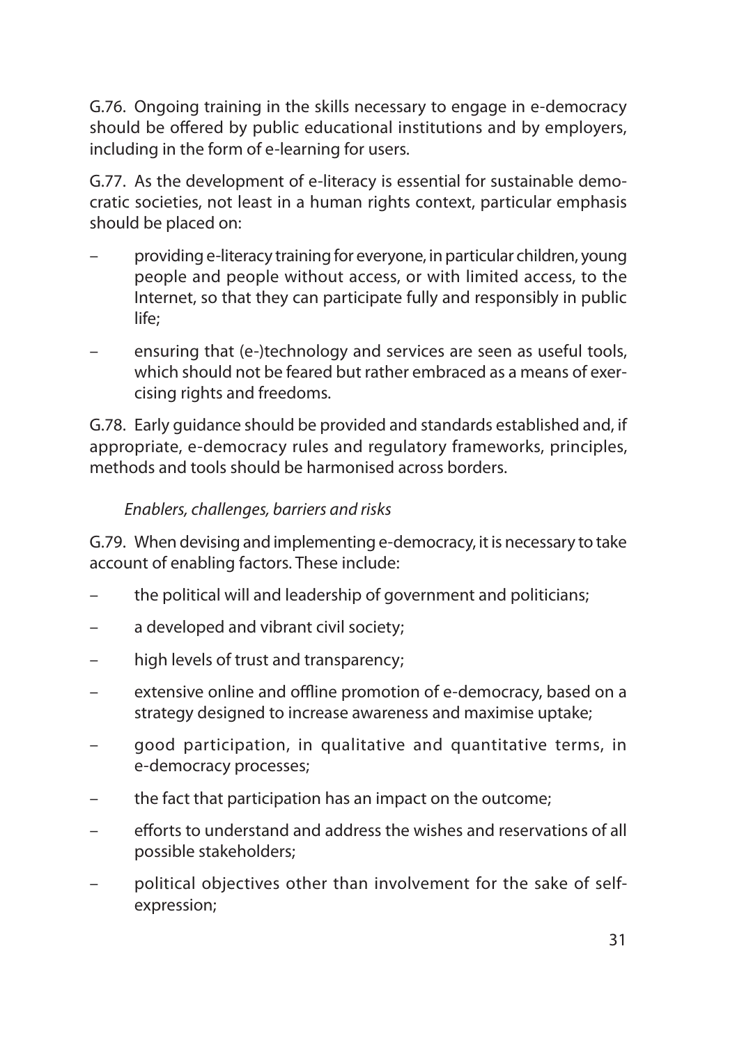G.76. Ongoing training in the skills necessary to engage in e-democracy should be offered by public educational institutions and by employers, including in the form of e-learning for users.

G.77. As the development of e-literacy is essential for sustainable democratic societies, not least in a human rights context, particular emphasis should be placed on:

- providing e-literacy training for everyone, in particular children, young people and people without access, or with limited access, to the Internet, so that they can participate fully and responsibly in public life;
- ensuring that (e-)technology and services are seen as useful tools, which should not be feared but rather embraced as a means of exercising rights and freedoms.

G.78. Early guidance should be provided and standards established and, if appropriate, e-democracy rules and regulatory frameworks, principles, methods and tools should be harmonised across borders.

#### *Enablers, challenges, barriers and risks*

G.79. When devising and implementing e-democracy, it is necessary to take account of enabling factors. These include:

- the political will and leadership of government and politicians;
- a developed and vibrant civil society;
- high levels of trust and transparency;
- extensive online and offline promotion of e-democracy, based on a strategy designed to increase awareness and maximise uptake;
- good participation, in qualitative and quantitative terms, in e-democracy processes;
- the fact that participation has an impact on the outcome;
- efforts to understand and address the wishes and reservations of all possible stakeholders;
- political objectives other than involvement for the sake of selfexpression;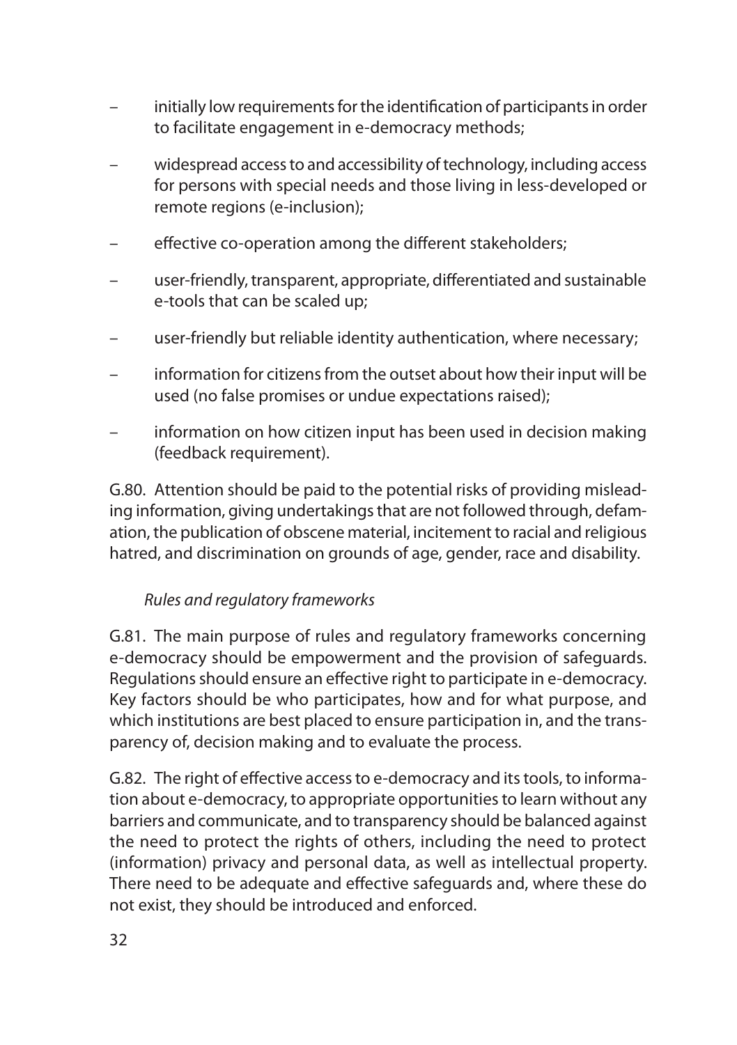- initially low requirements for the identification of participants in order to facilitate engagement in e-democracy methods;
- widespread access to and accessibility of technology, including access for persons with special needs and those living in less-developed or remote regions (e-inclusion);
- effective co-operation among the different stakeholders;
- user-friendly, transparent, appropriate, differentiated and sustainable e-tools that can be scaled up;
- user-friendly but reliable identity authentication, where necessary;
- information for citizens from the outset about how their input will be used (no false promises or undue expectations raised);
- information on how citizen input has been used in decision making (feedback requirement).

G.80. Attention should be paid to the potential risks of providing misleading information, giving undertakings that are not followed through, defamation, the publication of obscene material, incitement to racial and religious hatred, and discrimination on grounds of age, gender, race and disability.

#### *Rules and regulatory frameworks*

G.81. The main purpose of rules and regulatory frameworks concerning e-democracy should be empowerment and the provision of safeguards. Regulations should ensure an effective right to participate in e-democracy. Key factors should be who participates, how and for what purpose, and which institutions are best placed to ensure participation in, and the transparency of, decision making and to evaluate the process.

G.82. The right of effective access to e-democracy and its tools, to information about e-democracy, to appropriate opportunities to learn without any barriers and communicate, and to transparency should be balanced against the need to protect the rights of others, including the need to protect (information) privacy and personal data, as well as intellectual property. There need to be adequate and effective safeguards and, where these do not exist, they should be introduced and enforced.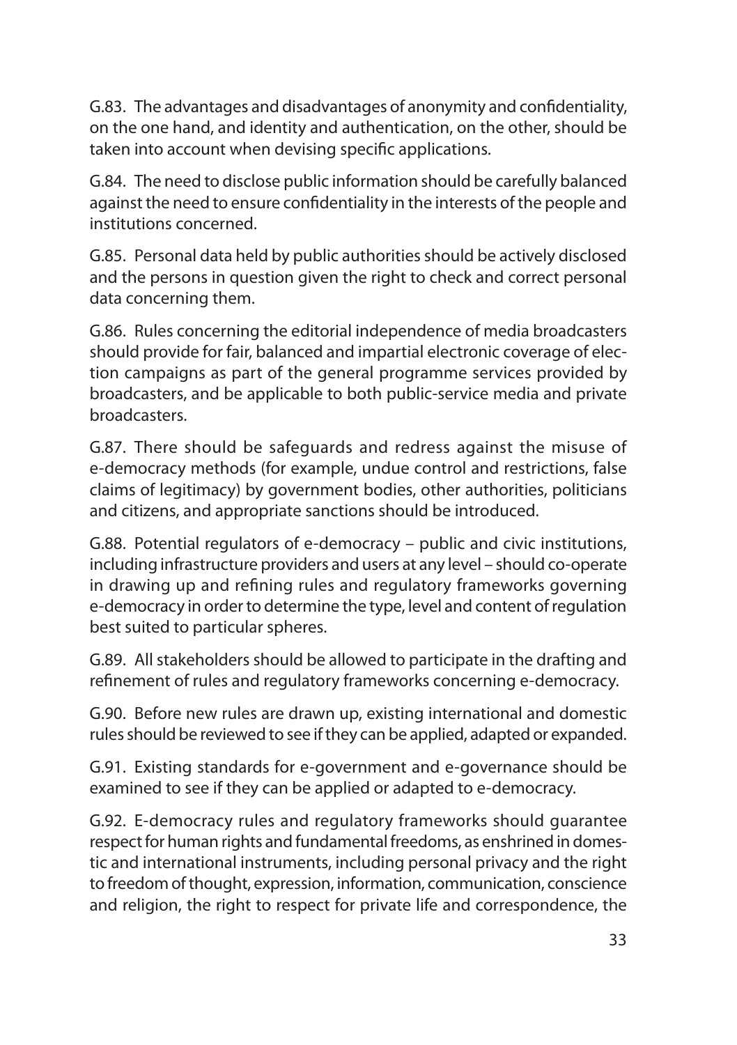G.83. The advantages and disadvantages of anonymity and confidentiality, on the one hand, and identity and authentication, on the other, should be taken into account when devising specific applications.

G.84. The need to disclose public information should be carefully balanced against the need to ensure confidentiality in the interests of the people and institutions concerned.

G.85. Personal data held by public authorities should be actively disclosed and the persons in question given the right to check and correct personal data concerning them.

G.86. Rules concerning the editorial independence of media broadcasters should provide for fair, balanced and impartial electronic coverage of election campaigns as part of the general programme services provided by broadcasters, and be applicable to both public-service media and private broadcasters.

G.87. There should be safeguards and redress against the misuse of e-democracy methods (for example, undue control and restrictions, false claims of legitimacy) by government bodies, other authorities, politicians and citizens, and appropriate sanctions should be introduced.

G.88. Potential regulators of e-democracy – public and civic institutions, including infrastructure providers and users at any level – should co-operate in drawing up and refining rules and regulatory frameworks governing e-democracy in order to determine the type, level and content of regulation best suited to particular spheres.

G.89. All stakeholders should be allowed to participate in the drafting and refinement of rules and regulatory frameworks concerning e-democracy.

G.90. Before new rules are drawn up, existing international and domestic rules should be reviewed to see if they can be applied, adapted or expanded.

G.91. Existing standards for e-government and e-governance should be examined to see if they can be applied or adapted to e-democracy.

G.92. E-democracy rules and regulatory frameworks should guarantee respect for human rights and fundamental freedoms, as enshrined in domestic and international instruments, including personal privacy and the right to freedom of thought, expression, information, communication, conscience and religion, the right to respect for private life and correspondence, the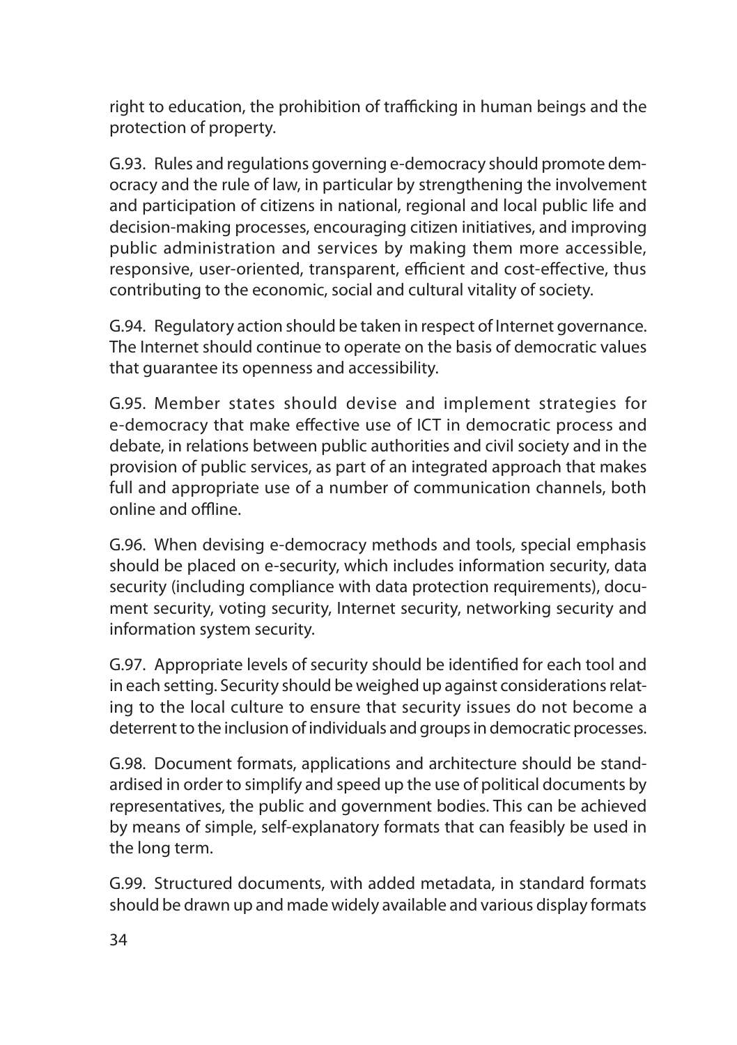right to education, the prohibition of trafficking in human beings and the protection of property.

G.93. Rules and regulations governing e-democracy should promote democracy and the rule of law, in particular by strengthening the involvement and participation of citizens in national, regional and local public life and decision-making processes, encouraging citizen initiatives, and improving public administration and services by making them more accessible, responsive, user-oriented, transparent, efficient and cost-effective, thus contributing to the economic, social and cultural vitality of society.

G.94. Regulatory action should be taken in respect of Internet governance. The Internet should continue to operate on the basis of democratic values that guarantee its openness and accessibility.

G.95. Member states should devise and implement strategies for e-democracy that make effective use of ICT in democratic process and debate, in relations between public authorities and civil society and in the provision of public services, as part of an integrated approach that makes full and appropriate use of a number of communication channels, both online and offline.

G.96. When devising e-democracy methods and tools, special emphasis should be placed on e-security, which includes information security, data security (including compliance with data protection requirements), document security, voting security, Internet security, networking security and information system security.

G.97. Appropriate levels of security should be identified for each tool and in each setting. Security should be weighed up against considerations relating to the local culture to ensure that security issues do not become a deterrent to the inclusion of individuals and groups in democratic processes.

G.98. Document formats, applications and architecture should be standardised in order to simplify and speed up the use of political documents by representatives, the public and government bodies. This can be achieved by means of simple, self-explanatory formats that can feasibly be used in the long term.

G.99. Structured documents, with added metadata, in standard formats should be drawn up and made widely available and various display formats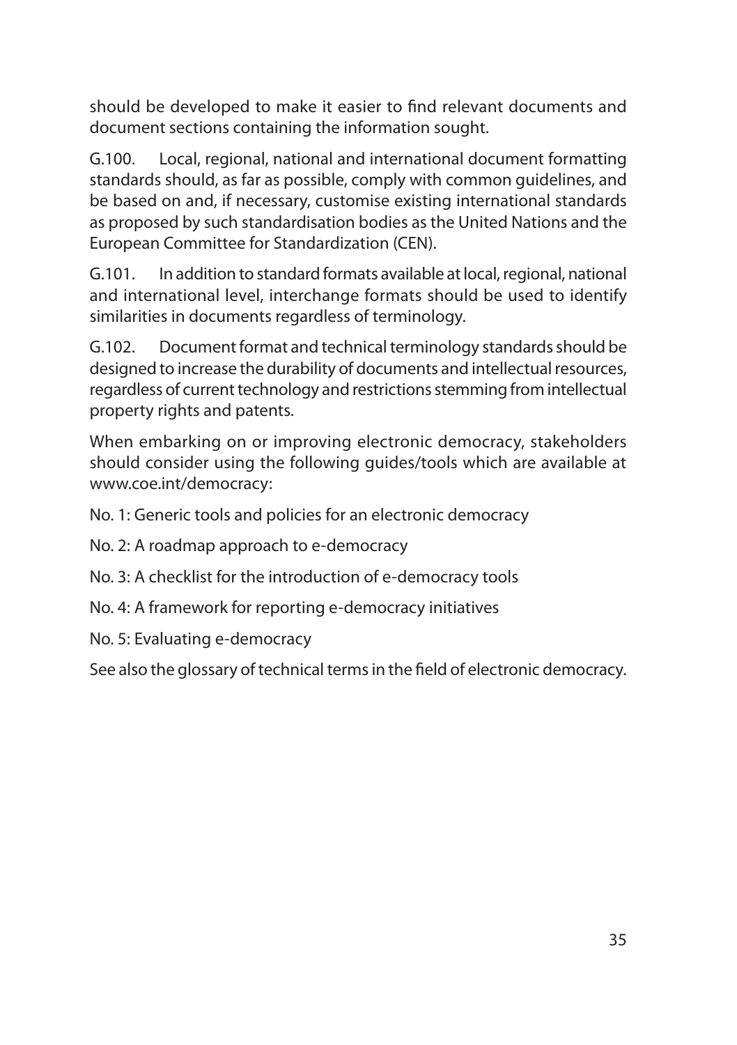should be developed to make it easier to find relevant documents and document sections containing the information sought.

G.100. Local, regional, national and international document formatting standards should, as far as possible, comply with common guidelines, and be based on and, if necessary, customise existing international standards as proposed by such standardisation bodies as the United Nations and the European Committee for Standardization (CEN).

G.101. In addition to standard formats available at local, regional, national and international level, interchange formats should be used to identify similarities in documents regardless of terminology.

G.102. Document format and technical terminology standards should be designed to increase the durability of documents and intellectual resources, regardless of current technology and restrictions stemming from intellectual property rights and patents.

When embarking on or improving electronic democracy, stakeholders should consider using the following guides/tools which are available at www.coe.int/democracy:

No. 1: Generic tools and policies for an electronic democracy

No. 2: A roadmap approach to e-democracy

No. 3: A checklist for the introduction of e-democracy tools

No. 4: A framework for reporting e-democracy initiatives

No. 5: Evaluating e-democracy

See also the glossary of technical terms in the field of electronic democracy.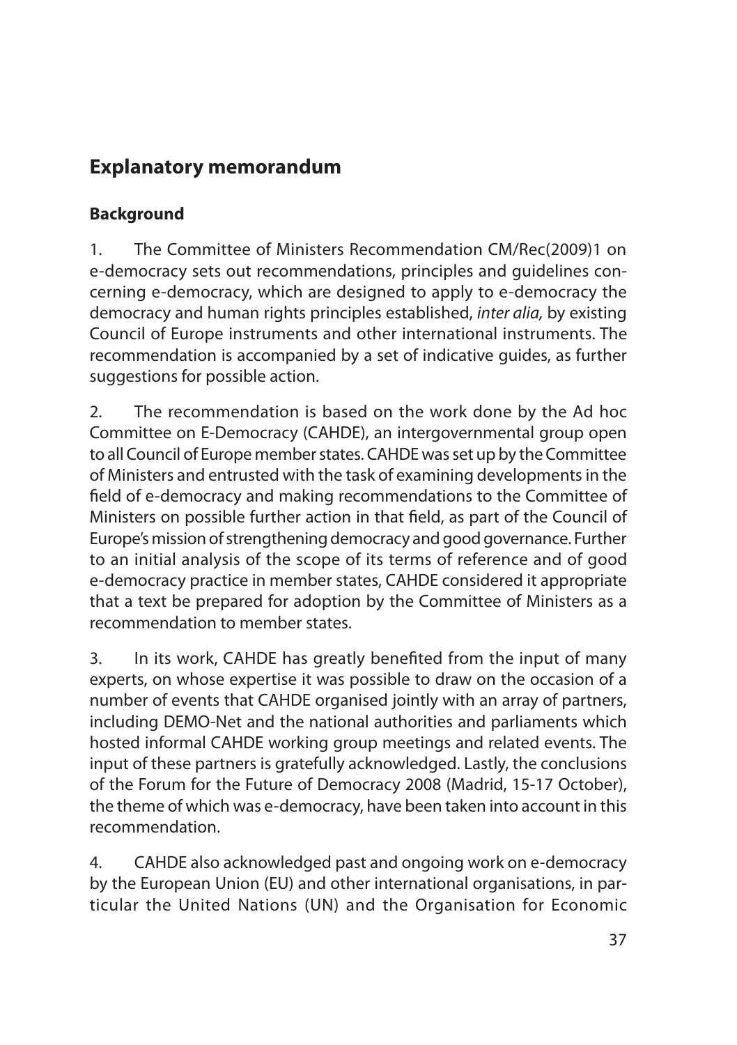# **Explanatory memorandum**

### **Background**

1. The Committee of Ministers Recommendation CM/Rec(2009)1 on e-democracy sets out recommendations, principles and guidelines concerning e-democracy, which are designed to apply to e-democracy the democracy and human rights principles established, *inter alia,* by existing Council of Europe instruments and other international instruments. The recommendation is accompanied by a set of indicative guides, as further suggestions for possible action.

2. The recommendation is based on the work done by the Ad hoc Committee on E-Democracy (CAHDE), an intergovernmental group open to all Council of Europe member states. CAHDE was set up by the Committee of Ministers and entrusted with the task of examining developments in the field of e-democracy and making recommendations to the Committee of Ministers on possible further action in that field, as part of the Council of Europe's mission of strengthening democracy and good governance. Further to an initial analysis of the scope of its terms of reference and of good e-democracy practice in member states, CAHDE considered it appropriate that a text be prepared for adoption by the Committee of Ministers as a recommendation to member states.

3. In its work, CAHDE has greatly benefited from the input of many experts, on whose expertise it was possible to draw on the occasion of a number of events that CAHDE organised jointly with an array of partners, including DEMO-Net and the national authorities and parliaments which hosted informal CAHDE working group meetings and related events. The input of these partners is gratefully acknowledged. Lastly, the conclusions of the Forum for the Future of Democracy 2008 (Madrid, 15-17 October), the theme of which was e-democracy, have been taken into account in this recommendation.

4. CAHDE also acknowledged past and ongoing work on e-democracy by the European Union (EU) and other international organisations, in particular the United Nations (UN) and the Organisation for Economic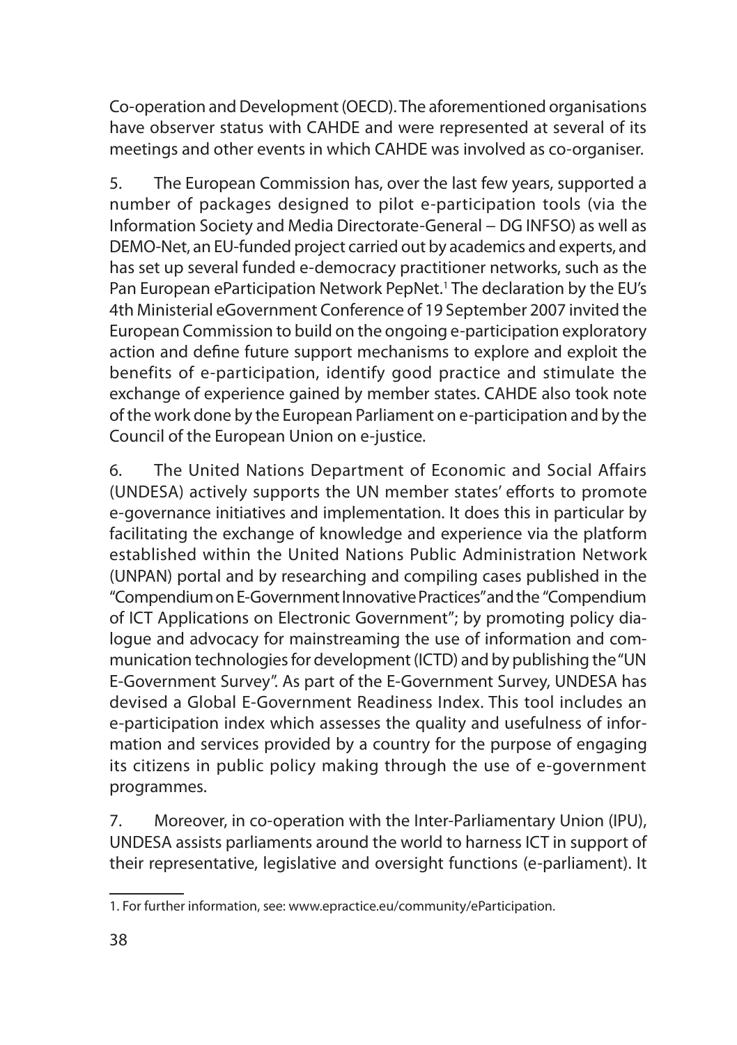Co-operation and Development (OECD). The aforementioned organisations have observer status with CAHDE and were represented at several of its meetings and other events in which CAHDE was involved as co-organiser.

5. The European Commission has, over the last few years, supported a number of packages designed to pilot e-participation tools (via the Information Society and Media Directorate-General − DG INFSO) as well as DEMO-Net, an EU-funded project carried out by academics and experts, and has set up several funded e-democracy practitioner networks, such as the Pan European eParticipation Network PepNet.<sup>1</sup> The declaration by the EU's 4th Ministerial eGovernment Conference of 19 September 2007 invited the European Commission to build on the ongoing e-participation exploratory action and define future support mechanisms to explore and exploit the benefits of e-participation, identify good practice and stimulate the exchange of experience gained by member states. CAHDE also took note of the work done by the European Parliament on e-participation and by the Council of the European Union on e-justice.

6. The United Nations Department of Economic and Social Affairs (UNDESA) actively supports the UN member states' efforts to promote e-governance initiatives and implementation. It does this in particular by facilitating the exchange of knowledge and experience via the platform established within the United Nations Public Administration Network (UNPAN) portal and by researching and compiling cases published in the "Compendium on E-Government Innovative Practices" and the "Compendium of ICT Applications on Electronic Government"; by promoting policy dialogue and advocacy for mainstreaming the use of information and communication technologies for development (ICTD) and by publishing the "UN E-Government Survey". As part of the E-Government Survey, UNDESA has devised a Global E-Government Readiness Index. This tool includes an e-participation index which assesses the quality and usefulness of information and services provided by a country for the purpose of engaging its citizens in public policy making through the use of e-government programmes.

7. Moreover, in co-operation with the Inter-Parliamentary Union (IPU), UNDESA assists parliaments around the world to harness ICT in support of their representative, legislative and oversight functions (e-parliament). It

<sup>1.</sup> For further information, see: www.epractice.eu/community/eParticipation.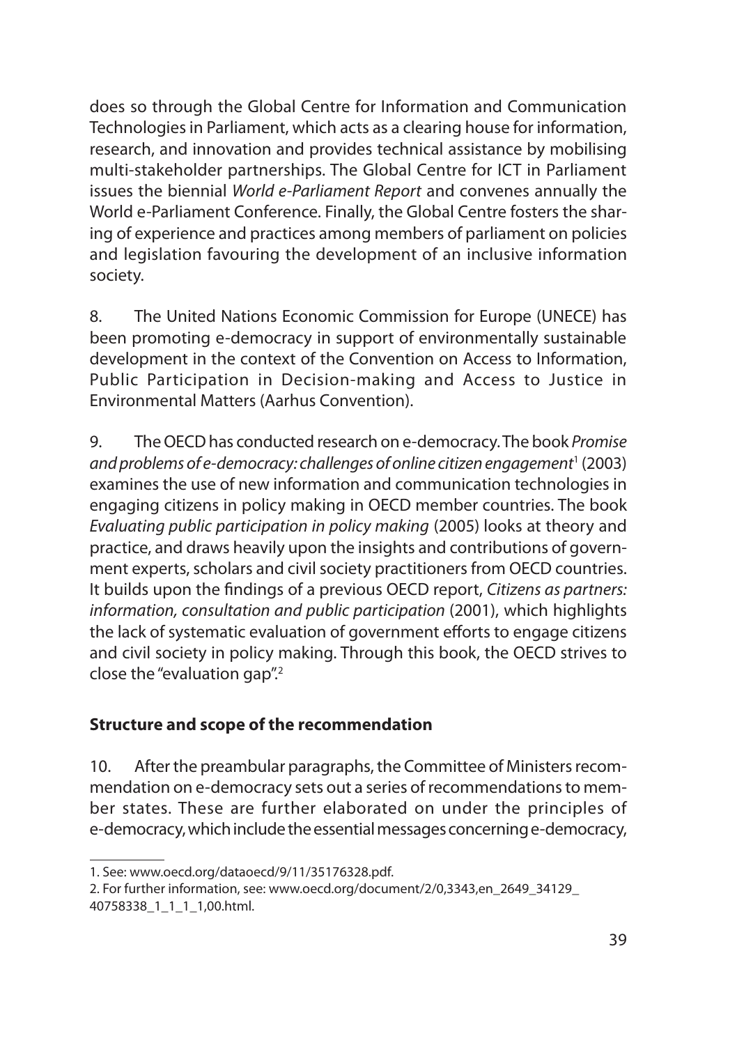does so through the Global Centre for Information and Communication Technologies in Parliament, which acts as a clearing house for information, research, and innovation and provides technical assistance by mobilising multi-stakeholder partnerships. The Global Centre for ICT in Parliament issues the biennial *World e-Parliament Report* and convenes annually the World e-Parliament Conference. Finally, the Global Centre fosters the sharing of experience and practices among members of parliament on policies and legislation favouring the development of an inclusive information society.

8. The United Nations Economic Commission for Europe (UNECE) has been promoting e-democracy in support of environmentally sustainable development in the context of the Convention on Access to Information, Public Participation in Decision-making and Access to Justice in Environmental Matters (Aarhus Convention).

9. The OECD has conducted research on e-democracy. The book *Promise*  and problems of e-democracy: challenges of online citizen engagement<sup>1</sup> (2003) examines the use of new information and communication technologies in engaging citizens in policy making in OECD member countries. The book *Evaluating public participation in policy making* (2005) looks at theory and practice, and draws heavily upon the insights and contributions of government experts, scholars and civil society practitioners from OECD countries. It builds upon the findings of a previous OECD report, *Citizens as partners: information, consultation and public participation* (2001), which highlights the lack of systematic evaluation of government efforts to engage citizens and civil society in policy making. Through this book, the OECD strives to close the "evaluation gap".2

#### **Structure and scope of the recommendation**

10. After the preambular paragraphs, the Committee of Ministers recommendation on e-democracy sets out a series of recommendations to member states. These are further elaborated on under the principles of e-democracy, which include the essential messages concerning e-democracy,

<sup>1.</sup> See: www.oecd.org/dataoecd/9/11/35176328.pdf.

<sup>2.</sup> For further information, see: www.oecd.org/document/2/0,3343,en\_2649\_34129\_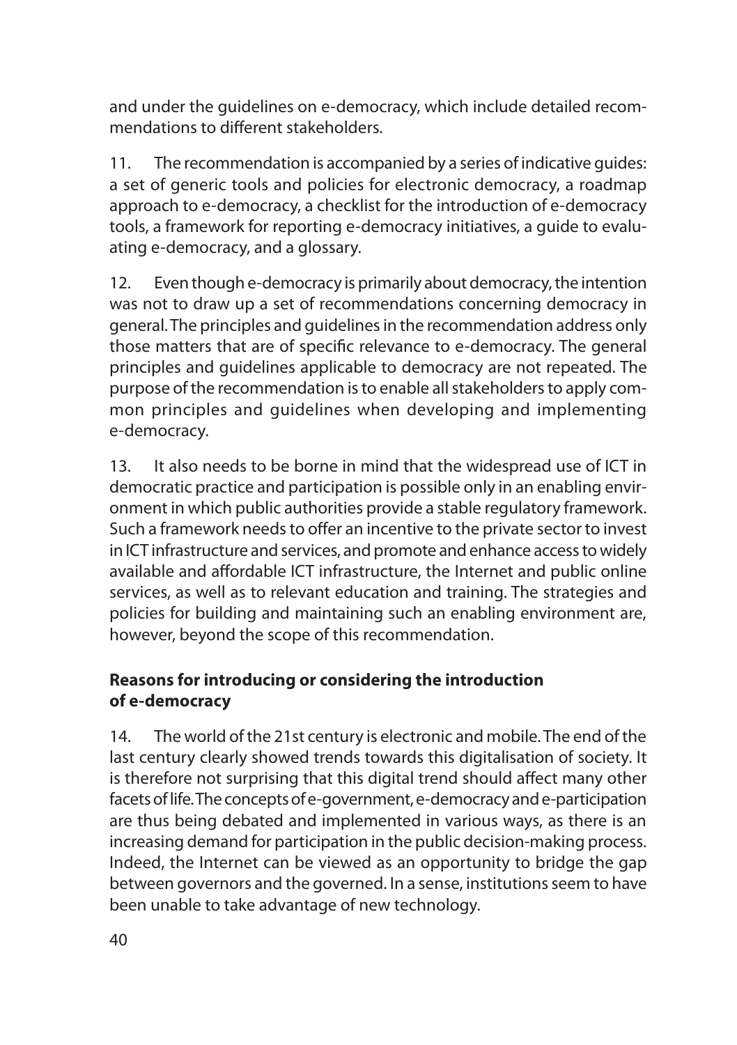and under the guidelines on e-democracy, which include detailed recommendations to different stakeholders.

11. The recommendation is accompanied by a series of indicative guides: a set of generic tools and policies for electronic democracy, a roadmap approach to e-democracy, a checklist for the introduction of e-democracy tools, a framework for reporting e-democracy initiatives, a guide to evaluating e-democracy, and a glossary.

12. Even though e-democracy is primarily about democracy, the intention was not to draw up a set of recommendations concerning democracy in general. The principles and guidelines in the recommendation address only those matters that are of specific relevance to e-democracy. The general principles and guidelines applicable to democracy are not repeated. The purpose of the recommendation is to enable all stakeholders to apply common principles and guidelines when developing and implementing e-democracy.

13. It also needs to be borne in mind that the widespread use of ICT in democratic practice and participation is possible only in an enabling environment in which public authorities provide a stable regulatory framework. Such a framework needs to offer an incentive to the private sector to invest in ICT infrastructure and services, and promote and enhance access to widely available and affordable ICT infrastructure, the Internet and public online services, as well as to relevant education and training. The strategies and policies for building and maintaining such an enabling environment are, however, beyond the scope of this recommendation.

### **Reasons for introducing or considering the introduction of e-democracy**

14. The world of the 21st century is electronic and mobile. The end of the last century clearly showed trends towards this digitalisation of society. It is therefore not surprising that this digital trend should affect many other facets of life. The concepts of e-government, e-democracy and e-participation are thus being debated and implemented in various ways, as there is an increasing demand for participation in the public decision-making process. Indeed, the Internet can be viewed as an opportunity to bridge the gap between governors and the governed. In a sense, institutions seem to have been unable to take advantage of new technology.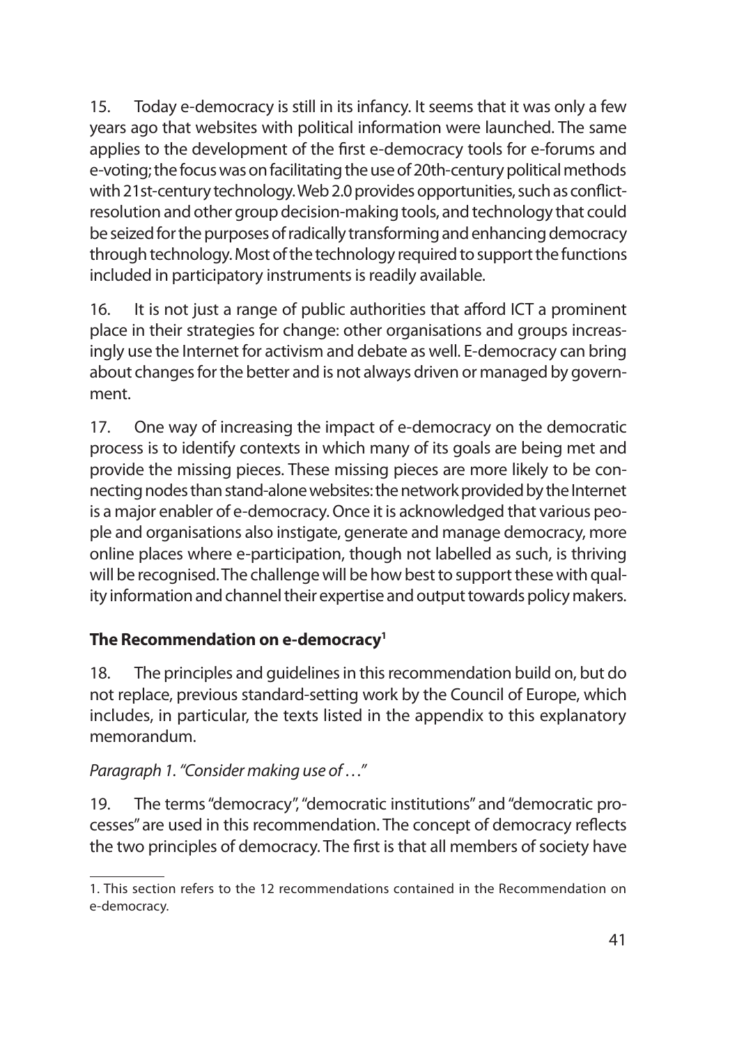15. Today e-democracy is still in its infancy. It seems that it was only a few years ago that websites with political information were launched. The same applies to the development of the first e-democracy tools for e-forums and e-voting; the focus was on facilitating the use of 20th-century political methods with 21st-century technology. Web 2.0 provides opportunities, such as conflictresolution and other group decision-making tools, and technology that could be seized for the purposes of radically transforming and enhancing democracy through technology. Most of the technology required to support the functions included in participatory instruments is readily available.

16. It is not just a range of public authorities that afford ICT a prominent place in their strategies for change: other organisations and groups increasingly use the Internet for activism and debate as well. E-democracy can bring about changes for the better and is not always driven or managed by government.

17. One way of increasing the impact of e-democracy on the democratic process is to identify contexts in which many of its goals are being met and provide the missing pieces. These missing pieces are more likely to be connecting nodes than stand-alone websites: the network provided by the Internet is a major enabler of e-democracy. Once it is acknowledged that various people and organisations also instigate, generate and manage democracy, more online places where e-participation, though not labelled as such, is thriving will be recognised. The challenge will be how best to support these with quality information and channel their expertise and output towards policy makers.

#### **The Recommendation on e-democracy1**

18. The principles and guidelines in this recommendation build on, but do not replace, previous standard-setting work by the Council of Europe, which includes, in particular, the texts listed in the appendix to this explanatory memorandum.

#### *Paragraph 1. "Consider making use of …"*

19. The terms "democracy", "democratic institutions" and "democratic processes" are used in this recommendation. The concept of democracy reflects the two principles of democracy. The first is that all members of society have

<sup>1.</sup> This section refers to the 12 recommendations contained in the Recommendation on e-democracy.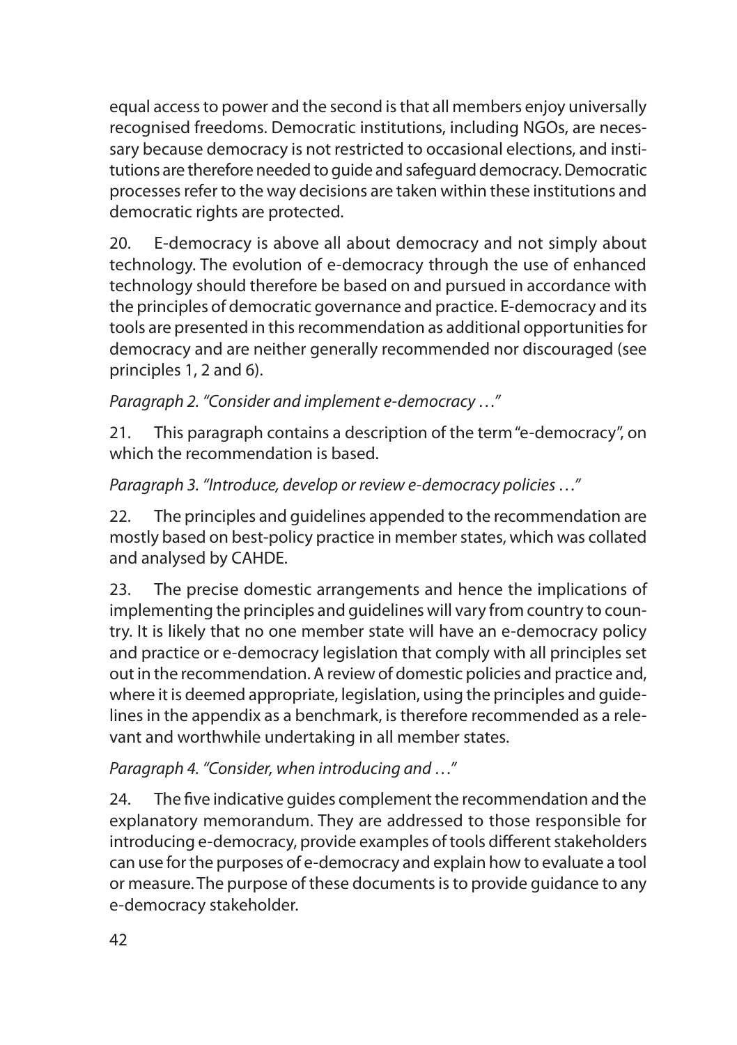equal access to power and the second is that all members enjoy universally recognised freedoms. Democratic institutions, including NGOs, are necessary because democracy is not restricted to occasional elections, and institutions are therefore needed to guide and safeguard democracy. Democratic processes refer to the way decisions are taken within these institutions and democratic rights are protected.

20. E-democracy is above all about democracy and not simply about technology. The evolution of e-democracy through the use of enhanced technology should therefore be based on and pursued in accordance with the principles of democratic governance and practice. E-democracy and its tools are presented in this recommendation as additional opportunities for democracy and are neither generally recommended nor discouraged (see principles 1, 2 and 6).

*Paragraph 2. "Consider and implement e-democracy …"*

21. This paragraph contains a description of the term "e-democracy", on which the recommendation is based.

*Paragraph 3. "Introduce, develop or review e-democracy policies …"*

22. The principles and guidelines appended to the recommendation are mostly based on best-policy practice in member states, which was collated and analysed by CAHDE.

23. The precise domestic arrangements and hence the implications of implementing the principles and guidelines will vary from country to country. It is likely that no one member state will have an e-democracy policy and practice or e-democracy legislation that comply with all principles set out in the recommendation. A review of domestic policies and practice and, where it is deemed appropriate, legislation, using the principles and guidelines in the appendix as a benchmark, is therefore recommended as a relevant and worthwhile undertaking in all member states.

*Paragraph 4. "Consider, when introducing and …"*

24. The five indicative guides complement the recommendation and the explanatory memorandum. They are addressed to those responsible for introducing e-democracy, provide examples of tools different stakeholders can use for the purposes of e-democracy and explain how to evaluate a tool or measure. The purpose of these documents is to provide guidance to any e-democracy stakeholder.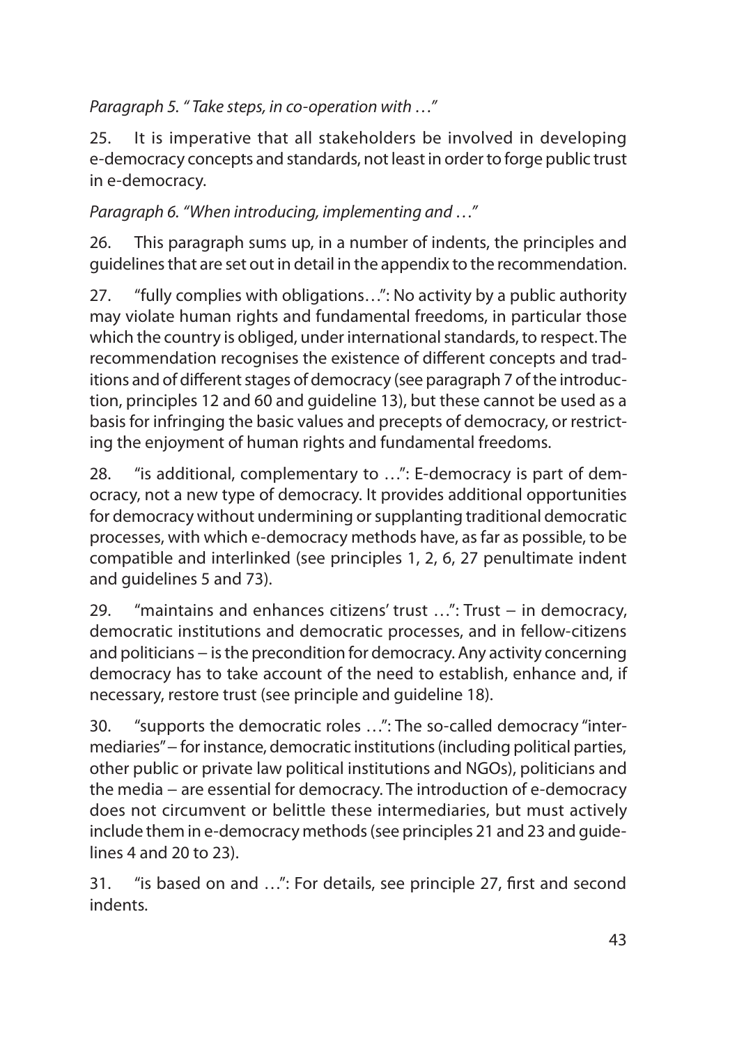*Paragraph 5. " Take steps, in co-operation with …"* 

25. It is imperative that all stakeholders be involved in developing e-democracy concepts and standards, not least in order to forge public trust in e-democracy.

*Paragraph 6. "When introducing, implementing and …"*

26. This paragraph sums up, in a number of indents, the principles and guidelines that are set out in detail in the appendix to the recommendation.

27. "fully complies with obligations…": No activity by a public authority may violate human rights and fundamental freedoms, in particular those which the country is obliged, under international standards, to respect. The recommendation recognises the existence of different concepts and traditions and of different stages of democracy (see paragraph 7 of the introduction, principles 12 and 60 and guideline 13), but these cannot be used as a basis for infringing the basic values and precepts of democracy, or restricting the enjoyment of human rights and fundamental freedoms.

28. "is additional, complementary to …": E-democracy is part of democracy, not a new type of democracy. It provides additional opportunities for democracy without undermining or supplanting traditional democratic processes, with which e-democracy methods have, as far as possible, to be compatible and interlinked (see principles 1, 2, 6, 27 penultimate indent and guidelines 5 and 73).

29. "maintains and enhances citizens' trust …": Trust − in democracy, democratic institutions and democratic processes, and in fellow-citizens and politicians – is the precondition for democracy. Any activity concerning democracy has to take account of the need to establish, enhance and, if necessary, restore trust (see principle and guideline 18).

30. "supports the democratic roles …": The so-called democracy "intermediaries" – for instance, democratic institutions (including political parties, other public or private law political institutions and NGOs), politicians and the media − are essential for democracy. The introduction of e-democracy does not circumvent or belittle these intermediaries, but must actively include them in e-democracy methods (see principles 21 and 23 and guidelines 4 and 20 to 23).

31. "is based on and …": For details, see principle 27, first and second indents.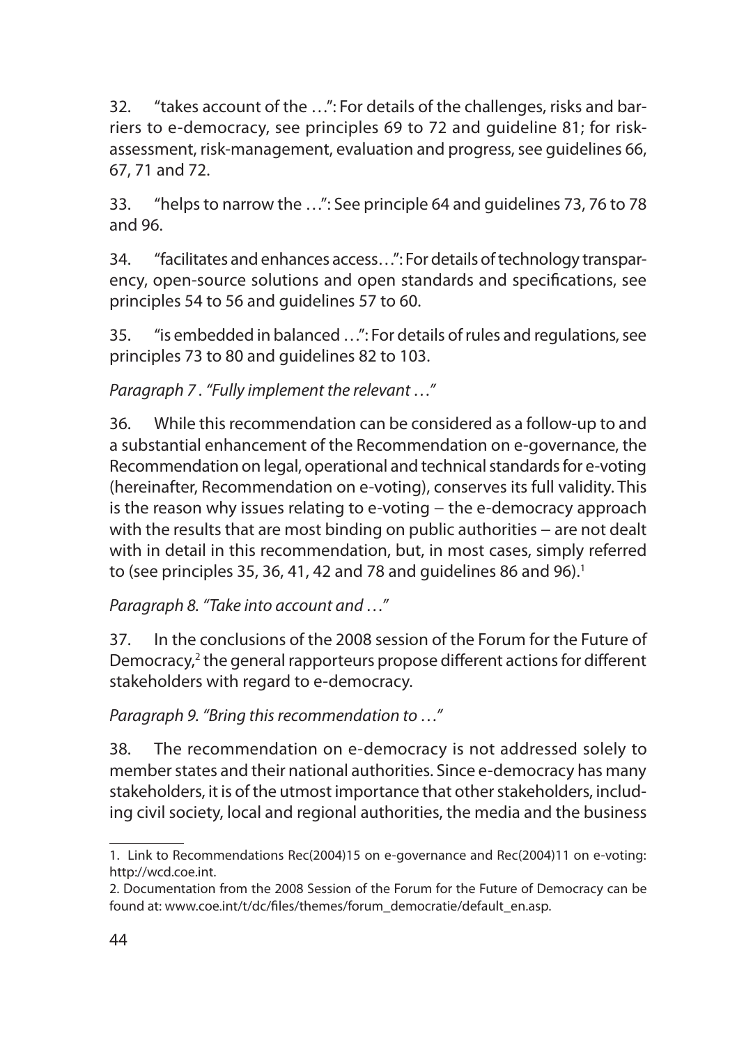32. "takes account of the …": For details of the challenges, risks and barriers to e-democracy, see principles 69 to 72 and guideline 81; for riskassessment, risk-management, evaluation and progress, see guidelines 66, 67, 71 and 72.

33. "helps to narrow the …": See principle 64 and guidelines 73, 76 to 78 and 96.

34. "facilitates and enhances access…": For details of technology transparency, open-source solutions and open standards and specifications, see principles 54 to 56 and guidelines 57 to 60.

35. "is embedded in balanced …": For details of rules and regulations, see principles 73 to 80 and guidelines 82 to 103.

*Paragraph 7 . "Fully implement the relevant …"*

36. While this recommendation can be considered as a follow-up to and a substantial enhancement of the Recommendation on e-governance, the Recommendation on legal, operational and technical standards for e-voting (hereinafter, Recommendation on e-voting), conserves its full validity. This is the reason why issues relating to e-voting – the e-democracy approach with the results that are most binding on public authorities – are not dealt with in detail in this recommendation, but, in most cases, simply referred to (see principles 35, 36, 41, 42 and 78 and guidelines 86 and 96).<sup>1</sup>

*Paragraph 8. "Take into account and …"*

37. In the conclusions of the 2008 session of the Forum for the Future of Democracy,<sup>2</sup> the general rapporteurs propose different actions for different stakeholders with regard to e-democracy.

*Paragraph 9. "Bring this recommendation to …"*

38. The recommendation on e-democracy is not addressed solely to member states and their national authorities. Since e-democracy has many stakeholders, it is of the utmost importance that other stakeholders, including civil society, local and regional authorities, the media and the business

<sup>1.</sup> Link to Recommendations Rec(2004)15 on e-governance and Rec(2004)11 on e-voting: http://wcd.coe.int.

<sup>2.</sup> Documentation from the 2008 Session of the Forum for the Future of Democracy can be found at: www.coe.int/t/dc/files/themes/forum\_democratie/default\_en.asp.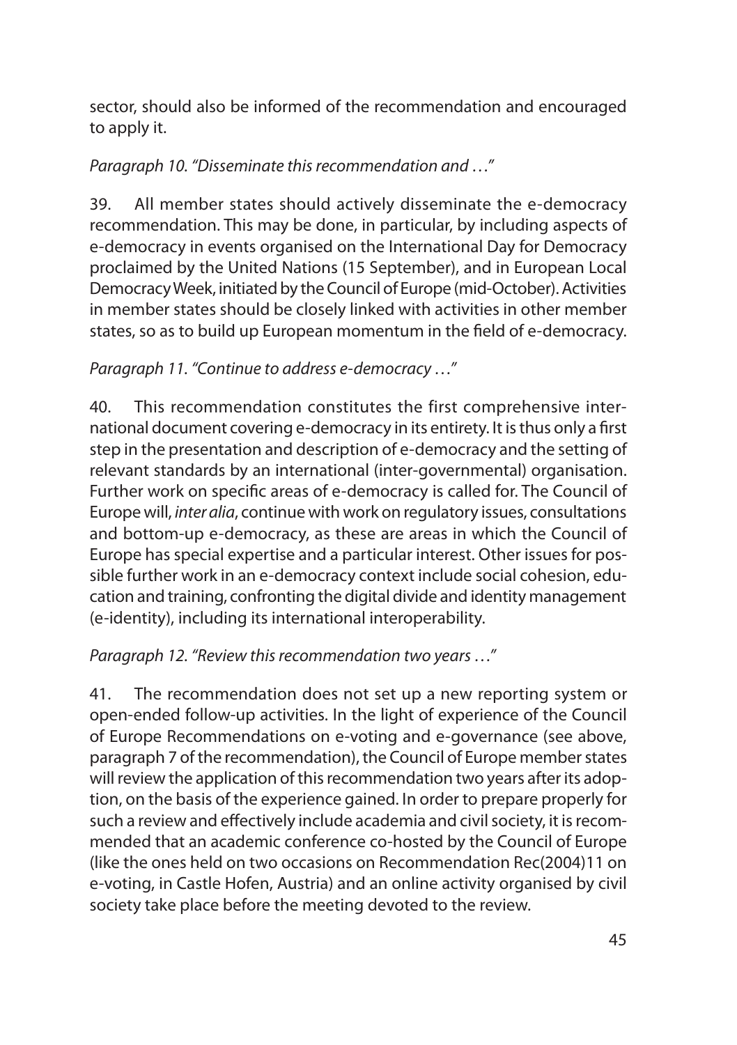sector, should also be informed of the recommendation and encouraged to apply it.

#### *Paragraph 10. "Disseminate this recommendation and …"*

39. All member states should actively disseminate the e-democracy recommendation. This may be done, in particular, by including aspects of e-democracy in events organised on the International Day for Democracy proclaimed by the United Nations (15 September), and in European Local Democracy Week, initiated by the Council of Europe (mid-October). Activities in member states should be closely linked with activities in other member states, so as to build up European momentum in the field of e-democracy.

### *Paragraph 11. "Continue to address e-democracy …"*

40. This recommendation constitutes the first comprehensive international document covering e-democracy in its entirety. It is thus only a first step in the presentation and description of e-democracy and the setting of relevant standards by an international (inter-governmental) organisation. Further work on specific areas of e-democracy is called for. The Council of Europe will, *inter alia*, continue with work on regulatory issues, consultations and bottom-up e-democracy, as these are areas in which the Council of Europe has special expertise and a particular interest. Other issues for possible further work in an e-democracy context include social cohesion, education and training, confronting the digital divide and identity management (e-identity), including its international interoperability.

#### *Paragraph 12. "Review this recommendation two years …"*

41. The recommendation does not set up a new reporting system or open-ended follow-up activities. In the light of experience of the Council of Europe Recommendations on e-voting and e-governance (see above, paragraph 7 of the recommendation), the Council of Europe member states will review the application of this recommendation two years after its adoption, on the basis of the experience gained. In order to prepare properly for such a review and effectively include academia and civil society, it is recommended that an academic conference co-hosted by the Council of Europe (like the ones held on two occasions on Recommendation Rec(2004)11 on e-voting, in Castle Hofen, Austria) and an online activity organised by civil society take place before the meeting devoted to the review.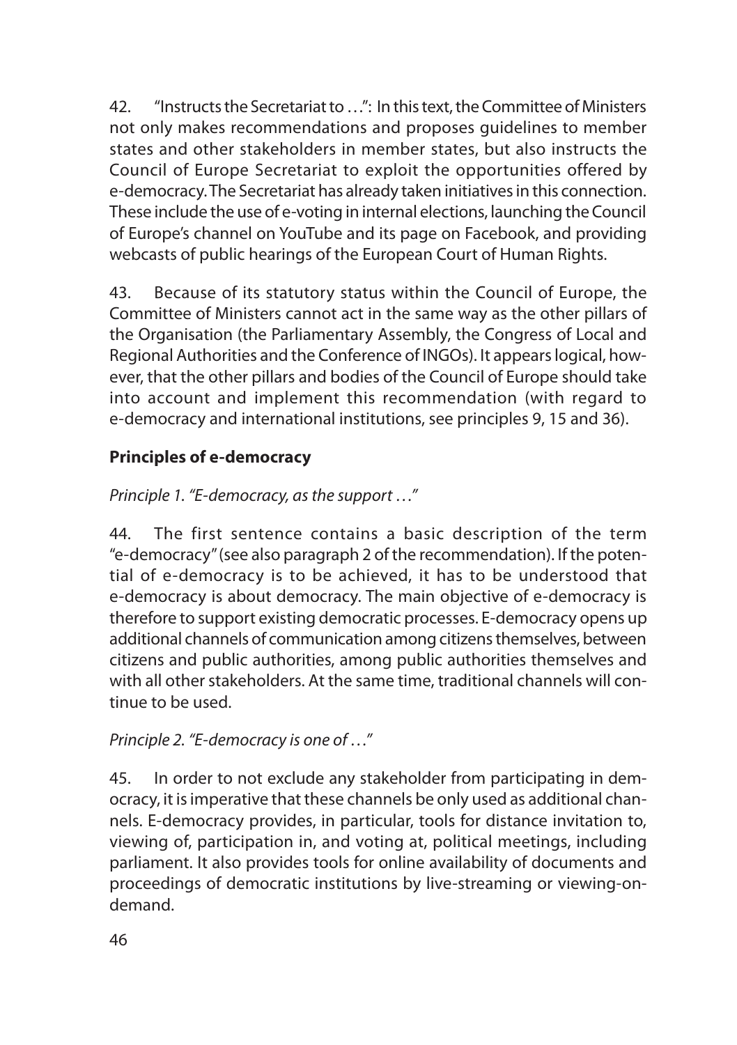42. "Instructs the Secretariat to …": In this text, the Committee of Ministers not only makes recommendations and proposes guidelines to member states and other stakeholders in member states, but also instructs the Council of Europe Secretariat to exploit the opportunities offered by e-democracy. The Secretariat has already taken initiatives in this connection. These include the use of e-voting in internal elections, launching the Council of Europe's channel on YouTube and its page on Facebook, and providing webcasts of public hearings of the European Court of Human Rights.

43. Because of its statutory status within the Council of Europe, the Committee of Ministers cannot act in the same way as the other pillars of the Organisation (the Parliamentary Assembly, the Congress of Local and Regional Authorities and the Conference of INGOs). It appears logical, however, that the other pillars and bodies of the Council of Europe should take into account and implement this recommendation (with regard to e-democracy and international institutions, see principles 9, 15 and 36).

## **Principles of e-democracy**

*Principle 1. "E-democracy, as the support …"*

44. The first sentence contains a basic description of the term "e-democracy" (see also paragraph 2 of the recommendation). If the potential of e-democracy is to be achieved, it has to be understood that e-democracy is about democracy. The main objective of e-democracy is therefore to support existing democratic processes. E-democracy opens up additional channels of communication among citizens themselves, between citizens and public authorities, among public authorities themselves and with all other stakeholders. At the same time, traditional channels will continue to be used.

*Principle 2. "E-democracy is one of …"*

45. In order to not exclude any stakeholder from participating in democracy, it is imperative that these channels be only used as additional channels. E-democracy provides, in particular, tools for distance invitation to, viewing of, participation in, and voting at, political meetings, including parliament. It also provides tools for online availability of documents and proceedings of democratic institutions by live-streaming or viewing-ondemand.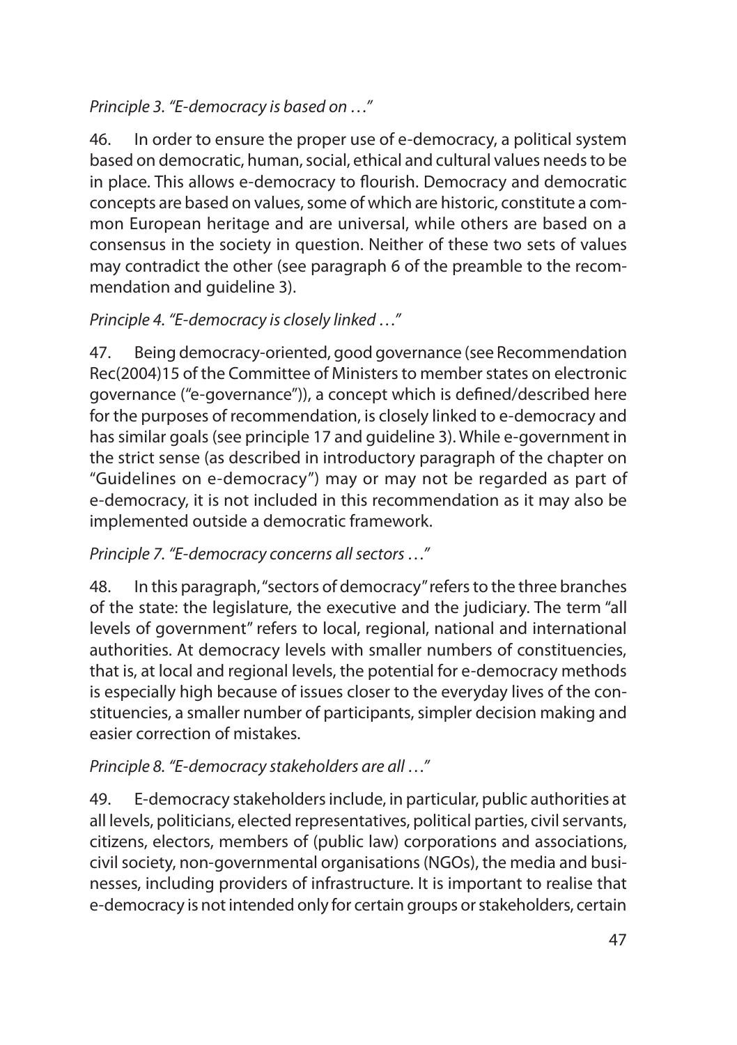### *Principle 3. "E-democracy is based on …"*

46. In order to ensure the proper use of e-democracy, a political system based on democratic, human, social, ethical and cultural values needs to be in place. This allows e-democracy to flourish. Democracy and democratic concepts are based on values, some of which are historic, constitute a common European heritage and are universal, while others are based on a consensus in the society in question. Neither of these two sets of values may contradict the other (see paragraph 6 of the preamble to the recommendation and guideline 3).

### *Principle 4. "E-democracy is closely linked …"*

47. Being democracy-oriented, good governance (see Recommendation Rec(2004)15 of the Committee of Ministers to member states on electronic governance ("e-governance")), a concept which is defined/described here for the purposes of recommendation, is closely linked to e-democracy and has similar goals (see principle 17 and guideline 3). While e-government in the strict sense (as described in introductory paragraph of the chapter on "Guidelines on e-democracy") may or may not be regarded as part of e-democracy, it is not included in this recommendation as it may also be implemented outside a democratic framework.

#### *Principle 7. "E-democracy concerns all sectors …"*

48. In this paragraph, "sectors of democracy" refers to the three branches of the state: the legislature, the executive and the judiciary. The term "all levels of government" refers to local, regional, national and international authorities. At democracy levels with smaller numbers of constituencies, that is, at local and regional levels, the potential for e-democracy methods is especially high because of issues closer to the everyday lives of the constituencies, a smaller number of participants, simpler decision making and easier correction of mistakes.

#### *Principle 8. "E-democracy stakeholders are all …"*

49. E-democracy stakeholders include, in particular, public authorities at all levels, politicians, elected representatives, political parties, civil servants, citizens, electors, members of (public law) corporations and associations, civil society, non-governmental organisations (NGOs), the media and businesses, including providers of infrastructure. It is important to realise that e-democracy is not intended only for certain groups or stakeholders, certain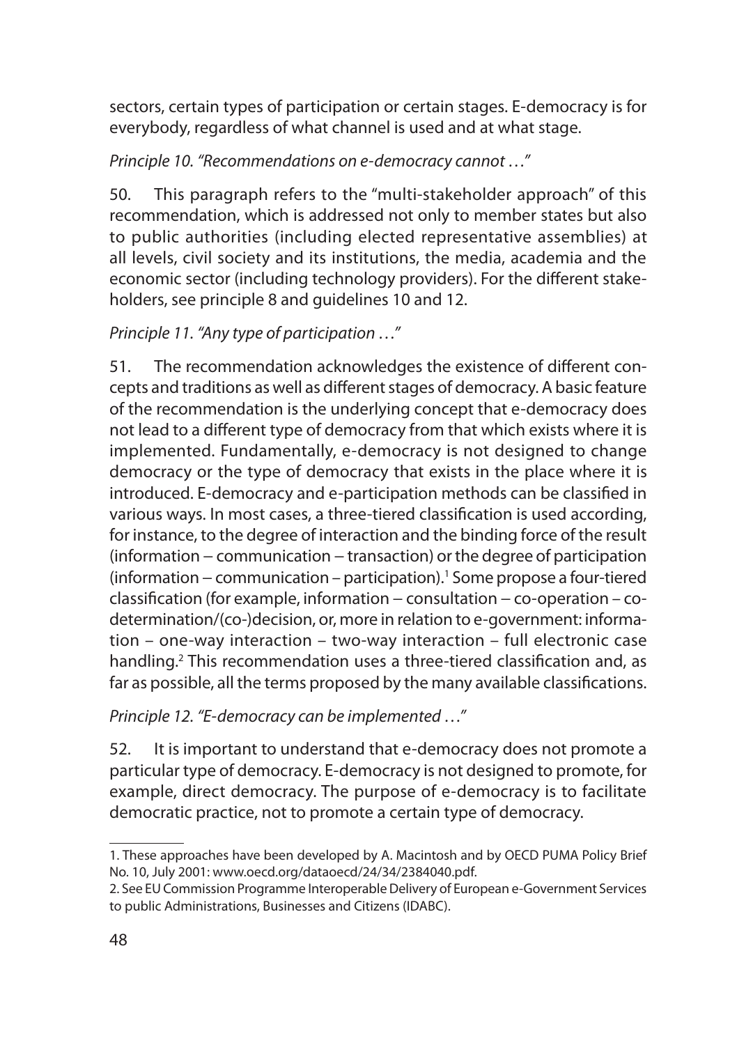sectors, certain types of participation or certain stages. E-democracy is for everybody, regardless of what channel is used and at what stage.

*Principle 10. "Recommendations on e-democracy cannot …"*

50. This paragraph refers to the "multi-stakeholder approach" of this recommendation, which is addressed not only to member states but also to public authorities (including elected representative assemblies) at all levels, civil society and its institutions, the media, academia and the economic sector (including technology providers). For the different stakeholders, see principle 8 and guidelines 10 and 12.

#### *Principle 11. "Any type of participation …"*

51. The recommendation acknowledges the existence of different concepts and traditions as well as different stages of democracy. A basic feature of the recommendation is the underlying concept that e-democracy does not lead to a different type of democracy from that which exists where it is implemented. Fundamentally, e-democracy is not designed to change democracy or the type of democracy that exists in the place where it is introduced. E-democracy and e-participation methods can be classified in various ways. In most cases, a three-tiered classification is used according, for instance, to the degree of interaction and the binding force of the result (information − communication − transaction) or the degree of participation (information – communication – participation).<sup>1</sup> Some propose a four-tiered classification (for example, information − consultation − co-operation – codetermination/(co-)decision, or, more in relation to e-government: information – one-way interaction – two-way interaction – full electronic case handling.<sup>2</sup> This recommendation uses a three-tiered classification and, as far as possible, all the terms proposed by the many available classifications.

*Principle 12. "E-democracy can be implemented …"*

52. It is important to understand that e-democracy does not promote a particular type of democracy. E-democracy is not designed to promote, for example, direct democracy. The purpose of e-democracy is to facilitate democratic practice, not to promote a certain type of democracy.

<sup>1.</sup> These approaches have been developed by A. Macintosh and by OECD PUMA Policy Brief No. 10, July 2001: www.oecd.org/dataoecd/24/34/2384040.pdf.

<sup>2.</sup> See EU Commission Programme Interoperable Delivery of European e-Government Services to public Administrations, Businesses and Citizens (IDABC).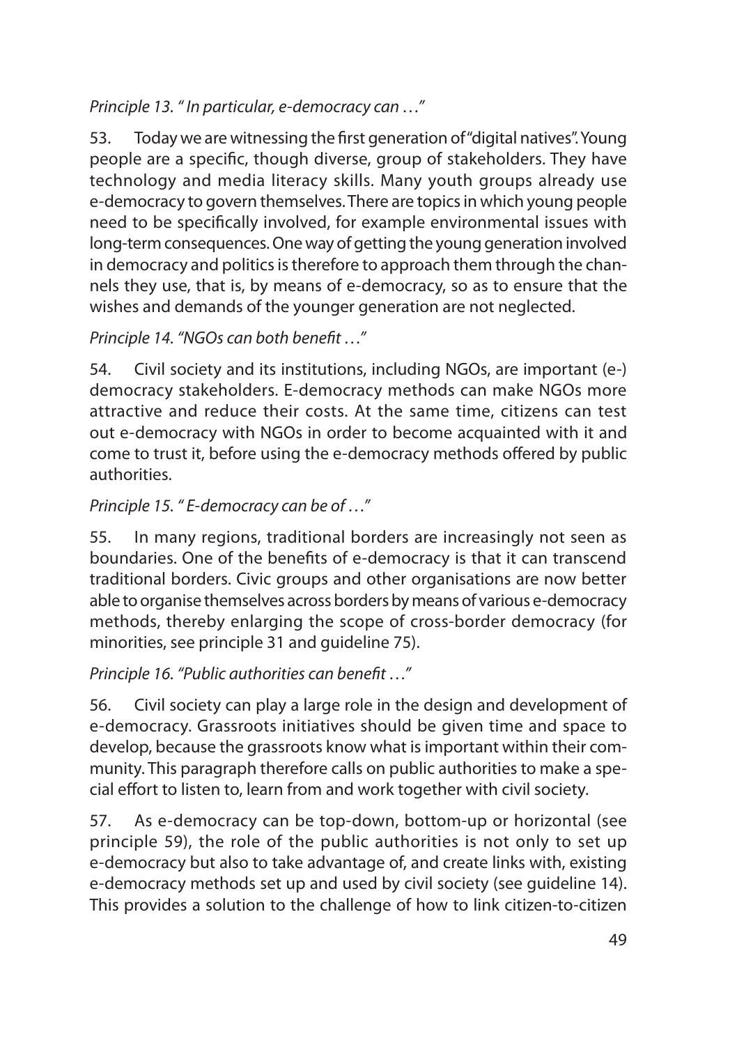#### *Principle 13. " In particular, e-democracy can …"*

53. Today we are witnessing the first generation of "digital natives". Young people are a specific, though diverse, group of stakeholders. They have technology and media literacy skills. Many youth groups already use e-democracy to govern themselves. There are topics in which young people need to be specifically involved, for example environmental issues with long-term consequences. One way of getting the young generation involved in democracy and politics is therefore to approach them through the channels they use, that is, by means of e-democracy, so as to ensure that the wishes and demands of the younger generation are not neglected.

### *Principle 14. "NGOs can both benefit …"*

54. Civil society and its institutions, including NGOs, are important (e-) democracy stakeholders. E-democracy methods can make NGOs more attractive and reduce their costs. At the same time, citizens can test out e-democracy with NGOs in order to become acquainted with it and come to trust it, before using the e-democracy methods offered by public authorities.

#### *Principle 15. " E-democracy can be of …"*

55. In many regions, traditional borders are increasingly not seen as boundaries. One of the benefits of e-democracy is that it can transcend traditional borders. Civic groups and other organisations are now better able to organise themselves across borders by means of various e-democracy methods, thereby enlarging the scope of cross-border democracy (for minorities, see principle 31 and guideline 75).

#### *Principle 16. "Public authorities can benefit …"*

56. Civil society can play a large role in the design and development of e-democracy. Grassroots initiatives should be given time and space to develop, because the grassroots know what is important within their community. This paragraph therefore calls on public authorities to make a special effort to listen to, learn from and work together with civil society.

57. As e-democracy can be top-down, bottom-up or horizontal (see principle 59), the role of the public authorities is not only to set up e-democracy but also to take advantage of, and create links with, existing e-democracy methods set up and used by civil society (see guideline 14). This provides a solution to the challenge of how to link citizen-to-citizen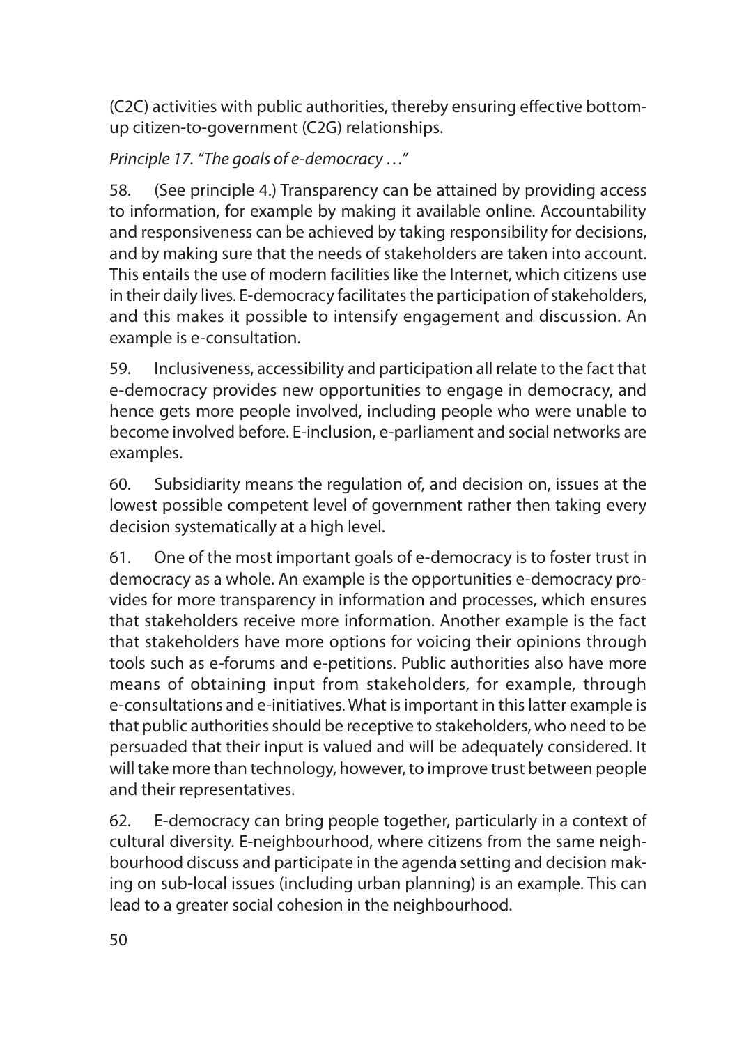(C2C) activities with public authorities, thereby ensuring effective bottomup citizen-to-government (C2G) relationships.

*Principle 17. "The goals of e-democracy …"*

58. (See principle 4.) Transparency can be attained by providing access to information, for example by making it available online. Accountability and responsiveness can be achieved by taking responsibility for decisions, and by making sure that the needs of stakeholders are taken into account. This entails the use of modern facilities like the Internet, which citizens use in their daily lives. E-democracy facilitates the participation of stakeholders, and this makes it possible to intensify engagement and discussion. An example is e-consultation.

59. Inclusiveness, accessibility and participation all relate to the fact that e-democracy provides new opportunities to engage in democracy, and hence gets more people involved, including people who were unable to become involved before. E-inclusion, e-parliament and social networks are examples.

60. Subsidiarity means the regulation of, and decision on, issues at the lowest possible competent level of government rather then taking every decision systematically at a high level.

61. One of the most important goals of e-democracy is to foster trust in democracy as a whole. An example is the opportunities e-democracy provides for more transparency in information and processes, which ensures that stakeholders receive more information. Another example is the fact that stakeholders have more options for voicing their opinions through tools such as e-forums and e-petitions. Public authorities also have more means of obtaining input from stakeholders, for example, through e-consultations and e-initiatives. What is important in this latter example is that public authorities should be receptive to stakeholders, who need to be persuaded that their input is valued and will be adequately considered. It will take more than technology, however, to improve trust between people and their representatives.

62. E-democracy can bring people together, particularly in a context of cultural diversity. E-neighbourhood, where citizens from the same neighbourhood discuss and participate in the agenda setting and decision making on sub-local issues (including urban planning) is an example. This can lead to a greater social cohesion in the neighbourhood.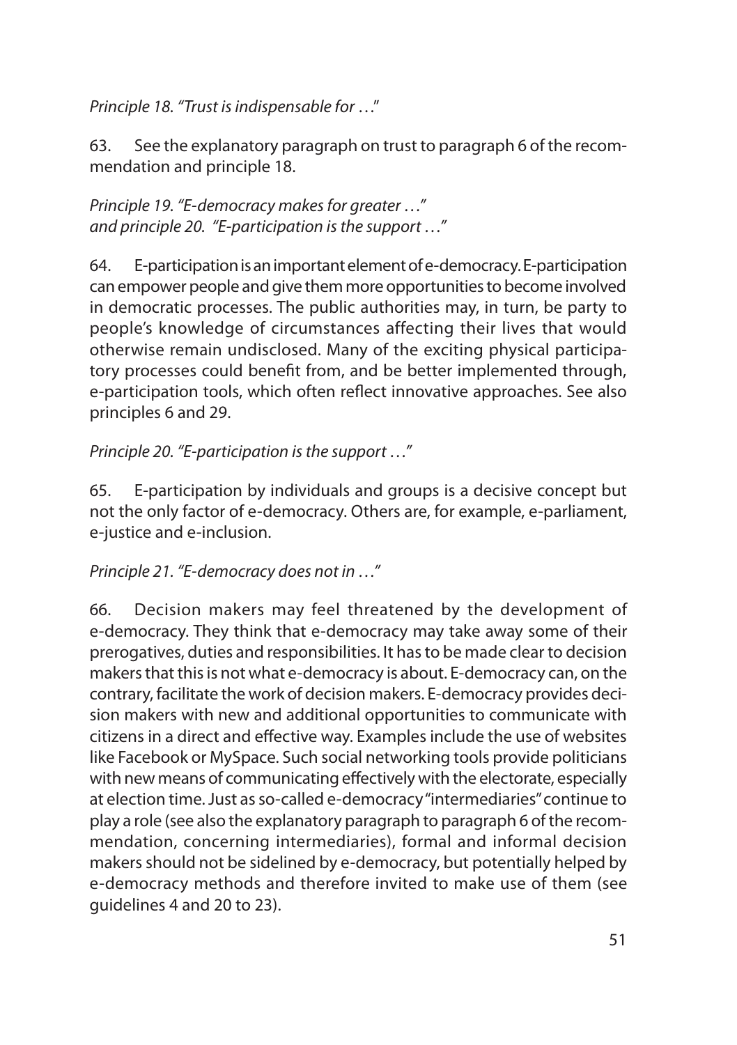*Principle 18. "Trust is indispensable for* …"

63. See the explanatory paragraph on trust to paragraph 6 of the recommendation and principle 18.

*Principle 19. "E-democracy makes for greater …" and principle 20. "E-participation is the support …"*

64. E-participation is an important element of e-democracy. E-participation can empower people and give them more opportunities to become involved in democratic processes. The public authorities may, in turn, be party to people's knowledge of circumstances affecting their lives that would otherwise remain undisclosed. Many of the exciting physical participatory processes could benefit from, and be better implemented through, e-participation tools, which often reflect innovative approaches. See also principles 6 and 29.

*Principle 20. "E-participation is the support …"*

65. E-participation by individuals and groups is a decisive concept but not the only factor of e-democracy. Others are, for example, e-parliament, e-justice and e-inclusion.

*Principle 21. "E-democracy does not in …"*

66. Decision makers may feel threatened by the development of e-democracy. They think that e-democracy may take away some of their prerogatives, duties and responsibilities. It has to be made clear to decision makers that this is not what e-democracy is about. E-democracy can, on the contrary, facilitate the work of decision makers. E-democracy provides decision makers with new and additional opportunities to communicate with citizens in a direct and effective way. Examples include the use of websites like Facebook or MySpace. Such social networking tools provide politicians with new means of communicating effectively with the electorate, especially at election time. Just as so-called e-democracy "intermediaries" continue to play a role (see also the explanatory paragraph to paragraph 6 of the recommendation, concerning intermediaries), formal and informal decision makers should not be sidelined by e-democracy, but potentially helped by e-democracy methods and therefore invited to make use of them (see guidelines 4 and 20 to 23).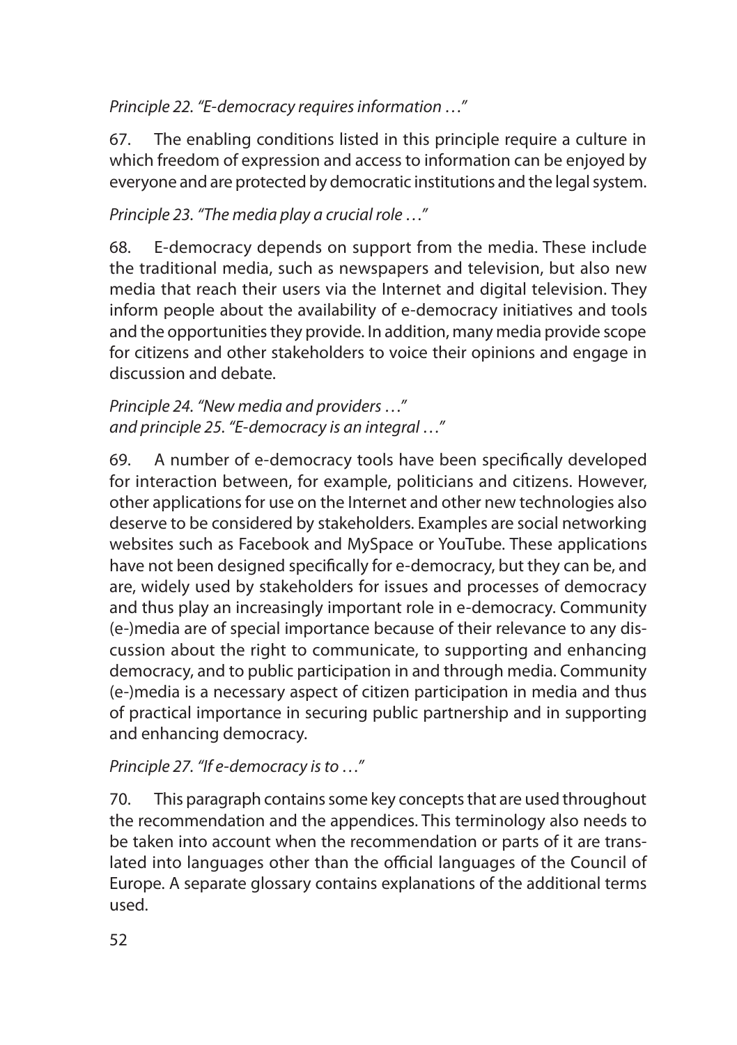### *Principle 22. "E-democracy requires information …"*

67. The enabling conditions listed in this principle require a culture in which freedom of expression and access to information can be enjoyed by everyone and are protected by democratic institutions and the legal system.

### *Principle 23. "The media play a crucial role …"*

68. E-democracy depends on support from the media. These include the traditional media, such as newspapers and television, but also new media that reach their users via the Internet and digital television. They inform people about the availability of e-democracy initiatives and tools and the opportunities they provide. In addition, many media provide scope for citizens and other stakeholders to voice their opinions and engage in discussion and debate.

#### *Principle 24. "New media and providers …" and principle 25. "E-democracy is an integral …"*

69. A number of e-democracy tools have been specifically developed for interaction between, for example, politicians and citizens. However, other applications for use on the Internet and other new technologies also deserve to be considered by stakeholders. Examples are social networking websites such as Facebook and MySpace or YouTube. These applications have not been designed specifically for e-democracy, but they can be, and are, widely used by stakeholders for issues and processes of democracy and thus play an increasingly important role in e-democracy. Community (e-)media are of special importance because of their relevance to any discussion about the right to communicate, to supporting and enhancing democracy, and to public participation in and through media. Community (e-)media is a necessary aspect of citizen participation in media and thus of practical importance in securing public partnership and in supporting and enhancing democracy.

#### *Principle 27. "If e-democracy is to …"*

70. This paragraph contains some key concepts that are used throughout the recommendation and the appendices. This terminology also needs to be taken into account when the recommendation or parts of it are translated into languages other than the official languages of the Council of Europe. A separate glossary contains explanations of the additional terms used.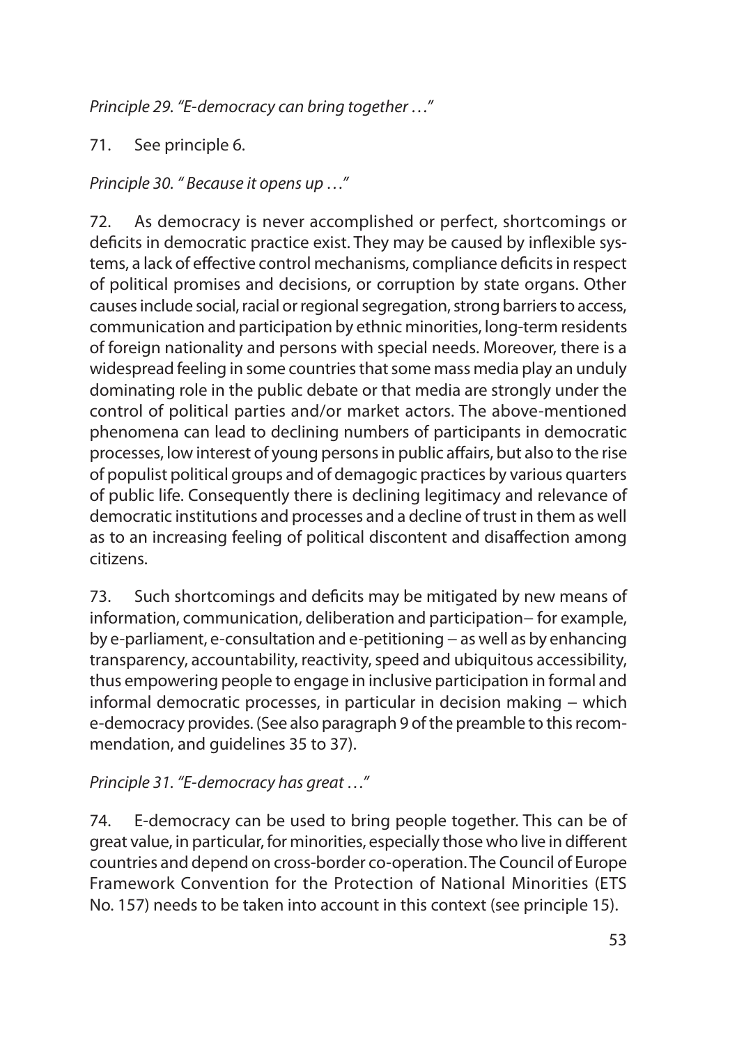*Principle 29. "E-democracy can bring together …"*

71. See principle 6.

*Principle 30. " Because it opens up …"*

72. As democracy is never accomplished or perfect, shortcomings or deficits in democratic practice exist. They may be caused by inflexible systems, a lack of effective control mechanisms, compliance deficits in respect of political promises and decisions, or corruption by state organs. Other causes include social, racial or regional segregation, strong barriers to access, communication and participation by ethnic minorities, long-term residents of foreign nationality and persons with special needs. Moreover, there is a widespread feeling in some countries that some mass media play an unduly dominating role in the public debate or that media are strongly under the control of political parties and/or market actors. The above-mentioned phenomena can lead to declining numbers of participants in democratic processes, low interest of young persons in public affairs, but also to the rise of populist political groups and of demagogic practices by various quarters of public life. Consequently there is declining legitimacy and relevance of democratic institutions and processes and a decline of trust in them as well as to an increasing feeling of political discontent and disaffection among citizens.

73. Such shortcomings and deficits may be mitigated by new means of information, communication, deliberation and participation− for example, by e-parliament, e-consultation and e-petitioning − as well as by enhancing transparency, accountability, reactivity, speed and ubiquitous accessibility, thus empowering people to engage in inclusive participation in formal and informal democratic processes, in particular in decision making − which e-democracy provides. (See also paragraph 9 of the preamble to this recommendation, and guidelines 35 to 37).

*Principle 31. "E-democracy has great …"*

74. E-democracy can be used to bring people together. This can be of great value, in particular, for minorities, especially those who live in different countries and depend on cross-border co-operation. The Council of Europe Framework Convention for the Protection of National Minorities (ETS No. 157) needs to be taken into account in this context (see principle 15).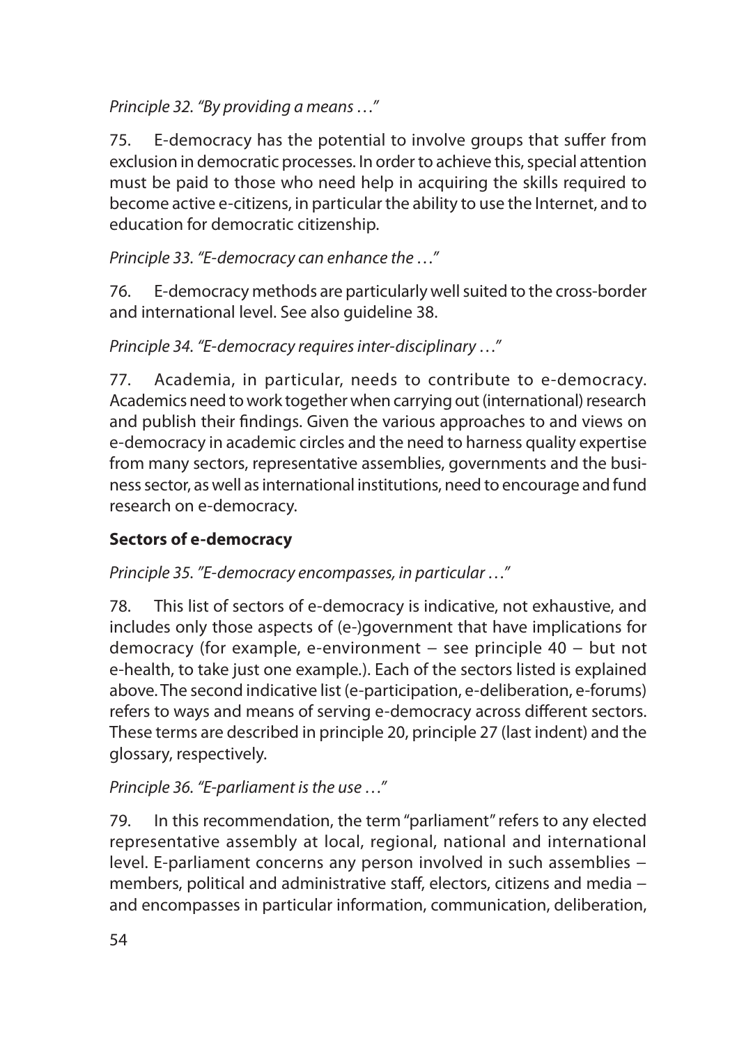### *Principle 32. "By providing a means …"*

75. E-democracy has the potential to involve groups that suffer from exclusion in democratic processes. In order to achieve this, special attention must be paid to those who need help in acquiring the skills required to become active e-citizens, in particular the ability to use the Internet, and to education for democratic citizenship.

*Principle 33. "E-democracy can enhance the …"*

76. E-democracy methods are particularly well suited to the cross-border and international level. See also guideline 38.

*Principle 34. "E-democracy requires inter-disciplinary …"*

77. Academia, in particular, needs to contribute to e-democracy. Academics need to work together when carrying out (international) research and publish their findings. Given the various approaches to and views on e-democracy in academic circles and the need to harness quality expertise from many sectors, representative assemblies, governments and the business sector, as well as international institutions, need to encourage and fund research on e-democracy.

# **Sectors of e-democracy**

*Principle 35. "E-democracy encompasses, in particular …"*

78. This list of sectors of e-democracy is indicative, not exhaustive, and includes only those aspects of (e-)government that have implications for democracy (for example, e-environment − see principle 40 − but not e-health, to take just one example*.*). Each of the sectors listed is explained above. The second indicative list (e-participation, e-deliberation, e-forums) refers to ways and means of serving e-democracy across different sectors. These terms are described in principle 20, principle 27 (last indent) and the glossary, respectively.

*Principle 36. "E-parliament is the use …"*

79. In this recommendation, the term "parliament" refers to any elected representative assembly at local, regional, national and international level. E-parliament concerns any person involved in such assemblies − members, political and administrative staff, electors, citizens and media − and encompasses in particular information, communication, deliberation,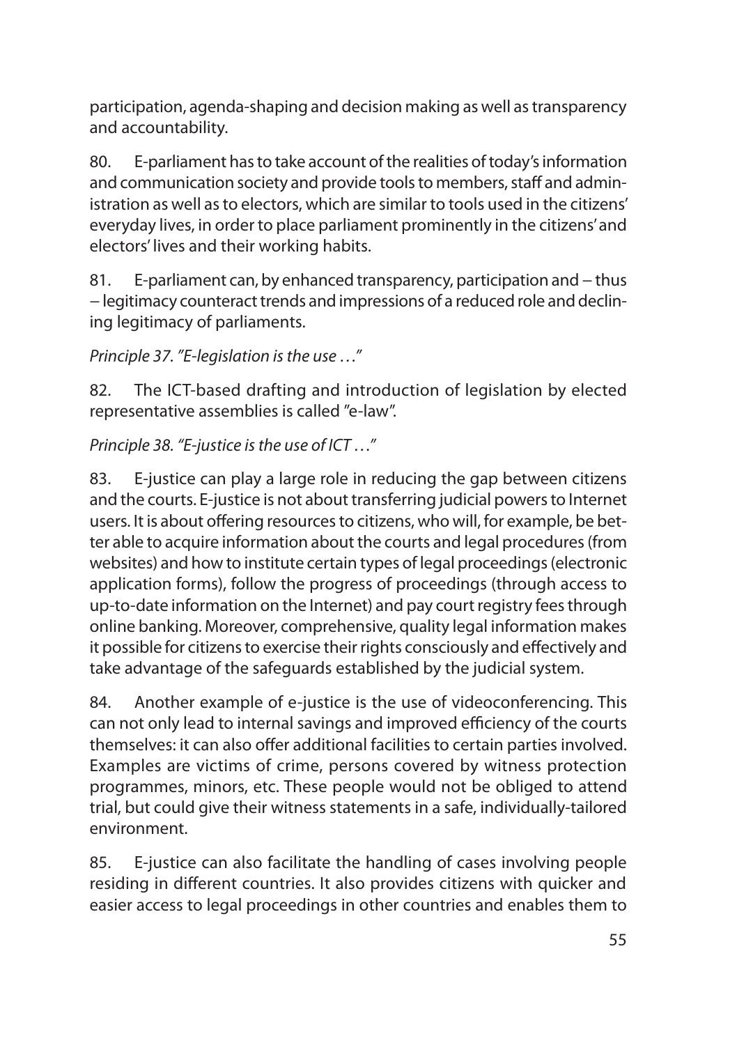participation, agenda-shaping and decision making as well as transparency and accountability.

80. E-parliament has to take account of the realities of today's information and communication society and provide tools to members, staff and administration as well as to electors, which are similar to tools used in the citizens' everyday lives, in order to place parliament prominently in the citizens' and electors' lives and their working habits.

81. E-parliament can, by enhanced transparency, participation and − thus − legitimacy counteract trends and impressions of a reduced role and declining legitimacy of parliaments.

*Principle 37. "E-legislation is the use …"*

82. The ICT-based drafting and introduction of legislation by elected representative assemblies is called "e-law".

*Principle 38. "E-justice is the use of ICT …"*

83. E-justice can play a large role in reducing the gap between citizens and the courts. E-justice is not about transferring judicial powers to Internet users. It is about offering resources to citizens, who will, for example, be better able to acquire information about the courts and legal procedures (from websites) and how to institute certain types of legal proceedings (electronic application forms), follow the progress of proceedings (through access to up-to-date information on the Internet) and pay court registry fees through online banking. Moreover, comprehensive, quality legal information makes it possible for citizens to exercise their rights consciously and effectively and take advantage of the safeguards established by the judicial system.

84. Another example of e-justice is the use of videoconferencing. This can not only lead to internal savings and improved efficiency of the courts themselves: it can also offer additional facilities to certain parties involved. Examples are victims of crime, persons covered by witness protection programmes, minors, etc. These people would not be obliged to attend trial, but could give their witness statements in a safe, individually-tailored environment.

85. E-justice can also facilitate the handling of cases involving people residing in different countries. It also provides citizens with quicker and easier access to legal proceedings in other countries and enables them to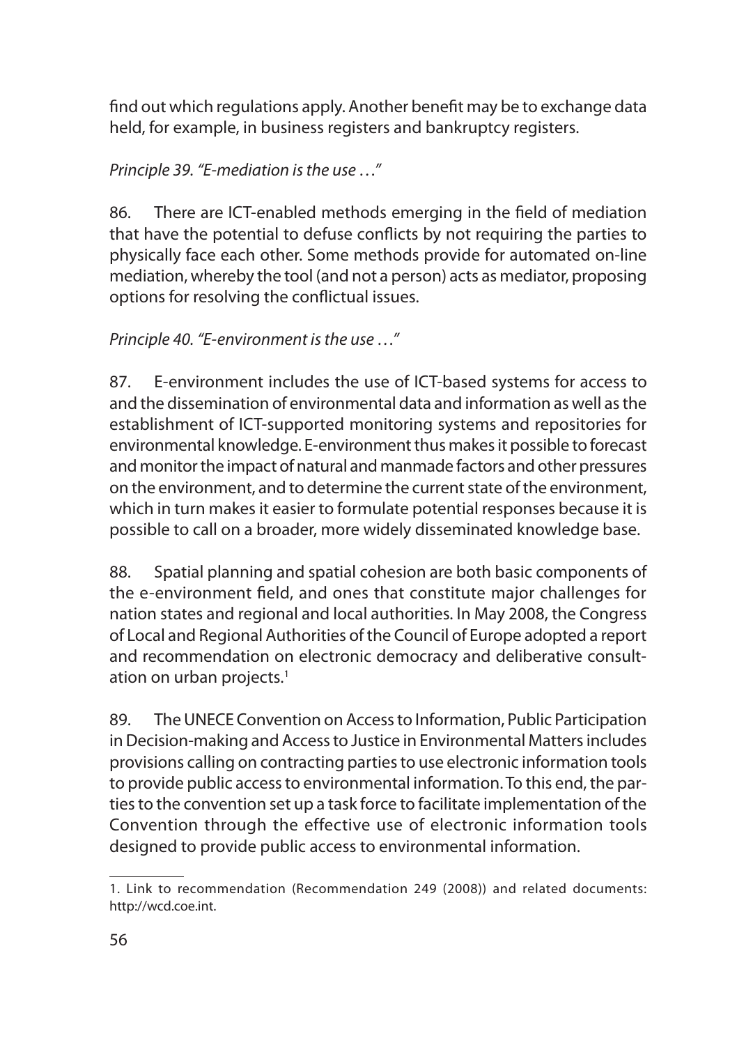find out which regulations apply. Another benefit may be to exchange data held, for example, in business registers and bankruptcy registers.

*Principle 39. "E-mediation is the use …"*

86. There are ICT-enabled methods emerging in the field of mediation that have the potential to defuse conflicts by not requiring the parties to physically face each other. Some methods provide for automated on-line mediation, whereby the tool (and not a person) acts as mediator, proposing options for resolving the conflictual issues.

*Principle 40. "E-environment is the use …"*

87. E-environment includes the use of ICT-based systems for access to and the dissemination of environmental data and information as well as the establishment of ICT-supported monitoring systems and repositories for environmental knowledge. E-environment thus makes it possible to forecast and monitor the impact of natural and manmade factors and other pressures on the environment, and to determine the current state of the environment, which in turn makes it easier to formulate potential responses because it is possible to call on a broader, more widely disseminated knowledge base.

88. Spatial planning and spatial cohesion are both basic components of the e-environment field, and ones that constitute major challenges for nation states and regional and local authorities. In May 2008, the Congress of Local and Regional Authorities of the Council of Europe adopted a report and recommendation on electronic democracy and deliberative consultation on urban projects.<sup>1</sup>

89. The UNECE Convention on Access to Information, Public Participation in Decision-making and Access to Justice in Environmental Matters includes provisions calling on contracting parties to use electronic information tools to provide public access to environmental information. To this end, the parties to the convention set up a task force to facilitate implementation of the Convention through the effective use of electronic information tools designed to provide public access to environmental information.

<sup>1.</sup> Link to recommendation (Recommendation 249 (2008)) and related documents: http://wcd.coe.int.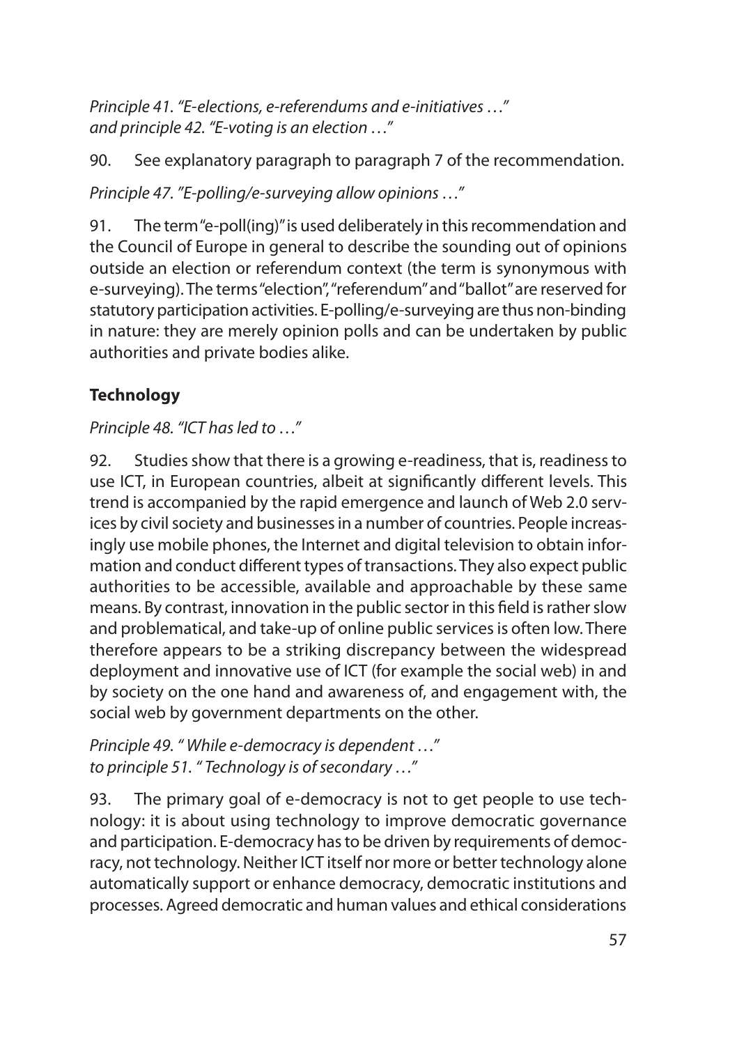*Principle 41. "E-elections, e-referendums and e-initiatives …" and principle 42. "E-voting is an election …"*

90. See explanatory paragraph to paragraph 7 of the recommendation.

*Principle 47. "E-polling/e-surveying allow opinions …"*

91. The term "e-poll(ing)" is used deliberately in this recommendation and the Council of Europe in general to describe the sounding out of opinions outside an election or referendum context (the term is synonymous with e-surveying). The terms "election", "referendum" and "ballot" are reserved for statutory participation activities. E-polling/e-surveying are thus non-binding in nature: they are merely opinion polls and can be undertaken by public authorities and private bodies alike.

# **Technology**

*Principle 48. "ICT has led to …"*

92. Studies show that there is a growing e-readiness, that is, readiness to use ICT, in European countries, albeit at significantly different levels. This trend is accompanied by the rapid emergence and launch of Web 2.0 services by civil society and businesses in a number of countries. People increasingly use mobile phones, the Internet and digital television to obtain information and conduct different types of transactions. They also expect public authorities to be accessible, available and approachable by these same means. By contrast, innovation in the public sector in this field is rather slow and problematical, and take-up of online public services is often low. There therefore appears to be a striking discrepancy between the widespread deployment and innovative use of ICT (for example the social web) in and by society on the one hand and awareness of, and engagement with, the social web by government departments on the other.

*Principle 49. " While e-democracy is dependent …" to principle 51. " Technology is of secondary …"*

93. The primary goal of e-democracy is not to get people to use technology: it is about using technology to improve democratic governance and participation. E-democracy has to be driven by requirements of democracy, not technology. Neither ICT itself nor more or better technology alone automatically support or enhance democracy, democratic institutions and processes. Agreed democratic and human values and ethical considerations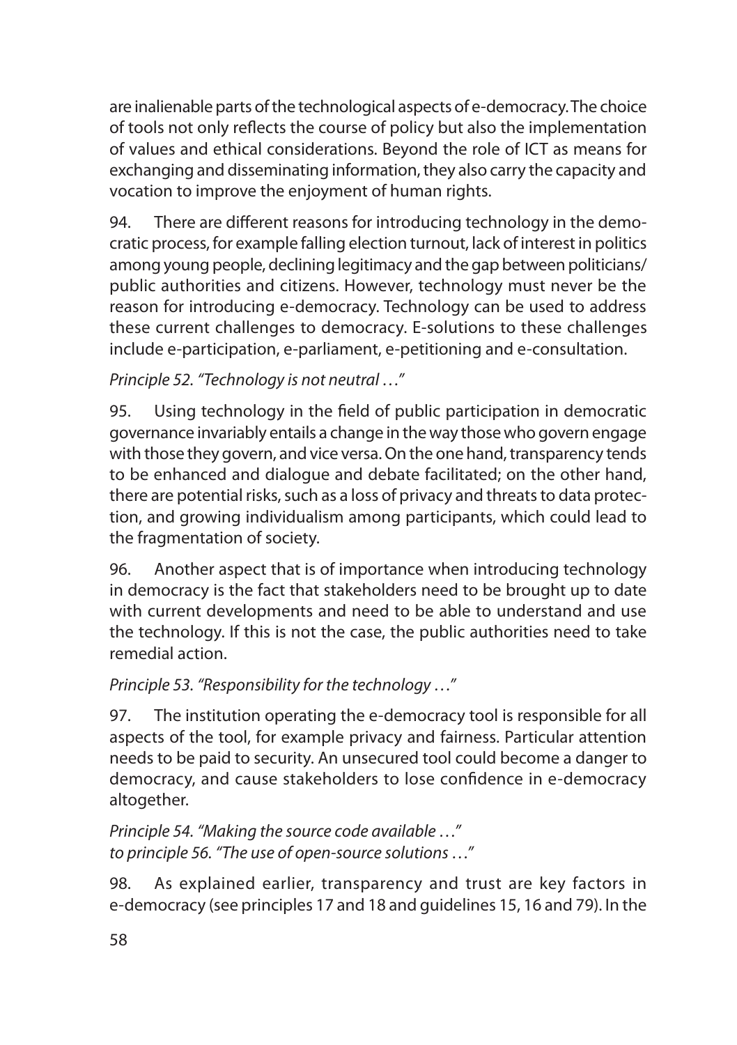are inalienable parts of the technological aspects of e-democracy. The choice of tools not only reflects the course of policy but also the implementation of values and ethical considerations. Beyond the role of ICT as means for exchanging and disseminating information, they also carry the capacity and vocation to improve the enjoyment of human rights.

94. There are different reasons for introducing technology in the democratic process, for example falling election turnout, lack of interest in politics among young people, declining legitimacy and the gap between politicians/ public authorities and citizens. However, technology must never be the reason for introducing e-democracy. Technology can be used to address these current challenges to democracy. E-solutions to these challenges include e-participation, e-parliament, e-petitioning and e-consultation.

*Principle 52. "Technology is not neutral …"*

95. Using technology in the field of public participation in democratic governance invariably entails a change in the way those who govern engage with those they govern, and vice versa. On the one hand, transparency tends to be enhanced and dialogue and debate facilitated; on the other hand, there are potential risks, such as a loss of privacy and threats to data protection, and growing individualism among participants, which could lead to the fragmentation of society.

96. Another aspect that is of importance when introducing technology in democracy is the fact that stakeholders need to be brought up to date with current developments and need to be able to understand and use the technology. If this is not the case, the public authorities need to take remedial action.

*Principle 53. "Responsibility for the technology …"*

97. The institution operating the e-democracy tool is responsible for all aspects of the tool, for example privacy and fairness. Particular attention needs to be paid to security. An unsecured tool could become a danger to democracy, and cause stakeholders to lose confidence in e-democracy altogether.

*Principle 54. "Making the source code available …" to principle 56. "The use of open-source solutions …"*

98. As explained earlier, transparency and trust are key factors in e-democracy (see principles 17 and 18 and guidelines 15, 16 and 79). In the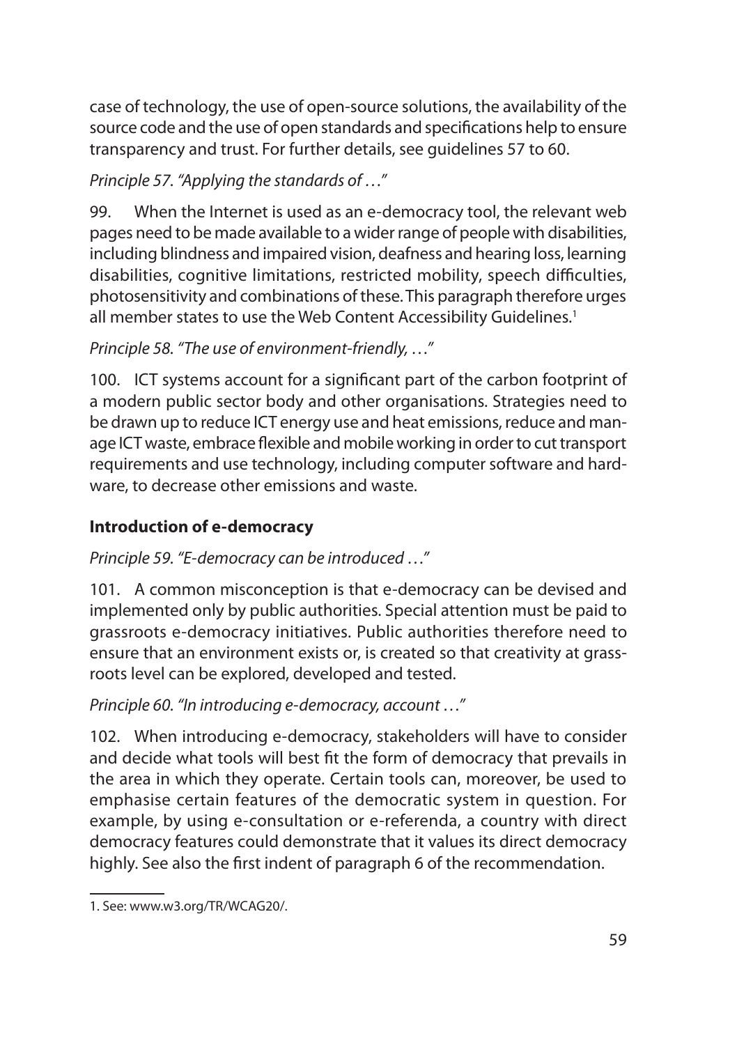case of technology, the use of open-source solutions, the availability of the source code and the use of open standards and specifications help to ensure transparency and trust. For further details, see guidelines 57 to 60.

# *Principle 57. "Applying the standards of …"*

99. When the Internet is used as an e-democracy tool, the relevant web pages need to be made available to a wider range of people with disabilities, including blindness and impaired vision, deafness and hearing loss, learning disabilities, cognitive limitations, restricted mobility, speech difficulties, photosensitivity and combinations of these. This paragraph therefore urges all member states to use the Web Content Accessibility Guidelines.<sup>1</sup>

### *Principle 58. "The use of environment-friendly, …"*

100. ICT systems account for a significant part of the carbon footprint of a modern public sector body and other organisations. Strategies need to be drawn up to reduce ICT energy use and heat emissions, reduce and manage ICT waste, embrace flexible and mobile working in order to cut transport requirements and use technology, including computer software and hardware, to decrease other emissions and waste.

### **Introduction of e-democracy**

#### *Principle 59. "E-democracy can be introduced …"*

101. A common misconception is that e-democracy can be devised and implemented only by public authorities. Special attention must be paid to grassroots e-democracy initiatives. Public authorities therefore need to ensure that an environment exists or, is created so that creativity at grassroots level can be explored, developed and tested.

#### *Principle 60. "In introducing e-democracy, account …"*

102. When introducing e-democracy, stakeholders will have to consider and decide what tools will best fit the form of democracy that prevails in the area in which they operate. Certain tools can, moreover, be used to emphasise certain features of the democratic system in question. For example, by using e-consultation or e-referenda, a country with direct democracy features could demonstrate that it values its direct democracy highly. See also the first indent of paragraph 6 of the recommendation.

<sup>1.</sup> See: www.w3.org/TR/WCAG20/.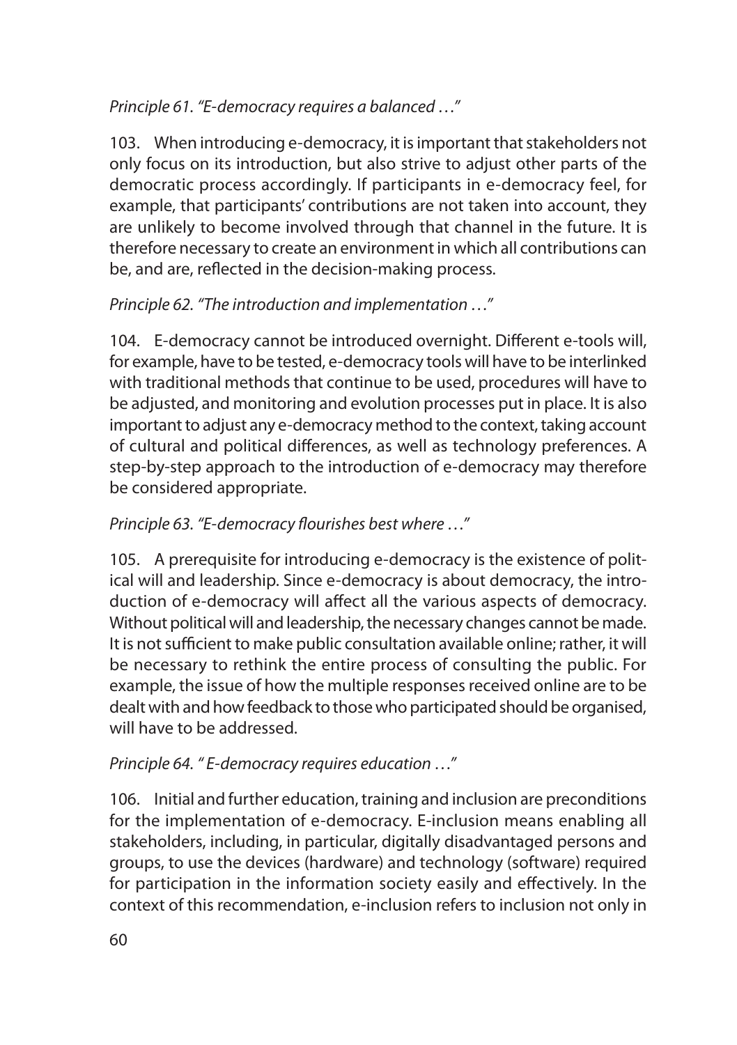### *Principle 61. "E-democracy requires a balanced …"*

103. When introducing e-democracy, it is important that stakeholders not only focus on its introduction, but also strive to adjust other parts of the democratic process accordingly. If participants in e-democracy feel, for example, that participants' contributions are not taken into account, they are unlikely to become involved through that channel in the future. It is therefore necessary to create an environment in which all contributions can be, and are, reflected in the decision-making process.

### *Principle 62. "The introduction and implementation …"*

104. E-democracy cannot be introduced overnight. Different e-tools will, for example, have to be tested, e-democracy tools will have to be interlinked with traditional methods that continue to be used, procedures will have to be adjusted, and monitoring and evolution processes put in place. It is also important to adjust any e-democracy method to the context, taking account of cultural and political differences, as well as technology preferences. A step-by-step approach to the introduction of e-democracy may therefore be considered appropriate.

### *Principle 63. "E-democracy flourishes best where …"*

105. A prerequisite for introducing e-democracy is the existence of political will and leadership. Since e-democracy is about democracy, the introduction of e-democracy will affect all the various aspects of democracy. Without political will and leadership, the necessary changes cannot be made. It is not sufficient to make public consultation available online; rather, it will be necessary to rethink the entire process of consulting the public. For example, the issue of how the multiple responses received online are to be dealt with and how feedback to those who participated should be organised, will have to be addressed.

#### *Principle 64. " E-democracy requires education …"*

106. Initial and further education, training and inclusion are preconditions for the implementation of e-democracy. E-inclusion means enabling all stakeholders, including, in particular, digitally disadvantaged persons and groups, to use the devices (hardware) and technology (software) required for participation in the information society easily and effectively. In the context of this recommendation, e-inclusion refers to inclusion not only in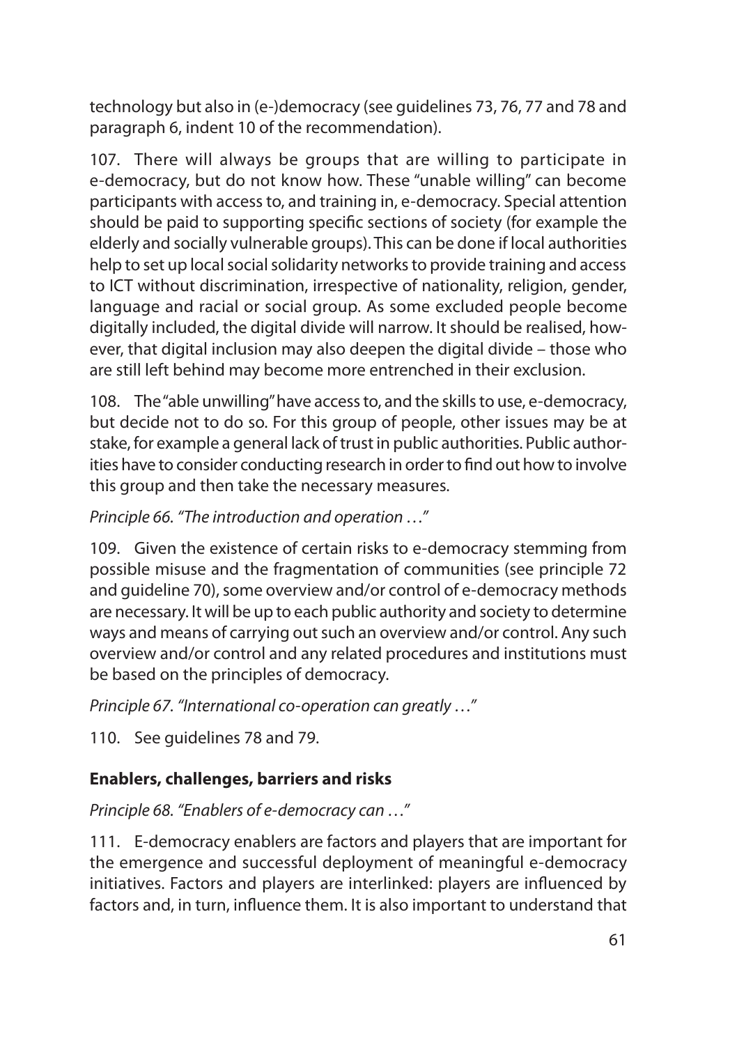technology but also in (e-)democracy (see guidelines 73, 76, 77 and 78 and paragraph 6, indent 10 of the recommendation).

107. There will always be groups that are willing to participate in e-democracy, but do not know how. These "unable willing" can become participants with access to, and training in, e-democracy. Special attention should be paid to supporting specific sections of society (for example the elderly and socially vulnerable groups). This can be done if local authorities help to set up local social solidarity networks to provide training and access to ICT without discrimination, irrespective of nationality, religion, gender, language and racial or social group. As some excluded people become digitally included, the digital divide will narrow. It should be realised, however, that digital inclusion may also deepen the digital divide – those who are still left behind may become more entrenched in their exclusion.

108. The "able unwilling" have access to, and the skills to use, e-democracy, but decide not to do so. For this group of people, other issues may be at stake, for example a general lack of trust in public authorities. Public authorities have to consider conducting research in order to find out how to involve this group and then take the necessary measures.

*Principle 66. "The introduction and operation …"* 

109. Given the existence of certain risks to e-democracy stemming from possible misuse and the fragmentation of communities (see principle 72 and guideline 70), some overview and/or control of e-democracy methods are necessary. It will be up to each public authority and society to determine ways and means of carrying out such an overview and/or control. Any such overview and/or control and any related procedures and institutions must be based on the principles of democracy.

*Principle 67. "International co-operation can greatly …"*

110. See guidelines 78 and 79.

# **Enablers, challenges, barriers and risks**

*Principle 68. "Enablers of e-democracy can …"*

111. E-democracy enablers are factors and players that are important for the emergence and successful deployment of meaningful e-democracy initiatives. Factors and players are interlinked: players are influenced by factors and, in turn, influence them. It is also important to understand that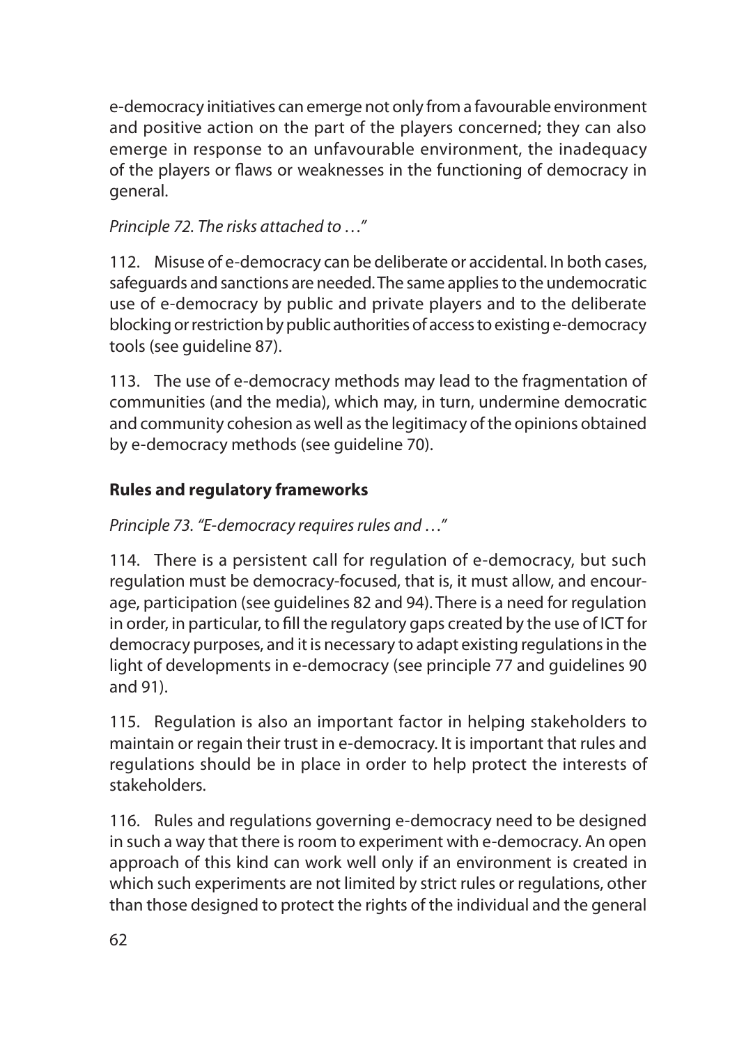e-democracy initiatives can emerge not only from a favourable environment and positive action on the part of the players concerned; they can also emerge in response to an unfavourable environment, the inadequacy of the players or flaws or weaknesses in the functioning of democracy in general.

### *Principle 72. The risks attached to …"*

112. Misuse of e-democracy can be deliberate or accidental. In both cases, safeguards and sanctions are needed. The same applies to the undemocratic use of e-democracy by public and private players and to the deliberate blocking or restriction by public authorities of access to existing e-democracy tools (see guideline 87).

113. The use of e-democracy methods may lead to the fragmentation of communities (and the media), which may, in turn, undermine democratic and community cohesion as well as the legitimacy of the opinions obtained by e-democracy methods (see guideline 70).

### **Rules and regulatory frameworks**

### *Principle 73. "E-democracy requires rules and …"*

114. There is a persistent call for regulation of e-democracy, but such regulation must be democracy-focused, that is, it must allow, and encourage, participation (see guidelines 82 and 94). There is a need for regulation in order, in particular, to fill the regulatory gaps created by the use of ICT for democracy purposes, and it is necessary to adapt existing regulations in the light of developments in e-democracy (see principle 77 and guidelines 90 and 91).

115. Regulation is also an important factor in helping stakeholders to maintain or regain their trust in e-democracy. It is important that rules and regulations should be in place in order to help protect the interests of stakeholders.

116. Rules and regulations governing e-democracy need to be designed in such a way that there is room to experiment with e-democracy. An open approach of this kind can work well only if an environment is created in which such experiments are not limited by strict rules or regulations, other than those designed to protect the rights of the individual and the general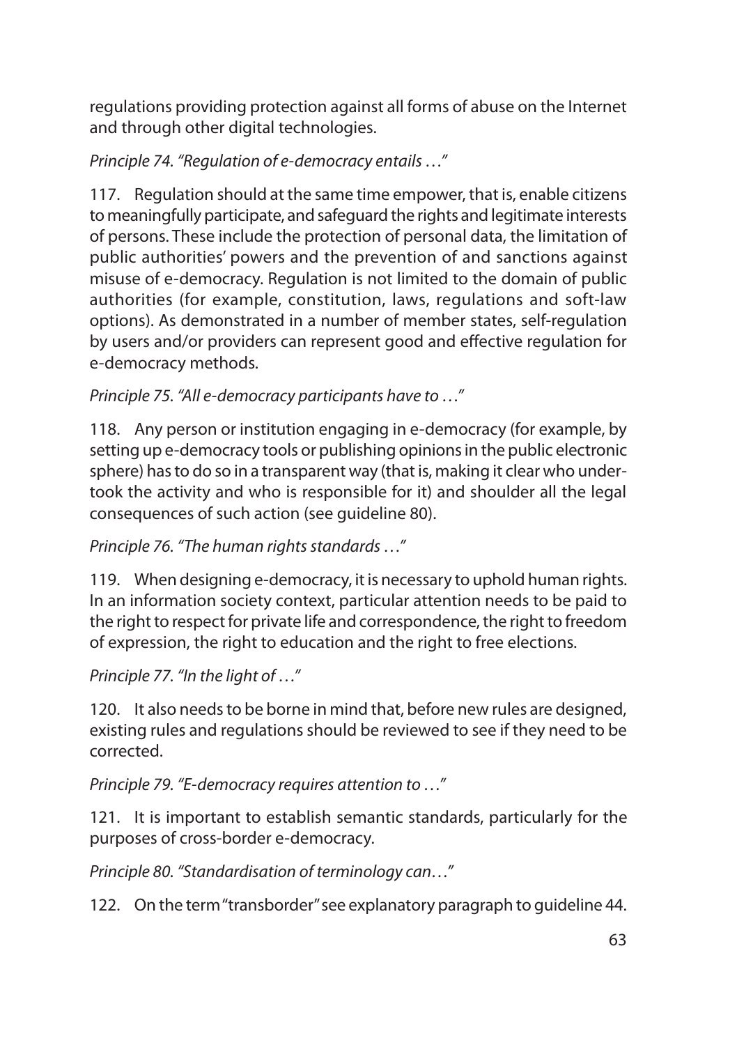regulations providing protection against all forms of abuse on the Internet and through other digital technologies.

*Principle 74. "Regulation of e-democracy entails …"*

117. Regulation should at the same time empower, that is, enable citizens to meaningfully participate, and safeguard the rights and legitimate interests of persons. These include the protection of personal data, the limitation of public authorities' powers and the prevention of and sanctions against misuse of e-democracy. Regulation is not limited to the domain of public authorities (for example, constitution, laws, regulations and soft-law options). As demonstrated in a number of member states, self-regulation by users and/or providers can represent good and effective regulation for e-democracy methods.

*Principle 75. "All e-democracy participants have to …"* 

118. Any person or institution engaging in e-democracy (for example, by setting up e-democracy tools or publishing opinions in the public electronic sphere) has to do so in a transparent way (that is, making it clear who undertook the activity and who is responsible for it) and shoulder all the legal consequences of such action (see guideline 80).

*Principle 76. "The human rights standards …"*

119. When designing e-democracy, it is necessary to uphold human rights. In an information society context, particular attention needs to be paid to the right to respect for private life and correspondence, the right to freedom of expression, the right to education and the right to free elections.

*Principle 77. "In the light of …"*

120. It also needs to be borne in mind that, before new rules are designed, existing rules and regulations should be reviewed to see if they need to be corrected.

*Principle 79. "E-democracy requires attention to …"*

121. It is important to establish semantic standards, particularly for the purposes of cross-border e-democracy.

*Principle 80. "Standardisation of terminology can…"* 

122. On the term "transborder" see explanatory paragraph to guideline 44.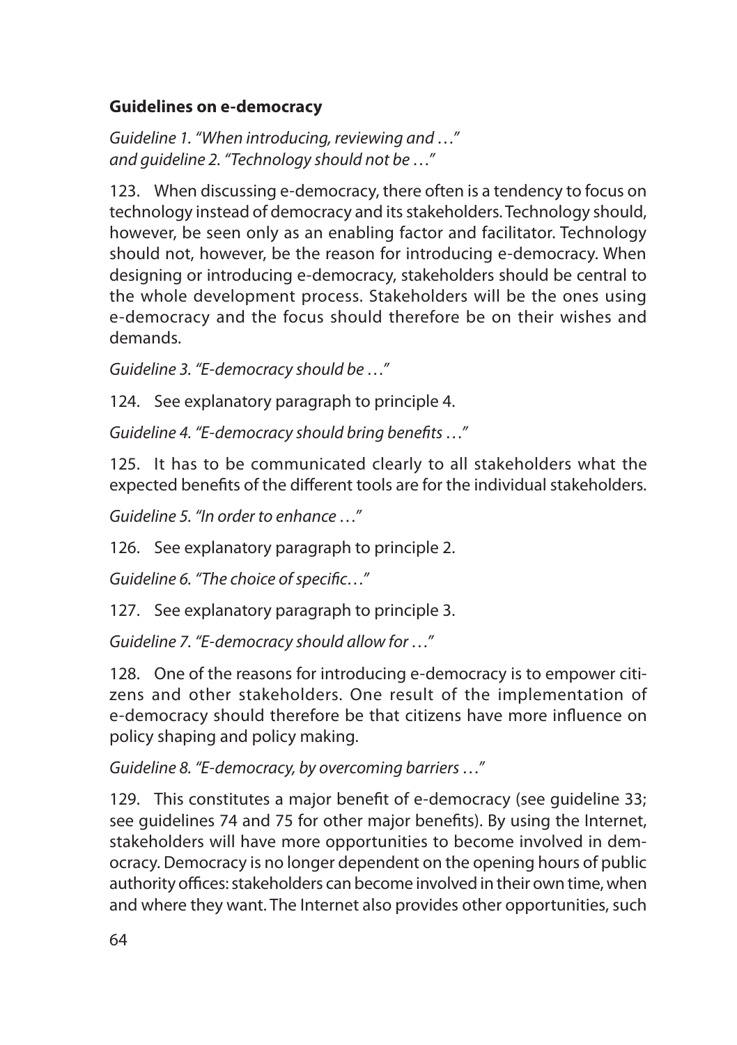### **Guidelines on e-democracy**

*Guideline 1. "When introducing, reviewing and …" and guideline 2. "Technology should not be …"*

123. When discussing e-democracy, there often is a tendency to focus on technology instead of democracy and its stakeholders. Technology should, however, be seen only as an enabling factor and facilitator. Technology should not, however, be the reason for introducing e-democracy. When designing or introducing e-democracy, stakeholders should be central to the whole development process. Stakeholders will be the ones using e-democracy and the focus should therefore be on their wishes and demands.

*Guideline 3. "E-democracy should be …"*

124. See explanatory paragraph to principle 4.

*Guideline 4. "E-democracy should bring benefits …"*

125. It has to be communicated clearly to all stakeholders what the expected benefits of the different tools are for the individual stakeholders.

*Guideline 5. "In order to enhance …"*

126. See explanatory paragraph to principle 2.

*Guideline 6. "The choice of specific…"*

127. See explanatory paragraph to principle 3.

*Guideline 7. "E-democracy should allow for …"*

128. One of the reasons for introducing e-democracy is to empower citizens and other stakeholders. One result of the implementation of e-democracy should therefore be that citizens have more influence on policy shaping and policy making.

*Guideline 8. "E-democracy, by overcoming barriers …"*

129. This constitutes a major benefit of e-democracy (see guideline 33; see guidelines 74 and 75 for other major benefits). By using the Internet, stakeholders will have more opportunities to become involved in democracy. Democracy is no longer dependent on the opening hours of public authority offices: stakeholders can become involved in their own time, when and where they want. The Internet also provides other opportunities, such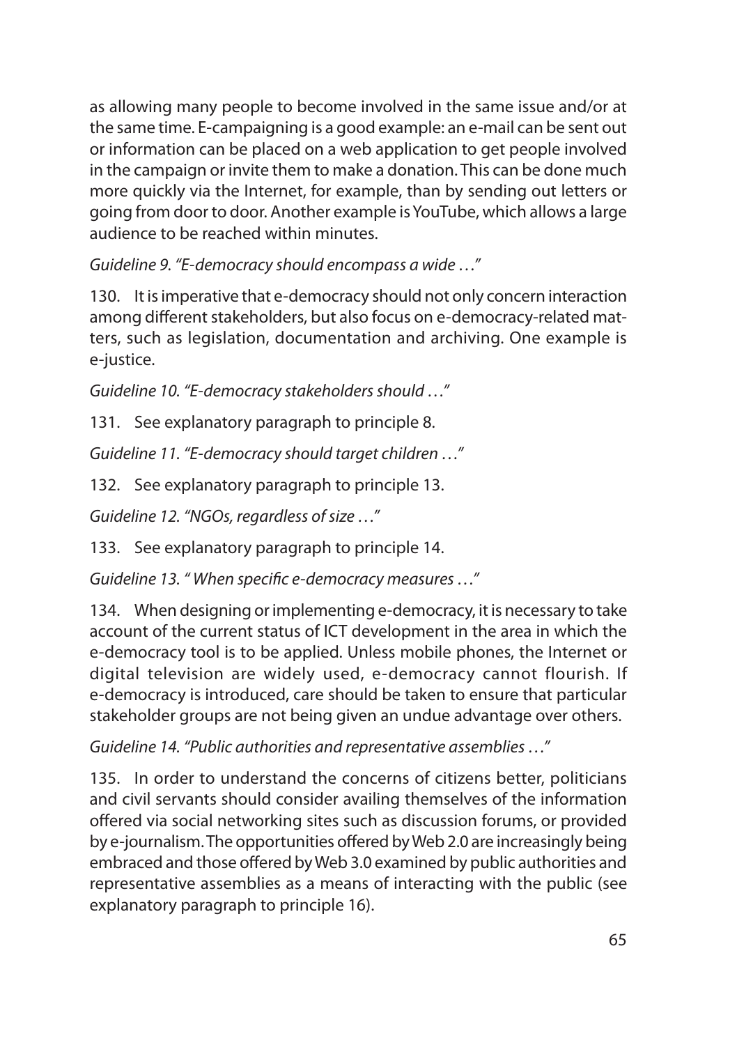as allowing many people to become involved in the same issue and/or at the same time. E-campaigning is a good example: an e-mail can be sent out or information can be placed on a web application to get people involved in the campaign or invite them to make a donation. This can be done much more quickly via the Internet, for example, than by sending out letters or going from door to door. Another example is YouTube, which allows a large audience to be reached within minutes.

*Guideline 9. "E-democracy should encompass a wide …"*

130. It is imperative that e-democracy should not only concern interaction among different stakeholders, but also focus on e-democracy-related matters, such as legislation, documentation and archiving. One example is e-justice.

*Guideline 10. "E-democracy stakeholders should …"*

131. See explanatory paragraph to principle 8.

*Guideline 11. "E-democracy should target children …"*

132. See explanatory paragraph to principle 13.

*Guideline 12. "NGOs, regardless of size …"*

133. See explanatory paragraph to principle 14.

*Guideline 13. " When specific e-democracy measures …"*

134. When designing or implementing e-democracy, it is necessary to take account of the current status of ICT development in the area in which the e-democracy tool is to be applied. Unless mobile phones, the Internet or digital television are widely used, e-democracy cannot flourish. If e-democracy is introduced, care should be taken to ensure that particular stakeholder groups are not being given an undue advantage over others.

*Guideline 14. "Public authorities and representative assemblies …"*

135. In order to understand the concerns of citizens better, politicians and civil servants should consider availing themselves of the information offered via social networking sites such as discussion forums, or provided by e-journalism. The opportunities offered by Web 2.0 are increasingly being embraced and those offered by Web 3.0 examined by public authorities and representative assemblies as a means of interacting with the public (see explanatory paragraph to principle 16).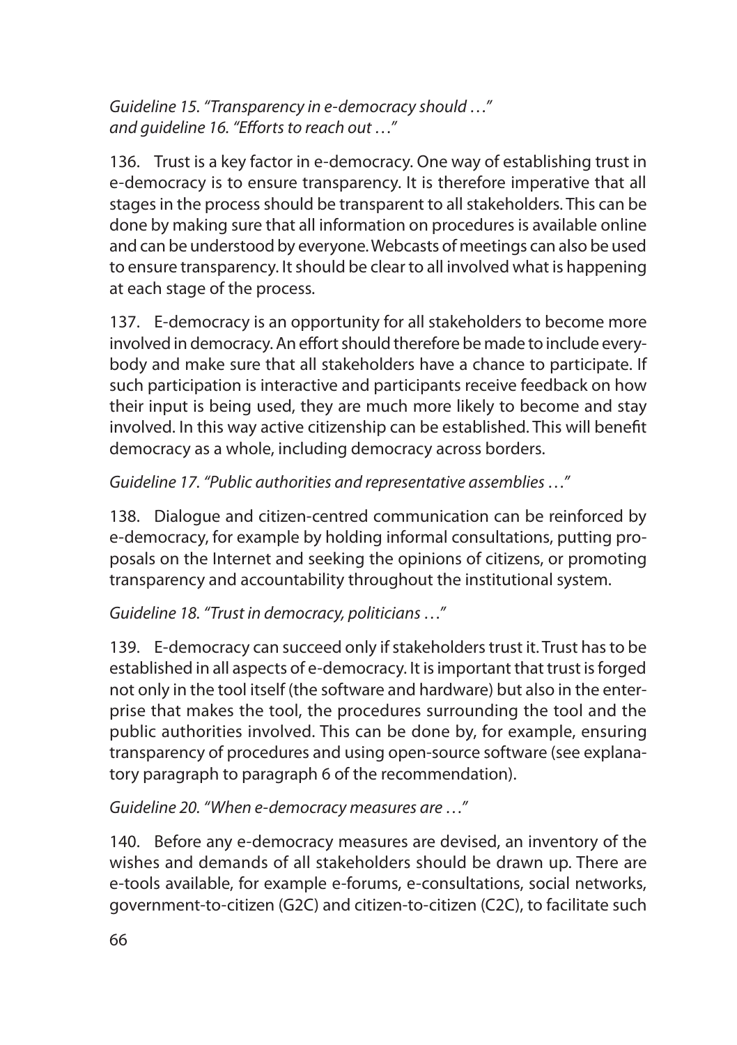*Guideline 15. "Transparency in e-democracy should …" and guideline 16. "Efforts to reach out …"*

136. Trust is a key factor in e-democracy. One way of establishing trust in e-democracy is to ensure transparency. It is therefore imperative that all stages in the process should be transparent to all stakeholders. This can be done by making sure that all information on procedures is available online and can be understood by everyone. Webcasts of meetings can also be used to ensure transparency. It should be clear to all involved what is happening at each stage of the process.

137. E-democracy is an opportunity for all stakeholders to become more involved in democracy. An effort should therefore be made to include everybody and make sure that all stakeholders have a chance to participate. If such participation is interactive and participants receive feedback on how their input is being used, they are much more likely to become and stay involved. In this way active citizenship can be established. This will benefit democracy as a whole, including democracy across borders.

*Guideline 17. "Public authorities and representative assemblies …"*

138. Dialogue and citizen-centred communication can be reinforced by e-democracy, for example by holding informal consultations, putting proposals on the Internet and seeking the opinions of citizens, or promoting transparency and accountability throughout the institutional system.

*Guideline 18. "Trust in democracy, politicians …"*

139. E-democracy can succeed only if stakeholders trust it. Trust has to be established in all aspects of e-democracy. It is important that trust is forged not only in the tool itself (the software and hardware) but also in the enterprise that makes the tool, the procedures surrounding the tool and the public authorities involved. This can be done by, for example, ensuring transparency of procedures and using open-source software (see explanatory paragraph to paragraph 6 of the recommendation).

*Guideline 20. "When e-democracy measures are …"*

140. Before any e-democracy measures are devised, an inventory of the wishes and demands of all stakeholders should be drawn up. There are e-tools available, for example e-forums, e-consultations, social networks, government-to-citizen (G2C) and citizen-to-citizen (C2C), to facilitate such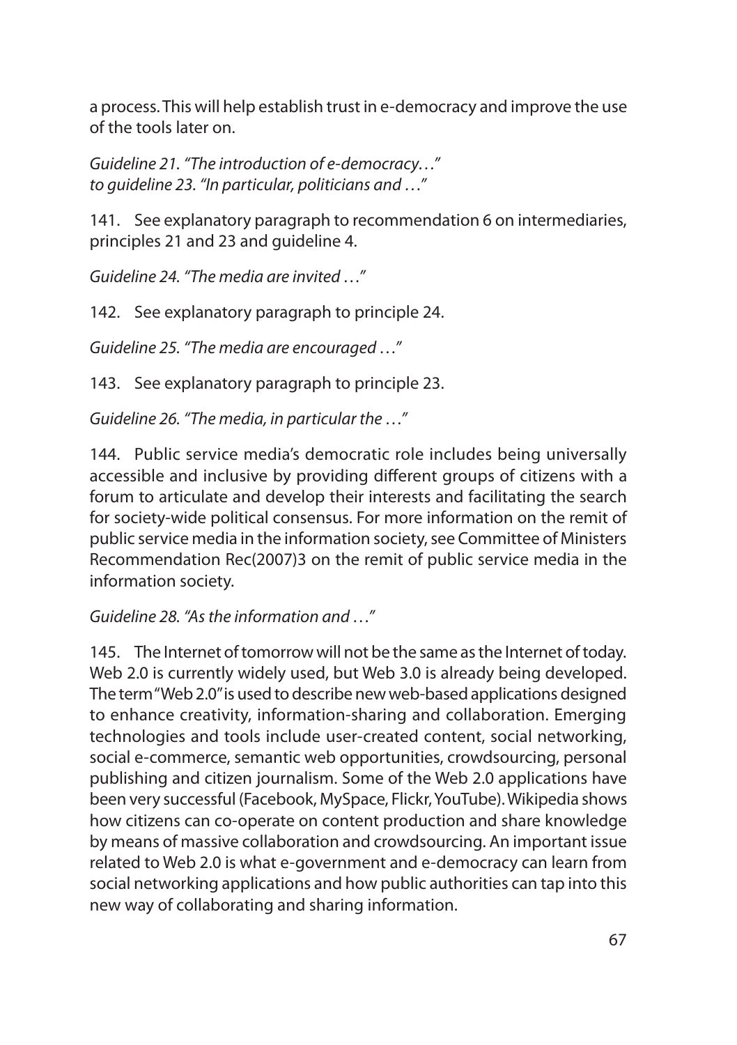a process. This will help establish trust in e-democracy and improve the use of the tools later on.

*Guideline 21. "The introduction of e-democracy…" to guideline 23. "In particular, politicians and …"*

141. See explanatory paragraph to recommendation 6 on intermediaries, principles 21 and 23 and guideline 4.

*Guideline 24. "The media are invited …"*

142. See explanatory paragraph to principle 24.

*Guideline 25. "The media are encouraged …"*

143. See explanatory paragraph to principle 23.

*Guideline 26. "The media, in particular the …"*

144. Public service media's democratic role includes being universally accessible and inclusive by providing different groups of citizens with a forum to articulate and develop their interests and facilitating the search for society-wide political consensus. For more information on the remit of public service media in the information society, see Committee of Ministers Recommendation Rec(2007)3 on the remit of public service media in the information society.

*Guideline 28. "As the information and …"* 

145. The Internet of tomorrow will not be the same as the Internet of today. Web 2.0 is currently widely used, but Web 3.0 is already being developed. The term "Web 2.0" is used to describe new web-based applications designed to enhance creativity, information-sharing and collaboration. Emerging technologies and tools include user-created content, social networking, social e-commerce, semantic web opportunities, crowdsourcing, personal publishing and citizen journalism. Some of the Web 2.0 applications have been very successful (Facebook, MySpace, Flickr, YouTube). Wikipedia shows how citizens can co-operate on content production and share knowledge by means of massive collaboration and crowdsourcing. An important issue related to Web 2.0 is what e-government and e-democracy can learn from social networking applications and how public authorities can tap into this new way of collaborating and sharing information.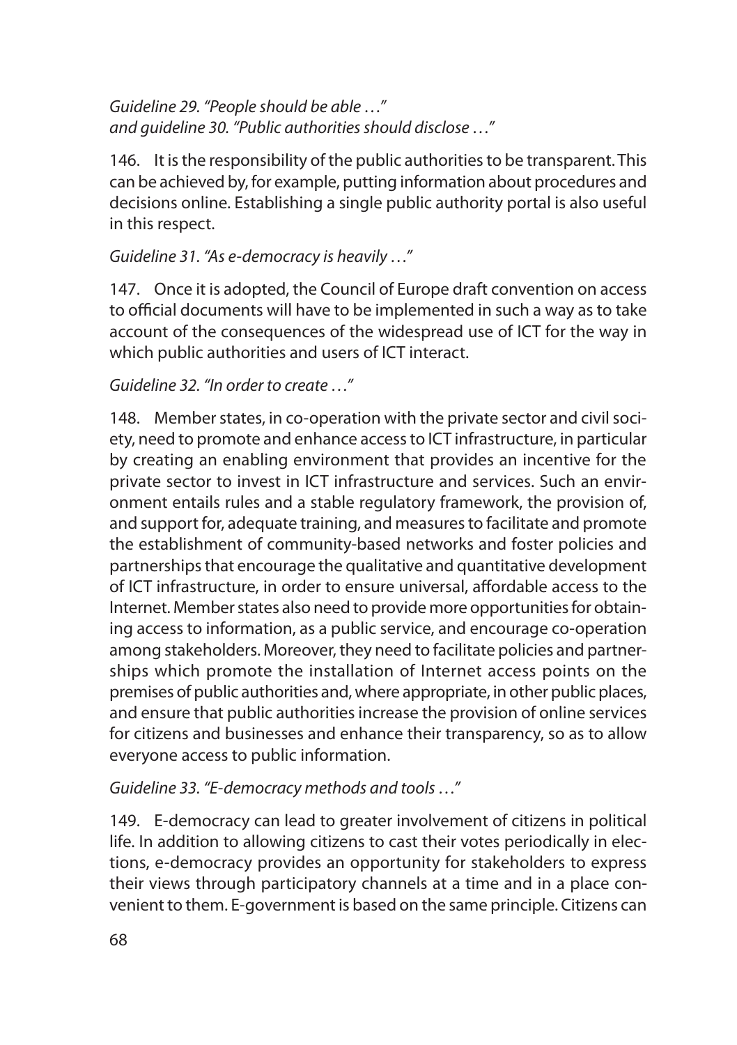*Guideline 29. "People should be able …" and guideline 30. "Public authorities should disclose …"* 

146. It is the responsibility of the public authorities to be transparent. This can be achieved by, for example, putting information about procedures and decisions online. Establishing a single public authority portal is also useful in this respect.

*Guideline 31. "As e-democracy is heavily …"*

147. Once it is adopted, the Council of Europe draft convention on access to official documents will have to be implemented in such a way as to take account of the consequences of the widespread use of ICT for the way in which public authorities and users of ICT interact.

*Guideline 32. "In order to create …"* 

148. Member states, in co-operation with the private sector and civil society, need to promote and enhance access to ICT infrastructure, in particular by creating an enabling environment that provides an incentive for the private sector to invest in ICT infrastructure and services. Such an environment entails rules and a stable regulatory framework, the provision of, and support for, adequate training, and measures to facilitate and promote the establishment of community-based networks and foster policies and partnerships that encourage the qualitative and quantitative development of ICT infrastructure, in order to ensure universal, affordable access to the Internet. Member states also need to provide more opportunities for obtaining access to information, as a public service, and encourage co-operation among stakeholders. Moreover, they need to facilitate policies and partnerships which promote the installation of Internet access points on the premises of public authorities and, where appropriate, in other public places, and ensure that public authorities increase the provision of online services for citizens and businesses and enhance their transparency, so as to allow everyone access to public information.

*Guideline 33. "E-democracy methods and tools …"*

149. E-democracy can lead to greater involvement of citizens in political life. In addition to allowing citizens to cast their votes periodically in elections, e-democracy provides an opportunity for stakeholders to express their views through participatory channels at a time and in a place convenient to them. E-government is based on the same principle. Citizens can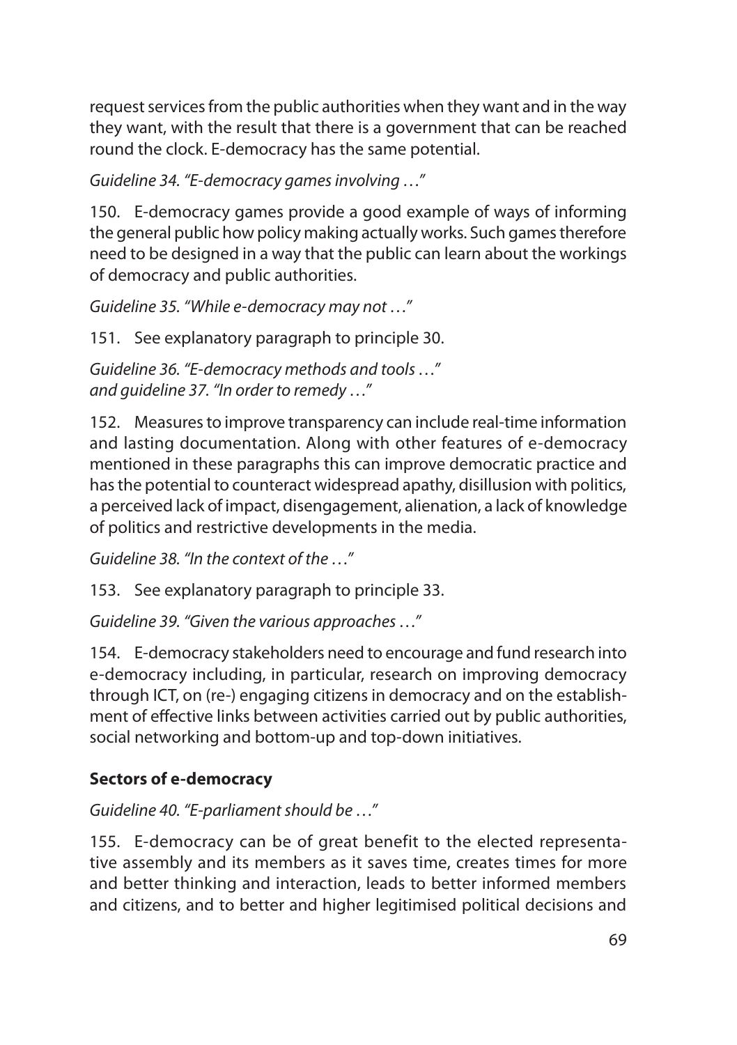request services from the public authorities when they want and in the way they want, with the result that there is a government that can be reached round the clock. E-democracy has the same potential.

*Guideline 34. "E-democracy games involving …"*

150. E-democracy games provide a good example of ways of informing the general public how policy making actually works. Such games therefore need to be designed in a way that the public can learn about the workings of democracy and public authorities.

*Guideline 35. "While e-democracy may not …"*

151. See explanatory paragraph to principle 30.

*Guideline 36. "E-democracy methods and tools …" and guideline 37. "In order to remedy …"*

152. Measures to improve transparency can include real-time information and lasting documentation. Along with other features of e-democracy mentioned in these paragraphs this can improve democratic practice and has the potential to counteract widespread apathy, disillusion with politics, a perceived lack of impact, disengagement, alienation, a lack of knowledge of politics and restrictive developments in the media.

*Guideline 38. "In the context of the …"*

153. See explanatory paragraph to principle 33.

*Guideline 39. "Given the various approaches …"*

154. E-democracy stakeholders need to encourage and fund research into e-democracy including, in particular, research on improving democracy through ICT, on (re-) engaging citizens in democracy and on the establishment of effective links between activities carried out by public authorities, social networking and bottom-up and top-down initiatives.

### **Sectors of e-democracy**

*Guideline 40. "E-parliament should be …"*

155. E-democracy can be of great benefit to the elected representative assembly and its members as it saves time, creates times for more and better thinking and interaction, leads to better informed members and citizens, and to better and higher legitimised political decisions and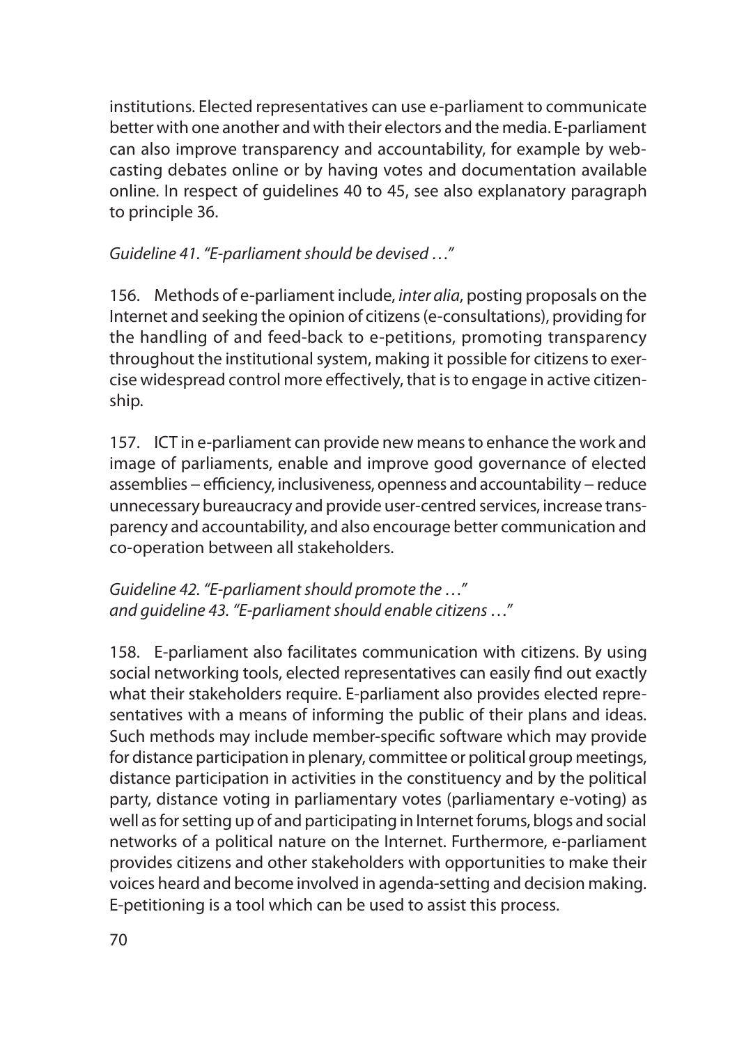institutions. Elected representatives can use e-parliament to communicate better with one another and with their electors and the media. E-parliament can also improve transparency and accountability, for example by webcasting debates online or by having votes and documentation available online. In respect of guidelines 40 to 45, see also explanatory paragraph to principle 36.

*Guideline 41. "E-parliament should be devised …"*

156. Methods of e-parliament include, *inter alia*, posting proposals on the Internet and seeking the opinion of citizens (e-consultations), providing for the handling of and feed-back to e-petitions, promoting transparency throughout the institutional system, making it possible for citizens to exercise widespread control more effectively, that is to engage in active citizenship.

157. ICT in e-parliament can provide new means to enhance the work and image of parliaments, enable and improve good governance of elected assemblies – efficiency, inclusiveness, openness and accountability – reduce unnecessary bureaucracy and provide user-centred services, increase transparency and accountability, and also encourage better communication and co-operation between all stakeholders.

*Guideline 42. "E-parliament should promote the …" and guideline 43. "E-parliament should enable citizens …"*

158. E-parliament also facilitates communication with citizens. By using social networking tools, elected representatives can easily find out exactly what their stakeholders require. E-parliament also provides elected representatives with a means of informing the public of their plans and ideas. Such methods may include member-specific software which may provide for distance participation in plenary, committee or political group meetings, distance participation in activities in the constituency and by the political party, distance voting in parliamentary votes (parliamentary e-voting) as well as for setting up of and participating in Internet forums, blogs and social networks of a political nature on the Internet. Furthermore, e-parliament provides citizens and other stakeholders with opportunities to make their voices heard and become involved in agenda-setting and decision making. E-petitioning is a tool which can be used to assist this process.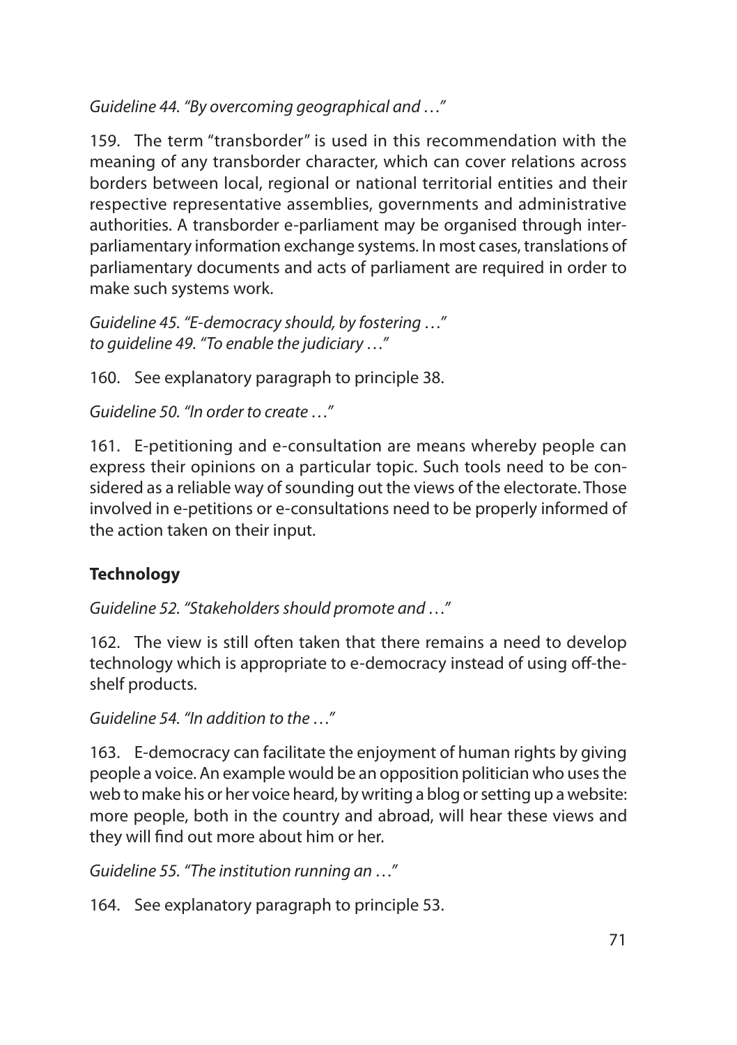*Guideline 44. "By overcoming geographical and …"*

159. The term "transborder" is used in this recommendation with the meaning of any transborder character, which can cover relations across borders between local, regional or national territorial entities and their respective representative assemblies, governments and administrative authorities. A transborder e-parliament may be organised through interparliamentary information exchange systems. In most cases, translations of parliamentary documents and acts of parliament are required in order to make such systems work.

*Guideline 45. "E-democracy should, by fostering …" to guideline 49. "To enable the judiciary …"*

160. See explanatory paragraph to principle 38.

*Guideline 50. "In order to create …"*

161. E-petitioning and e-consultation are means whereby people can express their opinions on a particular topic. Such tools need to be considered as a reliable way of sounding out the views of the electorate. Those involved in e-petitions or e-consultations need to be properly informed of the action taken on their input.

### **Technology**

*Guideline 52. "Stakeholders should promote and …"*

162. The view is still often taken that there remains a need to develop technology which is appropriate to e-democracy instead of using off-theshelf products.

*Guideline 54. "In addition to the …"*

163. E-democracy can facilitate the enjoyment of human rights by giving people a voice. An example would be an opposition politician who uses the web to make his or her voice heard, by writing a blog or setting up a website: more people, both in the country and abroad, will hear these views and they will find out more about him or her.

*Guideline 55. "The institution running an …"*

164. See explanatory paragraph to principle 53.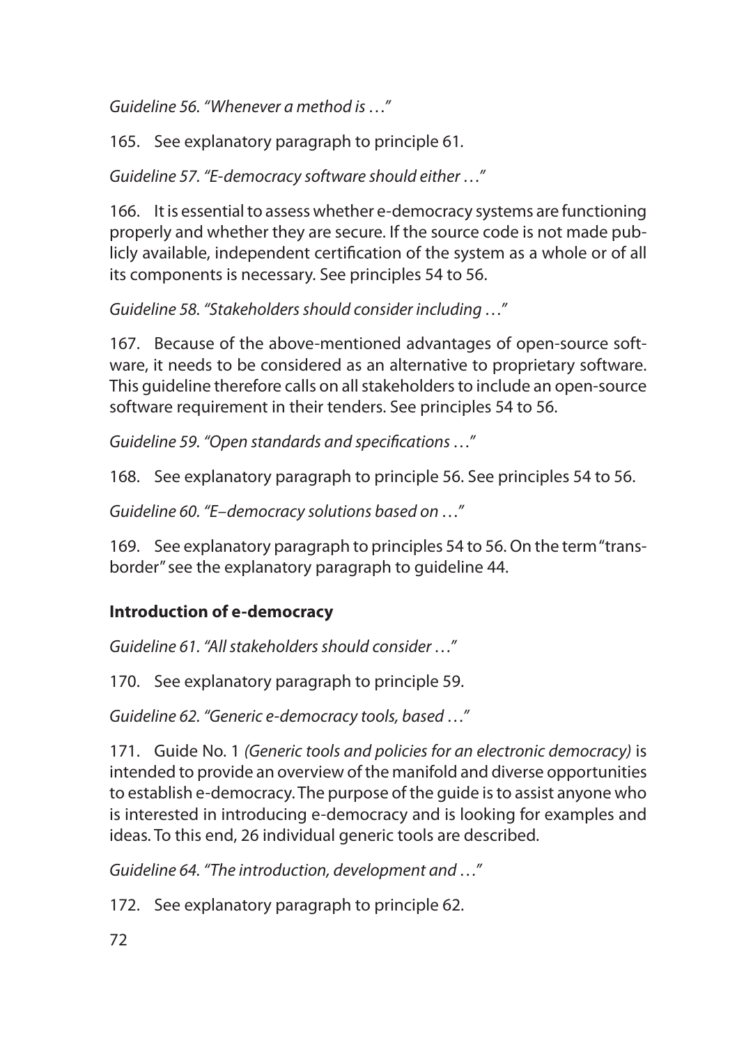*Guideline 56. "Whenever a method is …"*

165. See explanatory paragraph to principle 61*.*

*Guideline 57. "E-democracy software should either …"*

166. It is essential to assess whether e-democracy systems are functioning properly and whether they are secure. If the source code is not made publicly available, independent certification of the system as a whole or of all its components is necessary. See principles 54 to 56.

*Guideline 58. "Stakeholders should consider including …"*

167. Because of the above-mentioned advantages of open-source software, it needs to be considered as an alternative to proprietary software. This guideline therefore calls on all stakeholders to include an open-source software requirement in their tenders. See principles 54 to 56.

*Guideline 59. "Open standards and specifications …"*

168. See explanatory paragraph to principle 56. See principles 54 to 56.

*Guideline 60. "E–democracy solutions based on …"*

169. See explanatory paragraph to principles 54 to 56. On the term "transborder" see the explanatory paragraph to guideline 44.

## **Introduction of e-democracy**

*Guideline 61. "All stakeholders should consider …"*

170. See explanatory paragraph to principle 59.

*Guideline 62. "Generic e-democracy tools, based …"*

171. Guide No. 1 *(Generic tools and policies for an electronic democracy)* is intended to provide an overview of the manifold and diverse opportunities to establish e-democracy. The purpose of the guide is to assist anyone who is interested in introducing e-democracy and is looking for examples and ideas. To this end, 26 individual generic tools are described.

*Guideline 64. "The introduction, development and …"*

172. See explanatory paragraph to principle 62.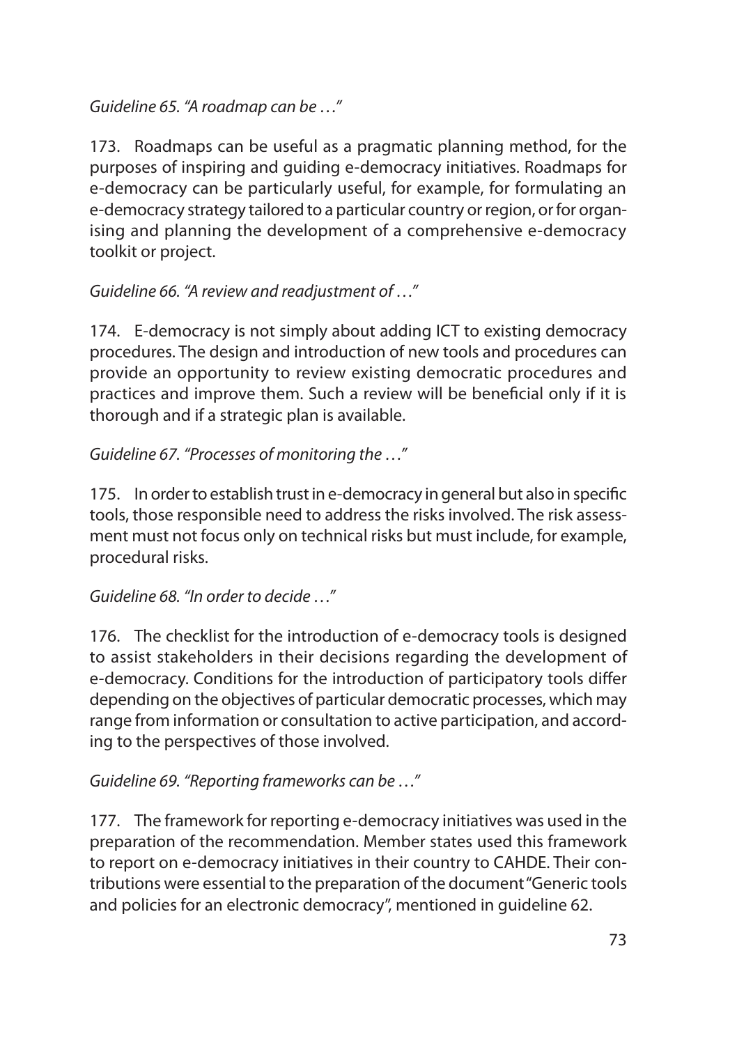*Guideline 65. "A roadmap can be …"*

173. Roadmaps can be useful as a pragmatic planning method, for the purposes of inspiring and guiding e-democracy initiatives. Roadmaps for e-democracy can be particularly useful, for example, for formulating an e-democracy strategy tailored to a particular country or region, or for organising and planning the development of a comprehensive e-democracy toolkit or project.

*Guideline 66. "A review and readjustment of …"*

174. E-democracy is not simply about adding ICT to existing democracy procedures. The design and introduction of new tools and procedures can provide an opportunity to review existing democratic procedures and practices and improve them. Such a review will be beneficial only if it is thorough and if a strategic plan is available.

*Guideline 67. "Processes of monitoring the …"*

175. In order to establish trust in e-democracy in general but also in specific tools, those responsible need to address the risks involved. The risk assessment must not focus only on technical risks but must include, for example, procedural risks.

*Guideline 68. "In order to decide …"*

176. The checklist for the introduction of e-democracy tools is designed to assist stakeholders in their decisions regarding the development of e-democracy. Conditions for the introduction of participatory tools differ depending on the objectives of particular democratic processes, which may range from information or consultation to active participation, and according to the perspectives of those involved.

*Guideline 69. "Reporting frameworks can be …"*

177. The framework for reporting e-democracy initiatives was used in the preparation of the recommendation. Member states used this framework to report on e-democracy initiatives in their country to CAHDE. Their contributions were essential to the preparation of the document "Generic tools and policies for an electronic democracy", mentioned in guideline 62.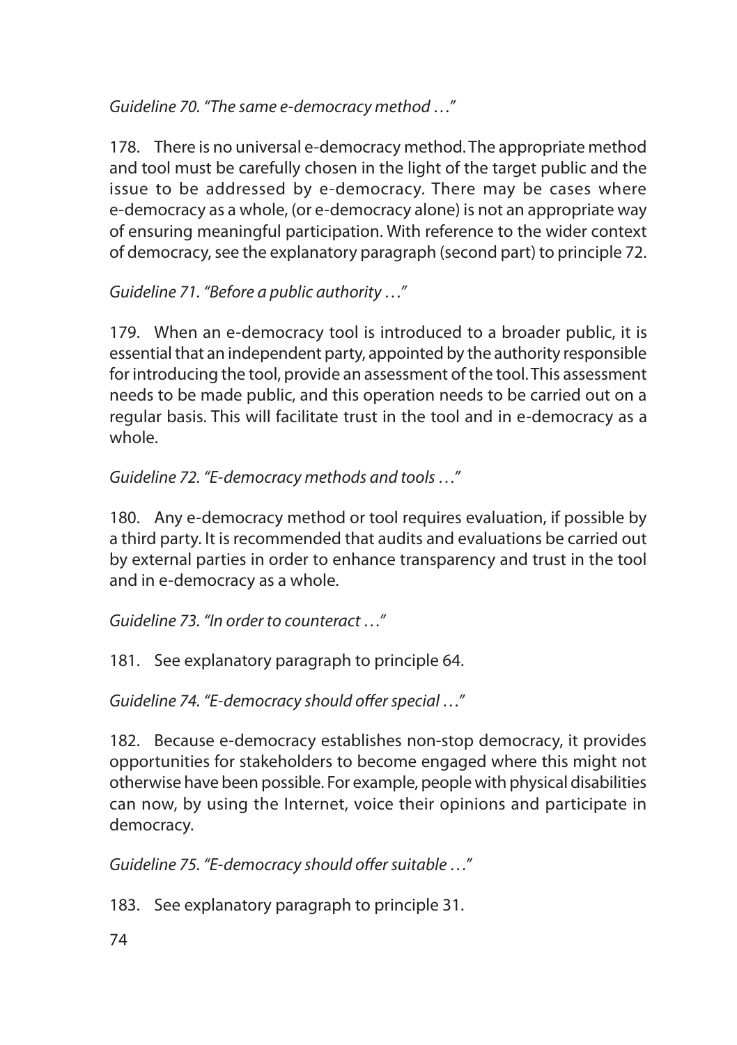*Guideline 70. "The same e-democracy method …"* 

178. There is no universal e-democracy method. The appropriate method and tool must be carefully chosen in the light of the target public and the issue to be addressed by e-democracy. There may be cases where e-democracy as a whole, (or e-democracy alone) is not an appropriate way of ensuring meaningful participation. With reference to the wider context of democracy, see the explanatory paragraph (second part) to principle 72.

*Guideline 71. "Before a public authority …"*

179. When an e-democracy tool is introduced to a broader public, it is essential that an independent party, appointed by the authority responsible for introducing the tool, provide an assessment of the tool. This assessment needs to be made public, and this operation needs to be carried out on a regular basis. This will facilitate trust in the tool and in e-democracy as a whole.

*Guideline 72. "E-democracy methods and tools …"*

180. Any e-democracy method or tool requires evaluation, if possible by a third party. It is recommended that audits and evaluations be carried out by external parties in order to enhance transparency and trust in the tool and in e-democracy as a whole.

*Guideline 73. "In order to counteract …"*

181. See explanatory paragraph to principle 64.

*Guideline 74. "E-democracy should offer special …"*

182. Because e-democracy establishes non-stop democracy, it provides opportunities for stakeholders to become engaged where this might not otherwise have been possible. For example, people with physical disabilities can now, by using the Internet, voice their opinions and participate in democracy.

*Guideline 75. "E-democracy should offer suitable …"*

183. See explanatory paragraph to principle 31.

74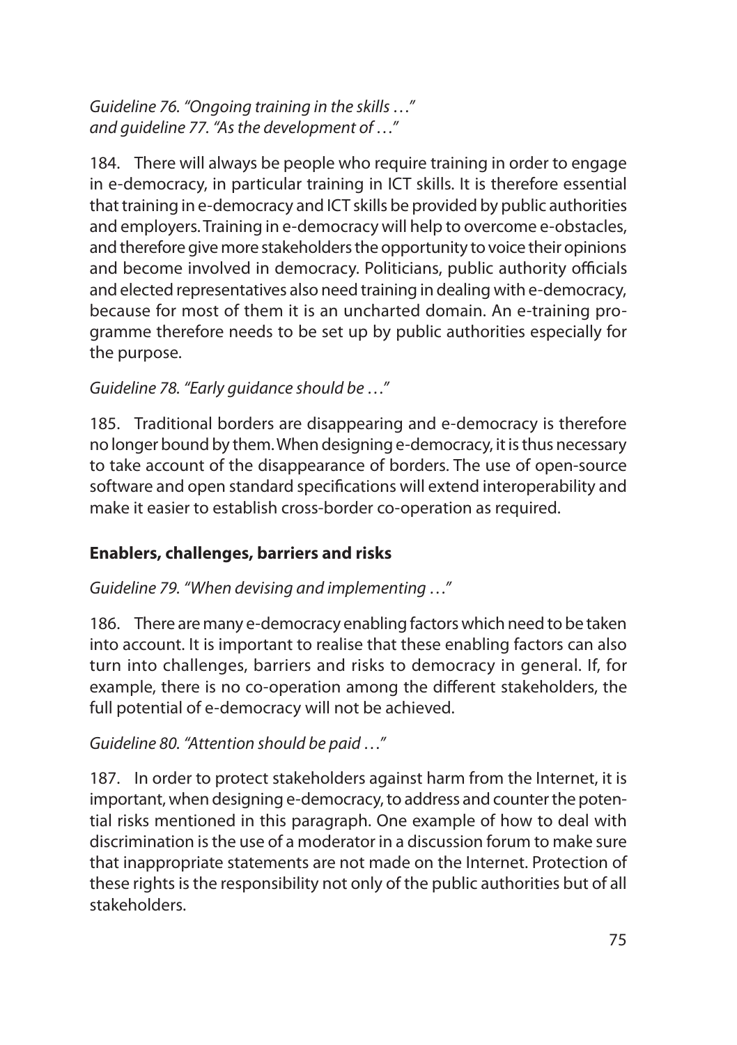*Guideline 76. "Ongoing training in the skills …" and guideline 77. "As the development of …"*

184. There will always be people who require training in order to engage in e-democracy, in particular training in ICT skills. It is therefore essential that training in e-democracy and ICT skills be provided by public authorities and employers. Training in e-democracy will help to overcome e-obstacles, and therefore give more stakeholders the opportunity to voice their opinions and become involved in democracy. Politicians, public authority officials and elected representatives also need training in dealing with e-democracy, because for most of them it is an uncharted domain. An e-training programme therefore needs to be set up by public authorities especially for the purpose.

## *Guideline 78. "Early guidance should be …"*

185. Traditional borders are disappearing and e-democracy is therefore no longer bound by them. When designing e-democracy, it is thus necessary to take account of the disappearance of borders. The use of open-source software and open standard specifications will extend interoperability and make it easier to establish cross-border co-operation as required.

## **Enablers, challenges, barriers and risks**

## *Guideline 79. "When devising and implementing …"*

186. There are many e-democracy enabling factors which need to be taken into account. It is important to realise that these enabling factors can also turn into challenges, barriers and risks to democracy in general. If, for example, there is no co-operation among the different stakeholders, the full potential of e-democracy will not be achieved.

## *Guideline 80. "Attention should be paid …"*

187. In order to protect stakeholders against harm from the Internet, it is important, when designing e-democracy, to address and counter the potential risks mentioned in this paragraph. One example of how to deal with discrimination is the use of a moderator in a discussion forum to make sure that inappropriate statements are not made on the Internet. Protection of these rights is the responsibility not only of the public authorities but of all stakeholders.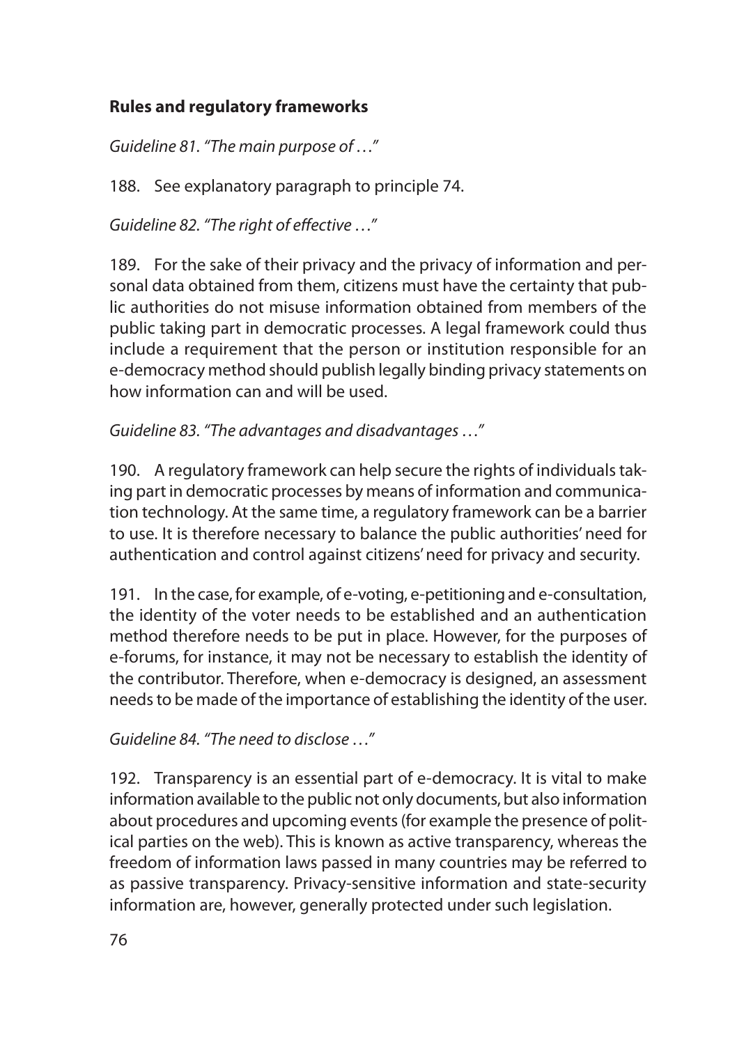## **Rules and regulatory frameworks**

*Guideline 81. "The main purpose of …"*

188. See explanatory paragraph to principle 74.

*Guideline 82. "The right of effective …"*

189. For the sake of their privacy and the privacy of information and personal data obtained from them, citizens must have the certainty that public authorities do not misuse information obtained from members of the public taking part in democratic processes. A legal framework could thus include a requirement that the person or institution responsible for an e-democracy method should publish legally binding privacy statements on how information can and will be used.

*Guideline 83. "The advantages and disadvantages …"*

190. A regulatory framework can help secure the rights of individuals taking part in democratic processes by means of information and communication technology. At the same time, a regulatory framework can be a barrier to use. It is therefore necessary to balance the public authorities' need for authentication and control against citizens' need for privacy and security.

191. In the case, for example, of e-voting, e-petitioning and e-consultation, the identity of the voter needs to be established and an authentication method therefore needs to be put in place. However, for the purposes of e-forums, for instance, it may not be necessary to establish the identity of the contributor. Therefore, when e-democracy is designed, an assessment needs to be made of the importance of establishing the identity of the user.

*Guideline 84. "The need to disclose …"*

192. Transparency is an essential part of e-democracy. It is vital to make information available to the public not only documents, but also information about procedures and upcoming events (for example the presence of political parties on the web). This is known as active transparency, whereas the freedom of information laws passed in many countries may be referred to as passive transparency. Privacy-sensitive information and state-security information are, however, generally protected under such legislation.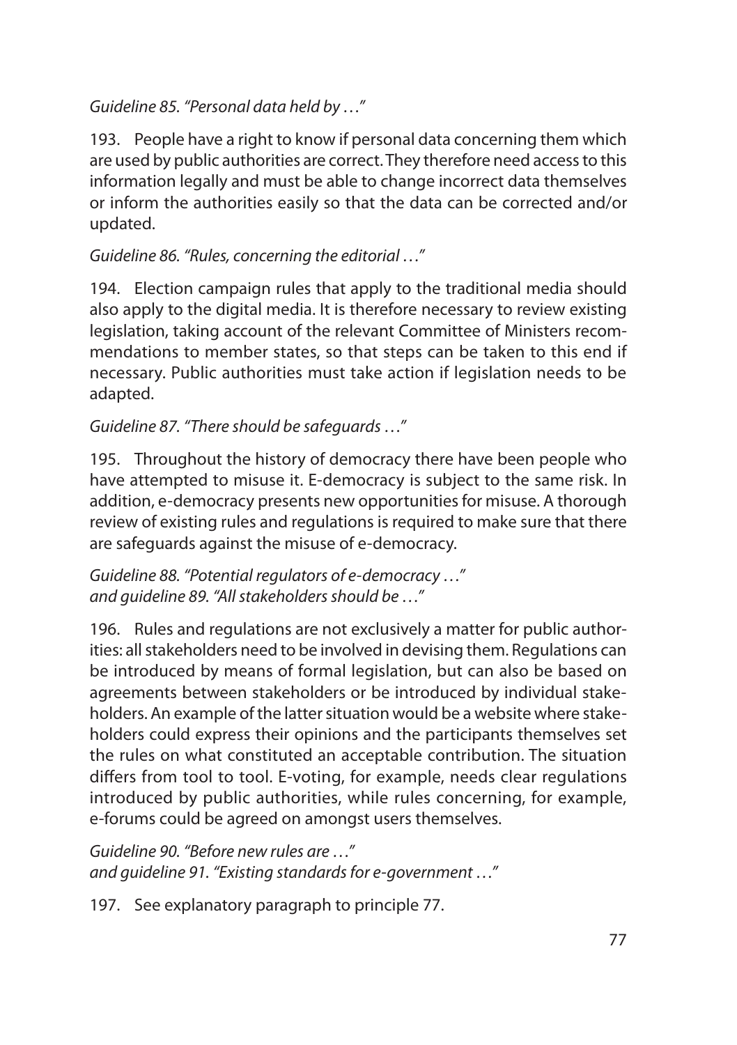## *Guideline 85. "Personal data held by …"*

193. People have a right to know if personal data concerning them which are used by public authorities are correct. They therefore need access to this information legally and must be able to change incorrect data themselves or inform the authorities easily so that the data can be corrected and/or updated.

## *Guideline 86. "Rules, concerning the editorial …"*

194. Election campaign rules that apply to the traditional media should also apply to the digital media. It is therefore necessary to review existing legislation, taking account of the relevant Committee of Ministers recommendations to member states, so that steps can be taken to this end if necessary. Public authorities must take action if legislation needs to be adapted.

## *Guideline 87. "There should be safeguards …"*

195. Throughout the history of democracy there have been people who have attempted to misuse it. E-democracy is subject to the same risk. In addition, e-democracy presents new opportunities for misuse. A thorough review of existing rules and regulations is required to make sure that there are safeguards against the misuse of e-democracy.

*Guideline 88. "Potential regulators of e-democracy …" and guideline 89. "All stakeholders should be …"*

196. Rules and regulations are not exclusively a matter for public authorities: all stakeholders need to be involved in devising them. Regulations can be introduced by means of formal legislation, but can also be based on agreements between stakeholders or be introduced by individual stakeholders. An example of the latter situation would be a website where stakeholders could express their opinions and the participants themselves set the rules on what constituted an acceptable contribution. The situation differs from tool to tool. E-voting, for example, needs clear regulations introduced by public authorities, while rules concerning, for example, e-forums could be agreed on amongst users themselves.

*Guideline 90. "Before new rules are …" and guideline 91. "Existing standards for e-government …"*

197. See explanatory paragraph to principle 77.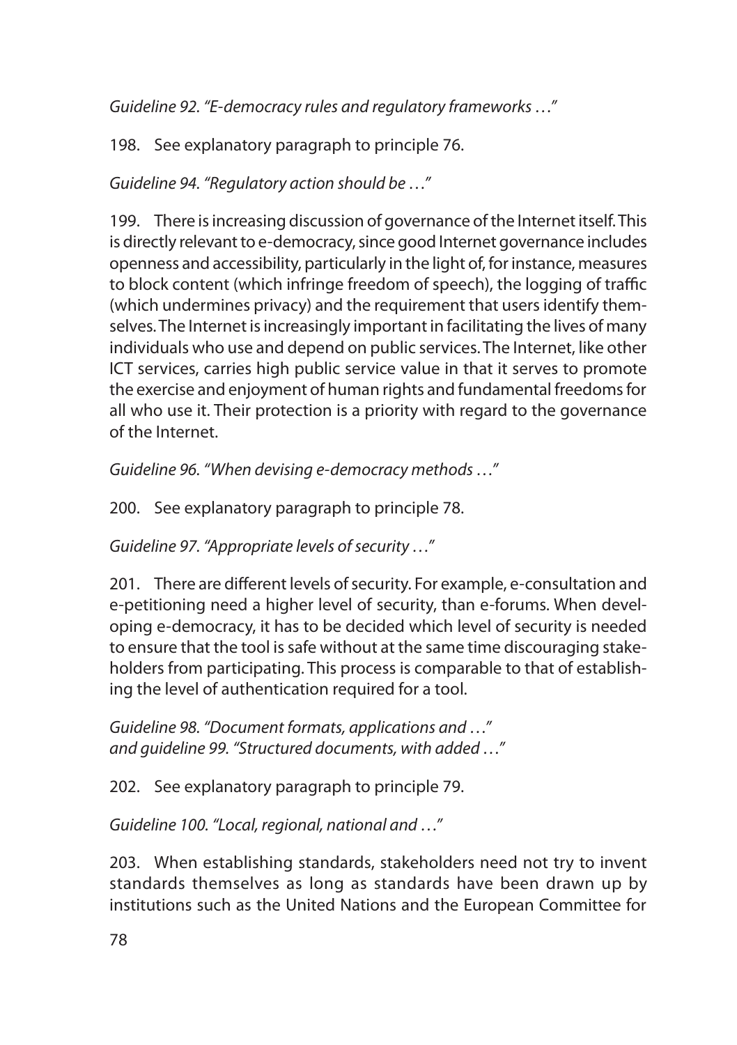*Guideline 92. "E-democracy rules and regulatory frameworks …"*

198. See explanatory paragraph to principle 76.

*Guideline 94. "Regulatory action should be …"*

199. There is increasing discussion of governance of the Internet itself. This is directly relevant to e-democracy, since good Internet governance includes openness and accessibility, particularly in the light of, for instance, measures to block content (which infringe freedom of speech), the logging of traffic (which undermines privacy) and the requirement that users identify themselves. The Internet is increasingly important in facilitating the lives of many individuals who use and depend on public services. The Internet, like other ICT services, carries high public service value in that it serves to promote the exercise and enjoyment of human rights and fundamental freedoms for all who use it. Their protection is a priority with regard to the governance of the Internet.

*Guideline 96. "When devising e-democracy methods …"*

200. See explanatory paragraph to principle 78.

*Guideline 97. "Appropriate levels of security …"*

201. There are different levels of security. For example, e-consultation and e-petitioning need a higher level of security, than e-forums. When developing e-democracy, it has to be decided which level of security is needed to ensure that the tool is safe without at the same time discouraging stakeholders from participating. This process is comparable to that of establishing the level of authentication required for a tool.

*Guideline 98. "Document formats, applications and …" and guideline 99. "Structured documents, with added …"*

202. See explanatory paragraph to principle 79.

*Guideline 100. "Local, regional, national and …"*

203. When establishing standards, stakeholders need not try to invent standards themselves as long as standards have been drawn up by institutions such as the United Nations and the European Committee for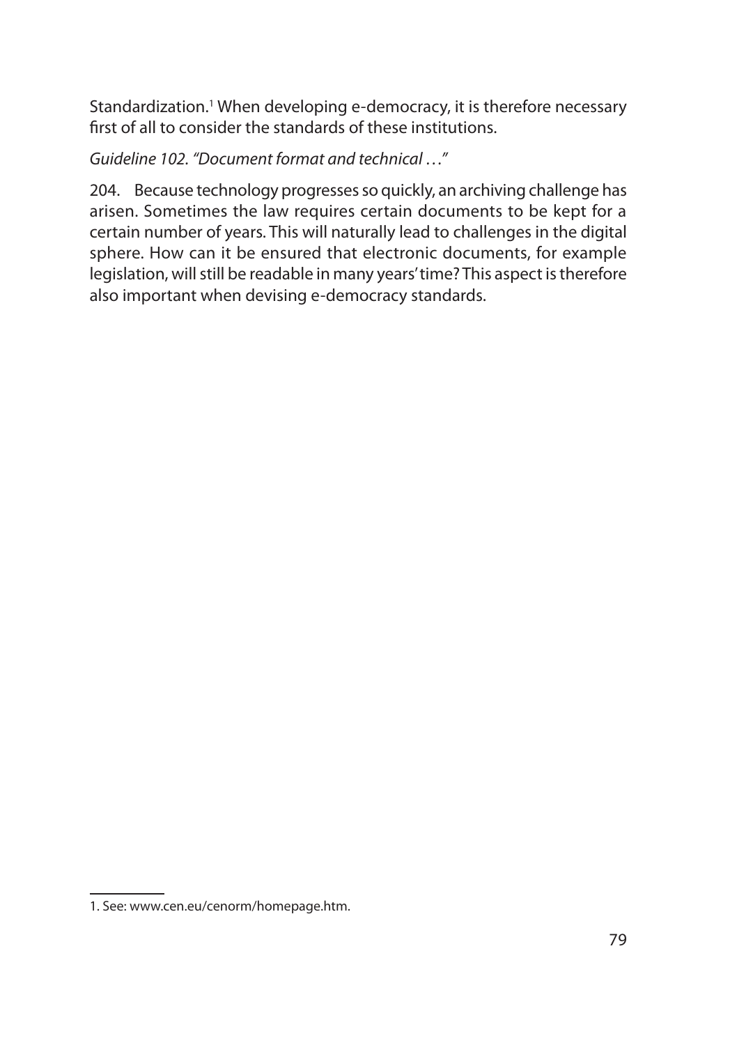Standardization.<sup>1</sup> When developing e-democracy, it is therefore necessary first of all to consider the standards of these institutions.

*Guideline 102. "Document format and technical …"*

204. Because technology progresses so quickly, an archiving challenge has arisen. Sometimes the law requires certain documents to be kept for a certain number of years. This will naturally lead to challenges in the digital sphere. How can it be ensured that electronic documents, for example legislation, will still be readable in many years' time? This aspect is therefore also important when devising e-democracy standards.

<sup>1.</sup> See: www.cen.eu/cenorm/homepage.htm.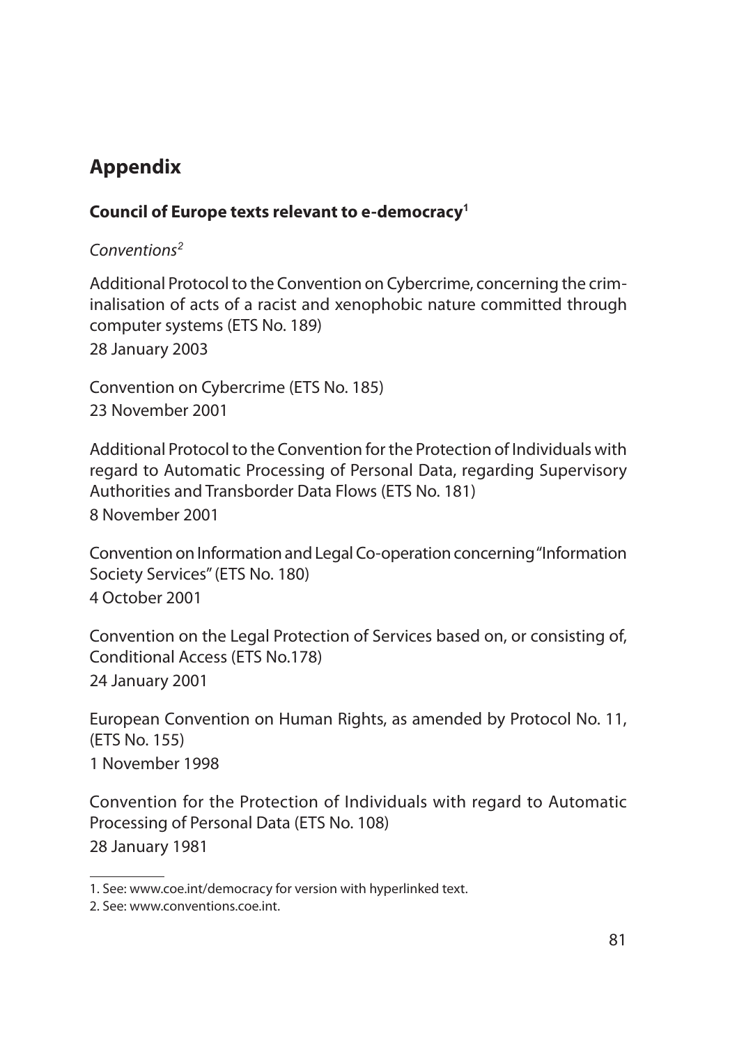# **Appendix**

## **Council of Europe texts relevant to e-democracy<sup>1</sup>**

## *Conventions<sup>2</sup>*

Additional Protocol to the Convention on Cybercrime, concerning the criminalisation of acts of a racist and xenophobic nature committed through computer systems (ETS No. 189) 28 January 2003

Convention on Cybercrime (ETS No. 185) 23 November 2001

Additional Protocol to the Convention for the Protection of Individuals with regard to Automatic Processing of Personal Data, regarding Supervisory Authorities and Transborder Data Flows (ETS No. 181) 8 November 2001

Convention on Information and Legal Co-operation concerning "Information Society Services" (ETS No. 180) 4 October 2001

Convention on the Legal Protection of Services based on, or consisting of, Conditional Access (ETS No.178) 24 January 2001

European Convention on Human Rights, as amended by Protocol No. 11, (ETS No. 155) 1 November 1998

Convention for the Protection of Individuals with regard to Automatic Processing of Personal Data (ETS No. 108) 28 January 1981

<sup>1.</sup> See: www.coe.int/democracy for version with hyperlinked text.

<sup>2.</sup> See: www.conventions.coe.int.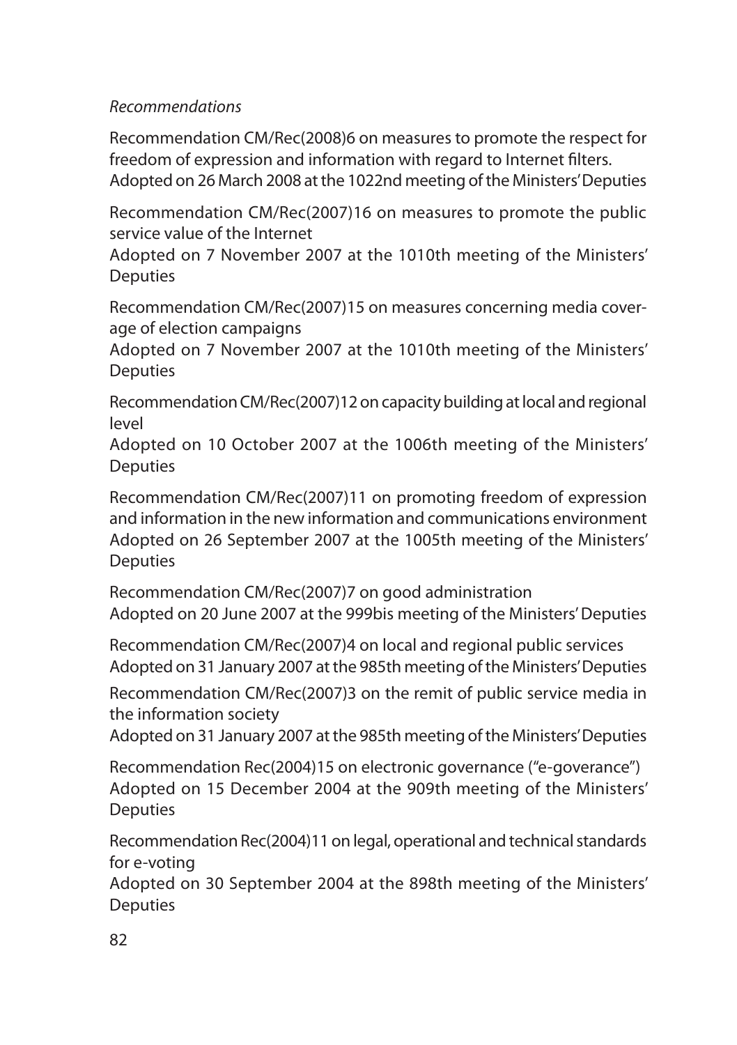### *Recommendations*

Recommendation CM/Rec(2008)6 on measures to promote the respect for freedom of expression and information with regard to Internet filters. Adopted on 26 March 2008 at the 1022nd meeting of the Ministers' Deputies

Recommendation CM/Rec(2007)16 on measures to promote the public service value of the Internet

Adopted on 7 November 2007 at the 1010th meeting of the Ministers' **Deputies** 

Recommendation CM/Rec(2007)15 on measures concerning media coverage of election campaigns

Adopted on 7 November 2007 at the 1010th meeting of the Ministers' **Deputies** 

Recommendation CM/Rec(2007)12 on capacity building at local and regional level

Adopted on 10 October 2007 at the 1006th meeting of the Ministers' **Deputies** 

Recommendation CM/Rec(2007)11 on promoting freedom of expression and information in the new information and communications environment Adopted on 26 September 2007 at the 1005th meeting of the Ministers' Deputies

Recommendation CM/Rec(2007)7 on good administration Adopted on 20 June 2007 at the 999bis meeting of the Ministers' Deputies

Recommendation CM/Rec(2007)4 on local and regional public services Adopted on 31 January 2007 at the 985th meeting of the Ministers' Deputies

Recommendation CM/Rec(2007)3 on the remit of public service media in the information society

Adopted on 31 January 2007 at the 985th meeting of the Ministers' Deputies

Recommendation Rec(2004)15 on electronic governance ("e-goverance") Adopted on 15 December 2004 at the 909th meeting of the Ministers' **Deputies** 

Recommendation Rec(2004)11 on legal, operational and technical standards for e-voting

Adopted on 30 September 2004 at the 898th meeting of the Ministers' Deputies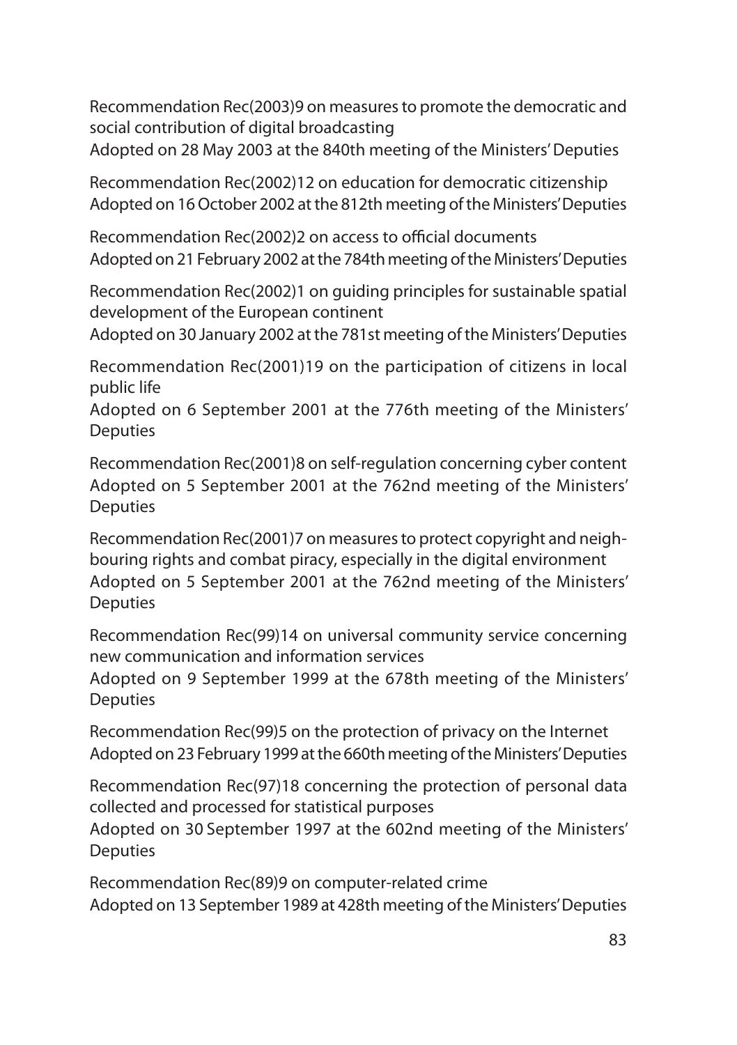Recommendation Rec(2003)9 on measures to promote the democratic and social contribution of digital broadcasting

Adopted on 28 May 2003 at the 840th meeting of the Ministers' Deputies

Recommendation Rec(2002)12 on education for democratic citizenship Adopted on 16 October 2002 at the 812th meeting of the Ministers' Deputies

Recommendation Rec(2002)2 on access to official documents Adopted on 21 February 2002 at the 784th meeting of the Ministers' Deputies

Recommendation Rec(2002)1 on guiding principles for sustainable spatial development of the European continent

Adopted on 30 January 2002 at the 781st meeting of the Ministers' Deputies

Recommendation Rec(2001)19 on the participation of citizens in local public life

Adopted on 6 September 2001 at the 776th meeting of the Ministers' Deputies

Recommendation Rec(2001)8 on self-regulation concerning cyber content Adopted on 5 September 2001 at the 762nd meeting of the Ministers' **Deputies** 

Recommendation Rec(2001)7 on measures to protect copyright and neighbouring rights and combat piracy, especially in the digital environment Adopted on 5 September 2001 at the 762nd meeting of the Ministers' **Deputies** 

Recommendation Rec(99)14 on universal community service concerning new communication and information services

Adopted on 9 September 1999 at the 678th meeting of the Ministers' **Deputies** 

Recommendation Rec(99)5 on the protection of privacy on the Internet Adopted on 23 February 1999 at the 660th meeting of the Ministers' Deputies

Recommendation Rec(97)18 concerning the protection of personal data collected and processed for statistical purposes

Adopted on 30 September 1997 at the 602nd meeting of the Ministers' **Deputies** 

Recommendation Rec(89)9 on computer-related crime Adopted on 13 September 1989 at 428th meeting of the Ministers' Deputies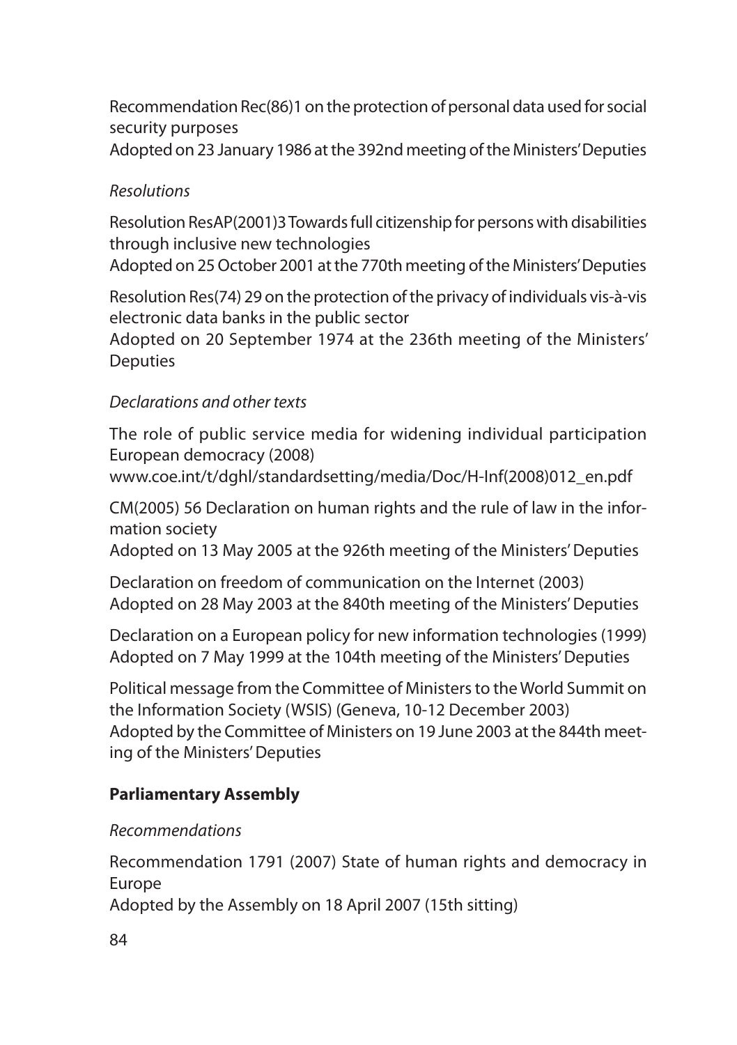Recommendation Rec(86)1 on the protection of personal data used for social security purposes

## Adopted on 23 January 1986 at the 392nd meeting of the Ministers' Deputies

## *Resolutions*

Resolution ResAP(2001)3 Towards full citizenship for persons with disabilities through inclusive new technologies

Adopted on 25 October 2001 at the 770th meeting of the Ministers' Deputies

Resolution Res(74) 29 on the protection of the privacy of individuals vis-à-vis electronic data banks in the public sector

Adopted on 20 September 1974 at the 236th meeting of the Ministers' **Deputies** 

## *Declarations and other texts*

The role of public service media for widening individual participation European democracy (2008)

www.coe.int/t/dghl/standardsetting/media/Doc/H-Inf(2008)012\_en.pdf

CM(2005) 56 Declaration on human rights and the rule of law in the information society

Adopted on 13 May 2005 at the 926th meeting of the Ministers' Deputies

Declaration on freedom of communication on the Internet (2003) Adopted on 28 May 2003 at the 840th meeting of the Ministers' Deputies

Declaration on a European policy for new information technologies (1999) Adopted on 7 May 1999 at the 104th meeting of the Ministers' Deputies

Political message from the Committee of Ministers to the World Summit on the Information Society (WSIS) (Geneva, 10-12 December 2003) Adopted by the Committee of Ministers on 19 June 2003 at the 844th meeting of the Ministers' Deputies

## **Parliamentary Assembly**

## *Recommendations*

Recommendation 1791 (2007) State of human rights and democracy in Europe Adopted by the Assembly on 18 April 2007 (15th sitting)

84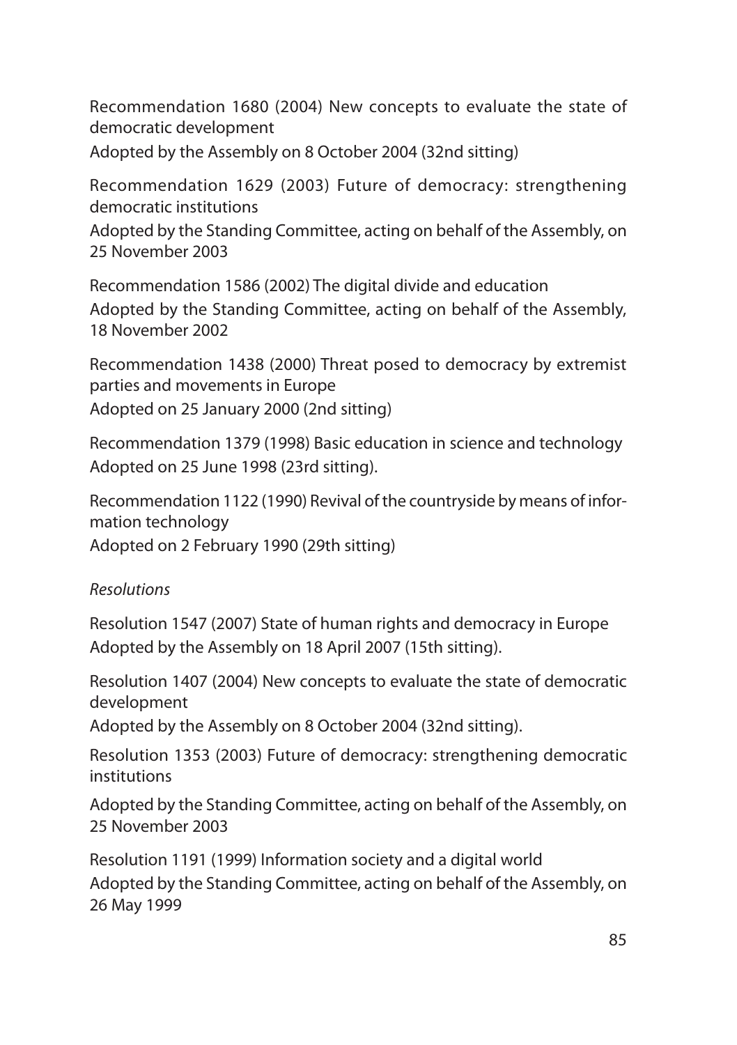Recommendation 1680 (2004) New concepts to evaluate the state of democratic development Adopted by the Assembly on 8 October 2004 (32nd sitting)

Recommendation 1629 (2003) Future of democracy: strengthening democratic institutions

Adopted by the Standing Committee, acting on behalf of the Assembly, on 25 November 2003

Recommendation 1586 (2002) The digital divide and education Adopted by the Standing Committee, acting on behalf of the Assembly, 18 November 2002

Recommendation 1438 (2000) Threat posed to democracy by extremist parties and movements in Europe Adopted on 25 January 2000 (2nd sitting)

Recommendation 1379 (1998) Basic education in science and technology Adopted on 25 June 1998 (23rd sitting).

Recommendation 1122 (1990) Revival of the countryside by means of information technology

Adopted on 2 February 1990 (29th sitting)

## *Resolutions*

Resolution 1547 (2007) State of human rights and democracy in Europe Adopted by the Assembly on 18 April 2007 (15th sitting).

Resolution 1407 (2004) New concepts to evaluate the state of democratic development

Adopted by the Assembly on 8 October 2004 (32nd sitting).

Resolution 1353 (2003) Future of democracy: strengthening democratic institutions

Adopted by the Standing Committee, acting on behalf of the Assembly, on 25 November 2003

Resolution 1191 (1999) Information society and a digital world Adopted by the Standing Committee, acting on behalf of the Assembly, on 26 May 1999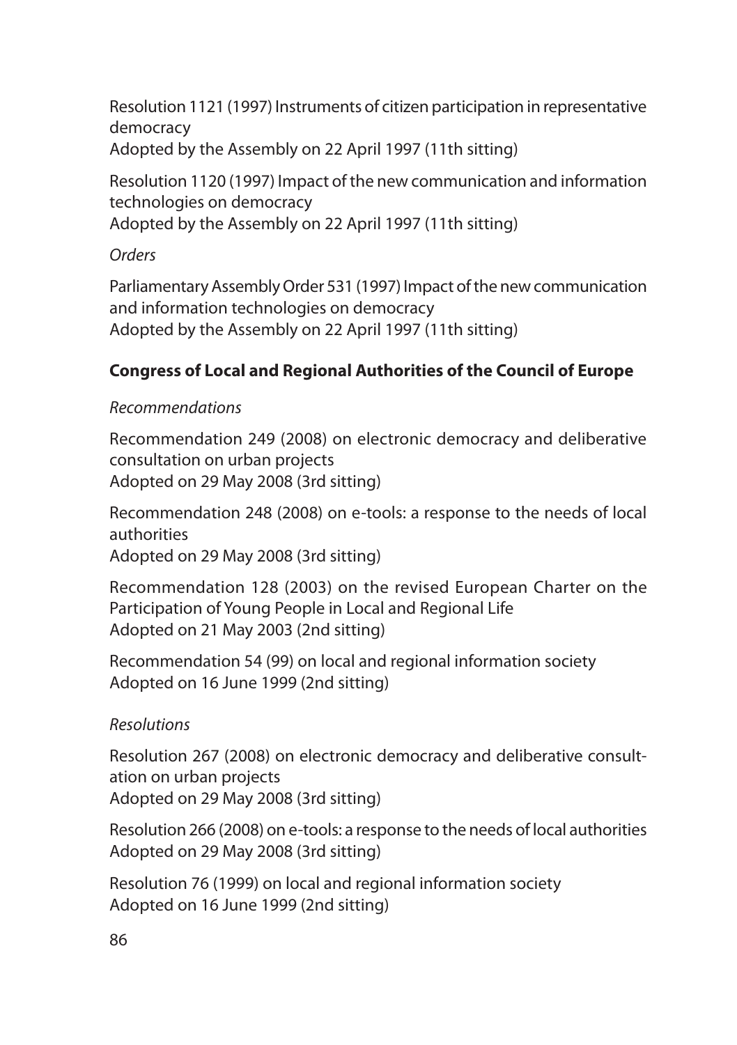Resolution 1121 (1997) Instruments of citizen participation in representative democracy Adopted by the Assembly on 22 April 1997 (11th sitting)

Resolution 1120 (1997) Impact of the new communication and information technologies on democracy Adopted by the Assembly on 22 April 1997 (11th sitting)

## *Orders*

Parliamentary Assembly Order 531 (1997) Impact of the new communication and information technologies on democracy Adopted by the Assembly on 22 April 1997 (11th sitting)

## **Congress of Local and Regional Authorities of the Council of Europe**

## *Recommendations*

Recommendation 249 (2008) on electronic democracy and deliberative consultation on urban projects Adopted on 29 May 2008 (3rd sitting)

Recommendation 248 (2008) on e-tools: a response to the needs of local authorities

Adopted on 29 May 2008 (3rd sitting)

Recommendation 128 (2003) on the revised European Charter on the Participation of Young People in Local and Regional Life Adopted on 21 May 2003 (2nd sitting)

Recommendation 54 (99) on local and regional information society Adopted on 16 June 1999 (2nd sitting)

## *Resolutions*

Resolution 267 (2008) on electronic democracy and deliberative consultation on urban projects Adopted on 29 May 2008 (3rd sitting)

Resolution 266 (2008) on e-tools: a response to the needs of local authorities Adopted on 29 May 2008 (3rd sitting)

Resolution 76 (1999) on local and regional information society Adopted on 16 June 1999 (2nd sitting)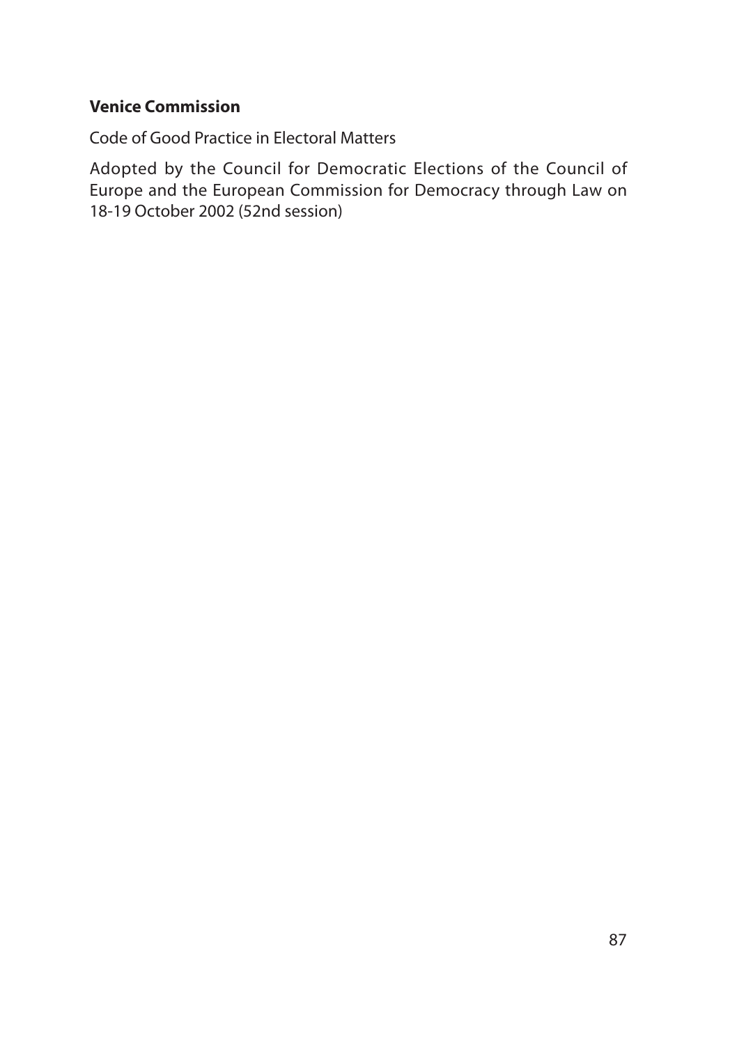## **Venice Commission**

Code of Good Practice in Electoral Matters

Adopted by the Council for Democratic Elections of the Council of Europe and the European Commission for Democracy through Law on 18-19 October 2002 (52nd session)